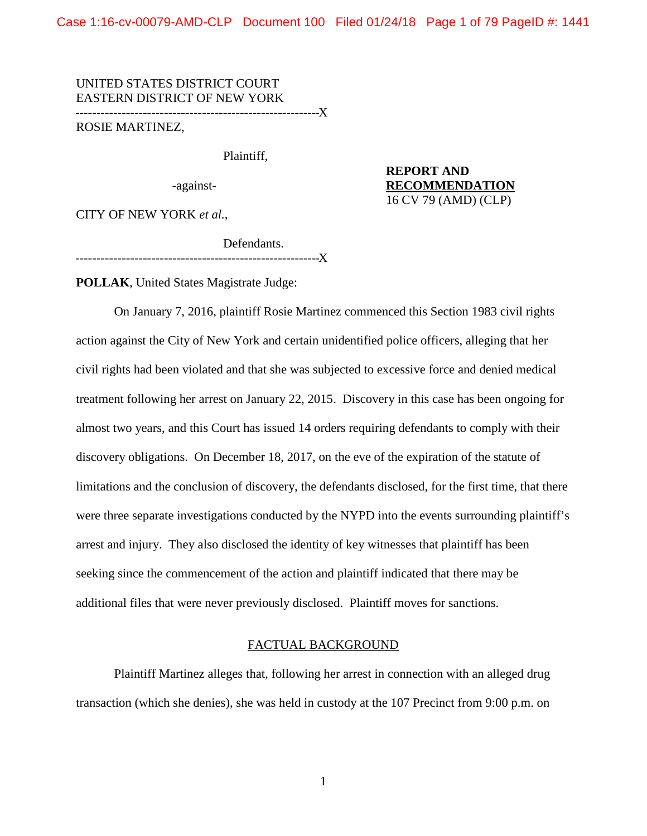Case 1:16-cv-00079-AMD-CLP Document 100 Filed 01/24/18 Page 1 of 79 PageID #: 1441

UNITED STATES DISTRICT COURT EASTERN DISTRICT OF NEW YORK ----------------------------------------------------------X

ROSIE MARTINEZ,

Plaintiff,

-against-

**REPORT AND RECOMMENDATION** 16 CV 79 (AMD) (CLP)

CITY OF NEW YORK *et al.*,

Defendants. ----------------------------------------------------------X

**POLLAK**, United States Magistrate Judge:

On January 7, 2016, plaintiff Rosie Martinez commenced this Section 1983 civil rights action against the City of New York and certain unidentified police officers, alleging that her civil rights had been violated and that she was subjected to excessive force and denied medical treatment following her arrest on January 22, 2015. Discovery in this case has been ongoing for almost two years, and this Court has issued 14 orders requiring defendants to comply with their discovery obligations. On December 18, 2017, on the eve of the expiration of the statute of limitations and the conclusion of discovery, the defendants disclosed, for the first time, that there were three separate investigations conducted by the NYPD into the events surrounding plaintiff's arrest and injury. They also disclosed the identity of key witnesses that plaintiff has been seeking since the commencement of the action and plaintiff indicated that there may be additional files that were never previously disclosed. Plaintiff moves for sanctions.

#### FACTUAL BACKGROUND

Plaintiff Martinez alleges that, following her arrest in connection with an alleged drug transaction (which she denies), she was held in custody at the 107 Precinct from 9:00 p.m. on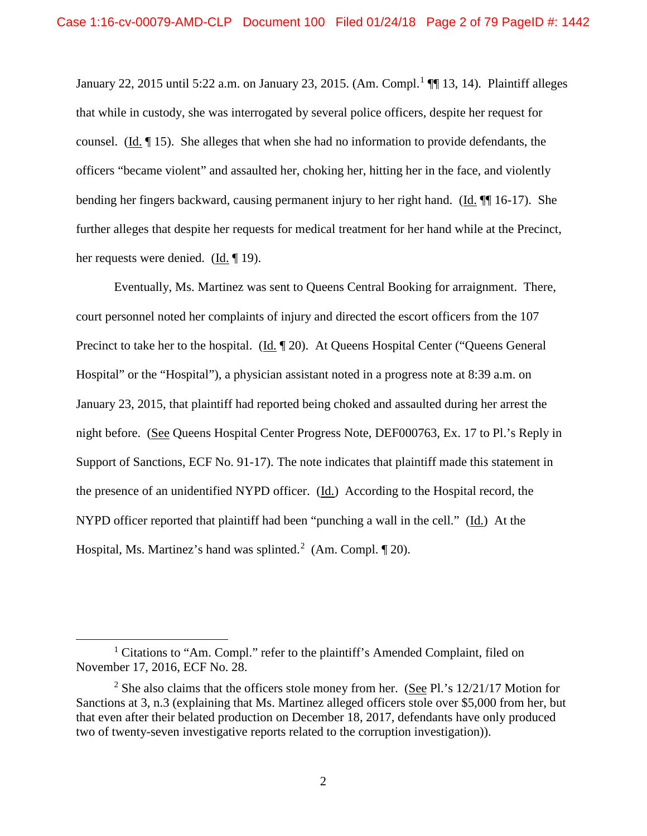January 22, 2015 until 5:22 a.m. on January 23, 2015. (Am. Compl.<sup>1</sup> ¶ 13, 14). Plaintiff alleges that while in custody, she was interrogated by several police officers, despite her request for counsel. (Id. ¶ 15). She alleges that when she had no information to provide defendants, the officers "became violent" and assaulted her, choking her, hitting her in the face, and violently bending her fingers backward, causing permanent injury to her right hand. (Id. ¶¶ 16-17). She further alleges that despite her requests for medical treatment for her hand while at the Precinct, her requests were denied. (Id. ¶ 19).

Eventually, Ms. Martinez was sent to Queens Central Booking for arraignment. There, court personnel noted her complaints of injury and directed the escort officers from the 107 Precinct to take her to the hospital. (Id. 120). At Queens Hospital Center ("Queens General Hospital" or the "Hospital"), a physician assistant noted in a progress note at 8:39 a.m. on January 23, 2015, that plaintiff had reported being choked and assaulted during her arrest the night before. (See Queens Hospital Center Progress Note, DEF000763, Ex. 17 to Pl.'s Reply in Support of Sanctions, ECF No. 91-17). The note indicates that plaintiff made this statement in the presence of an unidentified NYPD officer. (Id.) According to the Hospital record, the NYPD officer reported that plaintiff had been "punching a wall in the cell." (Id.) At the Hospital, Ms. Martinez's hand was splinted.<sup>2</sup> (Am. Compl.  $\P$  20).

<sup>&</sup>lt;sup>1</sup> Citations to "Am. Compl." refer to the plaintiff's Amended Complaint, filed on November 17, 2016, ECF No. 28.

<sup>&</sup>lt;sup>2</sup> She also claims that the officers stole money from her. (See Pl.'s 12/21/17 Motion for Sanctions at 3, n.3 (explaining that Ms. Martinez alleged officers stole over \$5,000 from her, but that even after their belated production on December 18, 2017, defendants have only produced two of twenty-seven investigative reports related to the corruption investigation)).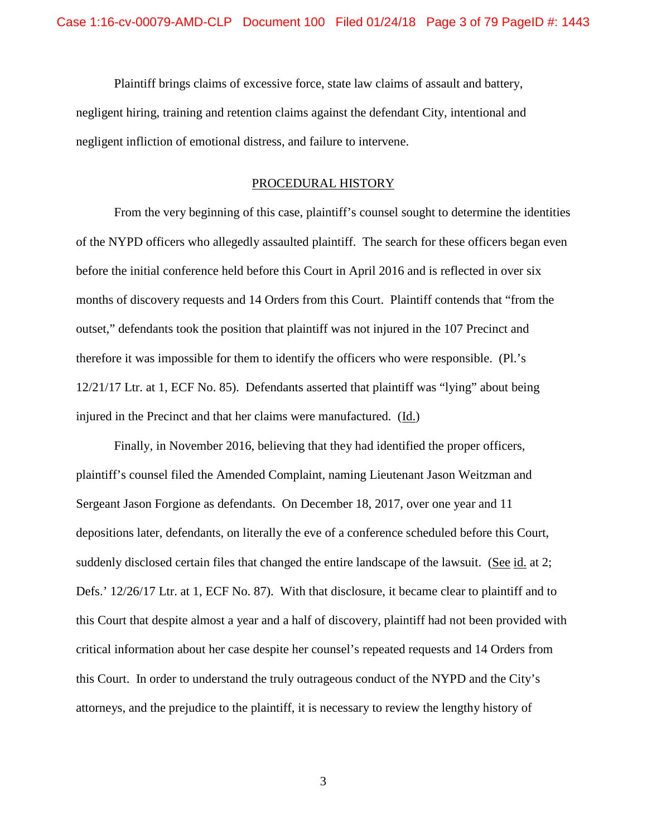Plaintiff brings claims of excessive force, state law claims of assault and battery, negligent hiring, training and retention claims against the defendant City, intentional and negligent infliction of emotional distress, and failure to intervene.

### PROCEDURAL HISTORY

From the very beginning of this case, plaintiff's counsel sought to determine the identities of the NYPD officers who allegedly assaulted plaintiff. The search for these officers began even before the initial conference held before this Court in April 2016 and is reflected in over six months of discovery requests and 14 Orders from this Court. Plaintiff contends that "from the outset," defendants took the position that plaintiff was not injured in the 107 Precinct and therefore it was impossible for them to identify the officers who were responsible. (Pl.'s 12/21/17 Ltr. at 1, ECF No. 85). Defendants asserted that plaintiff was "lying" about being injured in the Precinct and that her claims were manufactured. (Id.)

Finally, in November 2016, believing that they had identified the proper officers, plaintiff's counsel filed the Amended Complaint, naming Lieutenant Jason Weitzman and Sergeant Jason Forgione as defendants. On December 18, 2017, over one year and 11 depositions later, defendants, on literally the eve of a conference scheduled before this Court, suddenly disclosed certain files that changed the entire landscape of the lawsuit. (See id. at 2; Defs.' 12/26/17 Ltr. at 1, ECF No. 87). With that disclosure, it became clear to plaintiff and to this Court that despite almost a year and a half of discovery, plaintiff had not been provided with critical information about her case despite her counsel's repeated requests and 14 Orders from this Court. In order to understand the truly outrageous conduct of the NYPD and the City's attorneys, and the prejudice to the plaintiff, it is necessary to review the lengthy history of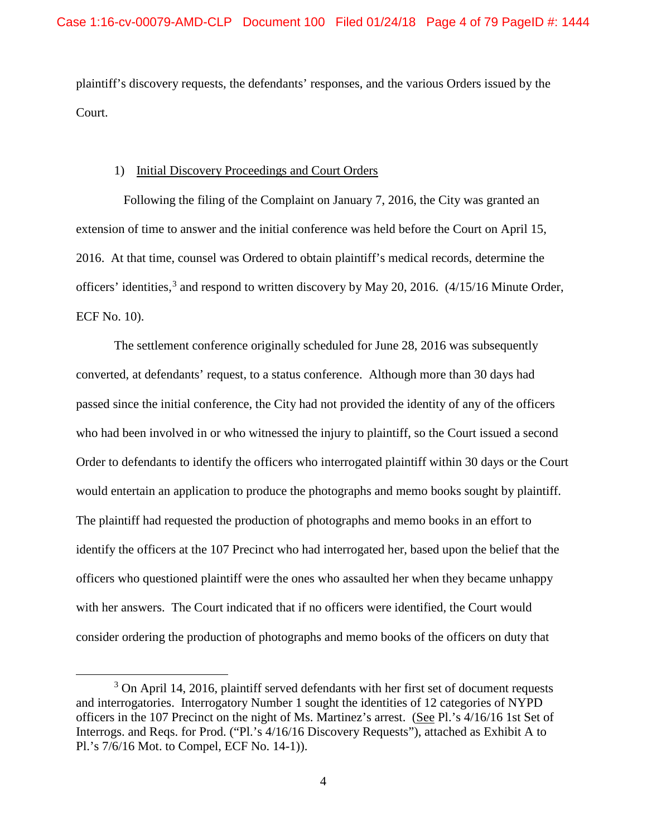plaintiff's discovery requests, the defendants' responses, and the various Orders issued by the Court.

### 1) Initial Discovery Proceedings and Court Orders

 Following the filing of the Complaint on January 7, 2016, the City was granted an extension of time to answer and the initial conference was held before the Court on April 15, 2016. At that time, counsel was Ordered to obtain plaintiff's medical records, determine the officers' identities,<sup>3</sup> and respond to written discovery by May 20, 2016. (4/15/16 Minute Order, ECF No. 10).

The settlement conference originally scheduled for June 28, 2016 was subsequently converted, at defendants' request, to a status conference. Although more than 30 days had passed since the initial conference, the City had not provided the identity of any of the officers who had been involved in or who witnessed the injury to plaintiff, so the Court issued a second Order to defendants to identify the officers who interrogated plaintiff within 30 days or the Court would entertain an application to produce the photographs and memo books sought by plaintiff. The plaintiff had requested the production of photographs and memo books in an effort to identify the officers at the 107 Precinct who had interrogated her, based upon the belief that the officers who questioned plaintiff were the ones who assaulted her when they became unhappy with her answers. The Court indicated that if no officers were identified, the Court would consider ordering the production of photographs and memo books of the officers on duty that

 $\overline{\phantom{a}}$  3 <sup>3</sup> On April 14, 2016, plaintiff served defendants with her first set of document requests and interrogatories. Interrogatory Number 1 sought the identities of 12 categories of NYPD officers in the 107 Precinct on the night of Ms. Martinez's arrest. (See Pl.'s 4/16/16 1st Set of Interrogs. and Reqs. for Prod. ("Pl.'s 4/16/16 Discovery Requests"), attached as Exhibit A to Pl.'s 7/6/16 Mot. to Compel, ECF No. 14-1)).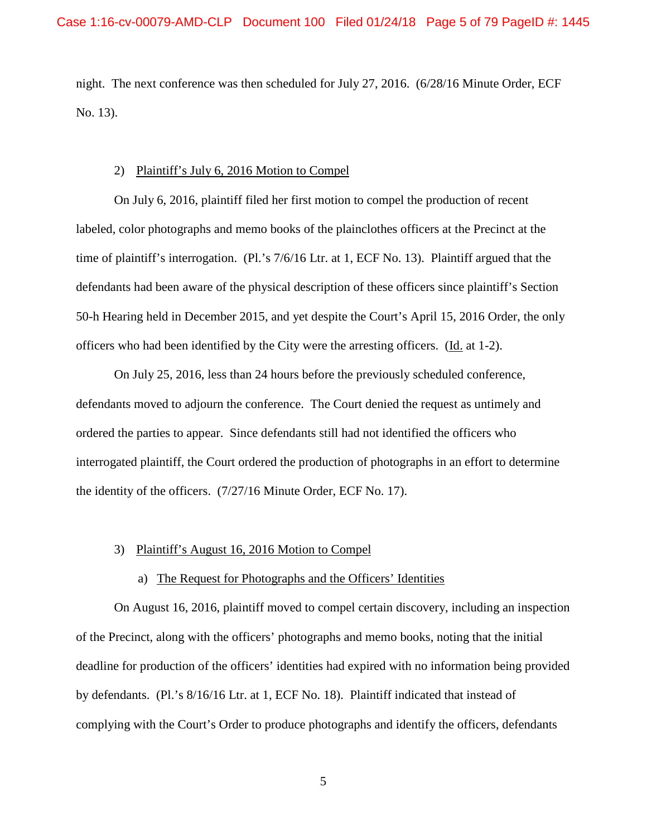night. The next conference was then scheduled for July 27, 2016. (6/28/16 Minute Order, ECF No. 13).

#### 2) Plaintiff's July 6, 2016 Motion to Compel

On July 6, 2016, plaintiff filed her first motion to compel the production of recent labeled, color photographs and memo books of the plainclothes officers at the Precinct at the time of plaintiff's interrogation. (Pl.'s 7/6/16 Ltr. at 1, ECF No. 13). Plaintiff argued that the defendants had been aware of the physical description of these officers since plaintiff's Section 50-h Hearing held in December 2015, and yet despite the Court's April 15, 2016 Order, the only officers who had been identified by the City were the arresting officers. (Id. at 1-2).

On July 25, 2016, less than 24 hours before the previously scheduled conference, defendants moved to adjourn the conference. The Court denied the request as untimely and ordered the parties to appear. Since defendants still had not identified the officers who interrogated plaintiff, the Court ordered the production of photographs in an effort to determine the identity of the officers. (7/27/16 Minute Order, ECF No. 17).

#### 3) Plaintiff's August 16, 2016 Motion to Compel

## a) The Request for Photographs and the Officers' Identities

 On August 16, 2016, plaintiff moved to compel certain discovery, including an inspection of the Precinct, along with the officers' photographs and memo books, noting that the initial deadline for production of the officers' identities had expired with no information being provided by defendants. (Pl.'s 8/16/16 Ltr. at 1, ECF No. 18). Plaintiff indicated that instead of complying with the Court's Order to produce photographs and identify the officers, defendants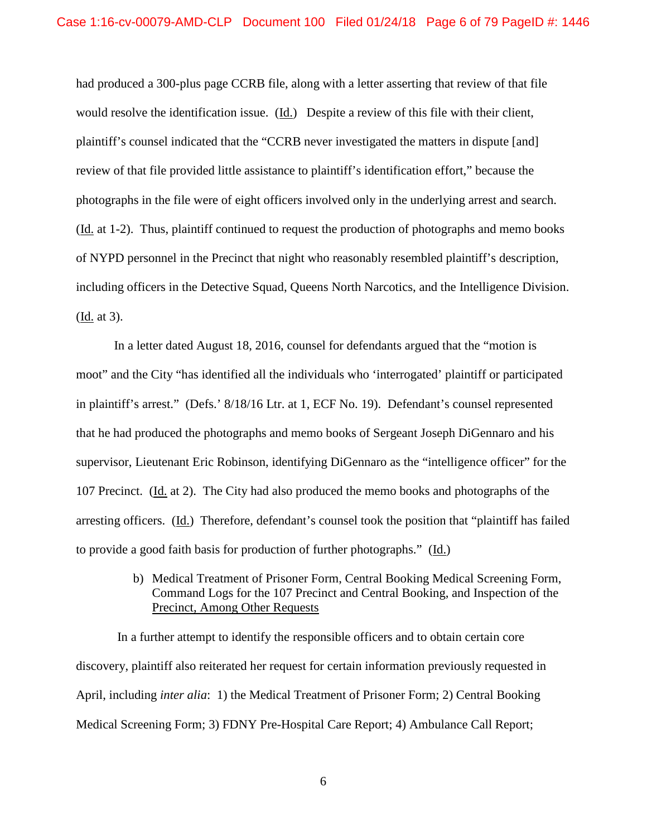had produced a 300-plus page CCRB file, along with a letter asserting that review of that file would resolve the identification issue. (Id.) Despite a review of this file with their client, plaintiff's counsel indicated that the "CCRB never investigated the matters in dispute [and] review of that file provided little assistance to plaintiff's identification effort," because the photographs in the file were of eight officers involved only in the underlying arrest and search. (Id. at 1-2). Thus, plaintiff continued to request the production of photographs and memo books of NYPD personnel in the Precinct that night who reasonably resembled plaintiff's description, including officers in the Detective Squad, Queens North Narcotics, and the Intelligence Division. (Id. at 3).

In a letter dated August 18, 2016, counsel for defendants argued that the "motion is moot" and the City "has identified all the individuals who 'interrogated' plaintiff or participated in plaintiff's arrest." (Defs.' 8/18/16 Ltr. at 1, ECF No. 19). Defendant's counsel represented that he had produced the photographs and memo books of Sergeant Joseph DiGennaro and his supervisor, Lieutenant Eric Robinson, identifying DiGennaro as the "intelligence officer" for the 107 Precinct. (Id. at 2). The City had also produced the memo books and photographs of the arresting officers. (Id.) Therefore, defendant's counsel took the position that "plaintiff has failed to provide a good faith basis for production of further photographs." (Id.)

> b) Medical Treatment of Prisoner Form, Central Booking Medical Screening Form, Command Logs for the 107 Precinct and Central Booking, and Inspection of the Precinct, Among Other Requests

In a further attempt to identify the responsible officers and to obtain certain core discovery, plaintiff also reiterated her request for certain information previously requested in April, including *inter alia*: 1) the Medical Treatment of Prisoner Form; 2) Central Booking Medical Screening Form; 3) FDNY Pre-Hospital Care Report; 4) Ambulance Call Report;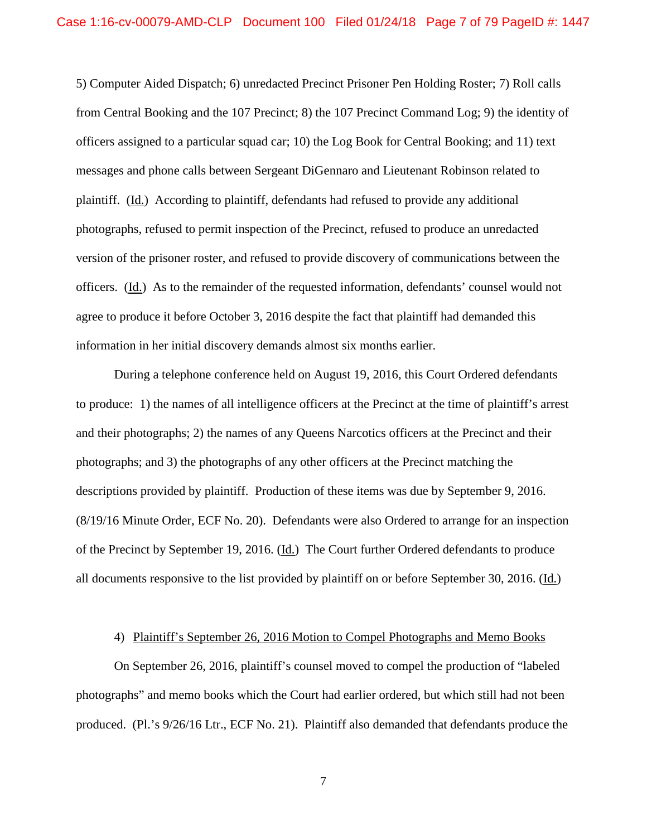5) Computer Aided Dispatch; 6) unredacted Precinct Prisoner Pen Holding Roster; 7) Roll calls from Central Booking and the 107 Precinct; 8) the 107 Precinct Command Log; 9) the identity of officers assigned to a particular squad car; 10) the Log Book for Central Booking; and 11) text messages and phone calls between Sergeant DiGennaro and Lieutenant Robinson related to plaintiff. (Id.) According to plaintiff, defendants had refused to provide any additional photographs, refused to permit inspection of the Precinct, refused to produce an unredacted version of the prisoner roster, and refused to provide discovery of communications between the officers. (Id.) As to the remainder of the requested information, defendants' counsel would not agree to produce it before October 3, 2016 despite the fact that plaintiff had demanded this information in her initial discovery demands almost six months earlier.

During a telephone conference held on August 19, 2016, this Court Ordered defendants to produce: 1) the names of all intelligence officers at the Precinct at the time of plaintiff's arrest and their photographs; 2) the names of any Queens Narcotics officers at the Precinct and their photographs; and 3) the photographs of any other officers at the Precinct matching the descriptions provided by plaintiff. Production of these items was due by September 9, 2016. (8/19/16 Minute Order, ECF No. 20). Defendants were also Ordered to arrange for an inspection of the Precinct by September 19, 2016. (Id.) The Court further Ordered defendants to produce all documents responsive to the list provided by plaintiff on or before September 30, 2016. (Id.)

### 4) Plaintiff's September 26, 2016 Motion to Compel Photographs and Memo Books

On September 26, 2016, plaintiff's counsel moved to compel the production of "labeled photographs" and memo books which the Court had earlier ordered, but which still had not been produced. (Pl.'s 9/26/16 Ltr., ECF No. 21). Plaintiff also demanded that defendants produce the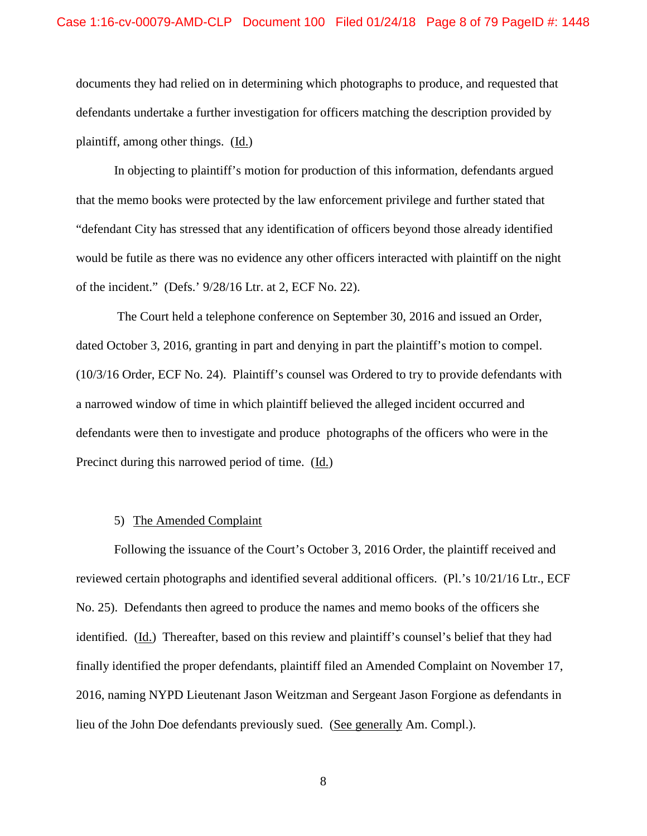documents they had relied on in determining which photographs to produce, and requested that defendants undertake a further investigation for officers matching the description provided by plaintiff, among other things. (Id.)

In objecting to plaintiff's motion for production of this information, defendants argued that the memo books were protected by the law enforcement privilege and further stated that "defendant City has stressed that any identification of officers beyond those already identified would be futile as there was no evidence any other officers interacted with plaintiff on the night of the incident." (Defs.' 9/28/16 Ltr. at 2, ECF No. 22).

The Court held a telephone conference on September 30, 2016 and issued an Order, dated October 3, 2016, granting in part and denying in part the plaintiff's motion to compel. (10/3/16 Order, ECF No. 24). Plaintiff's counsel was Ordered to try to provide defendants with a narrowed window of time in which plaintiff believed the alleged incident occurred and defendants were then to investigate and produce photographs of the officers who were in the Precinct during this narrowed period of time. (Id.)

# 5) The Amended Complaint

Following the issuance of the Court's October 3, 2016 Order, the plaintiff received and reviewed certain photographs and identified several additional officers. (Pl.'s 10/21/16 Ltr., ECF No. 25). Defendants then agreed to produce the names and memo books of the officers she identified. (Id.) Thereafter, based on this review and plaintiff's counsel's belief that they had finally identified the proper defendants, plaintiff filed an Amended Complaint on November 17, 2016, naming NYPD Lieutenant Jason Weitzman and Sergeant Jason Forgione as defendants in lieu of the John Doe defendants previously sued. (See generally Am. Compl.).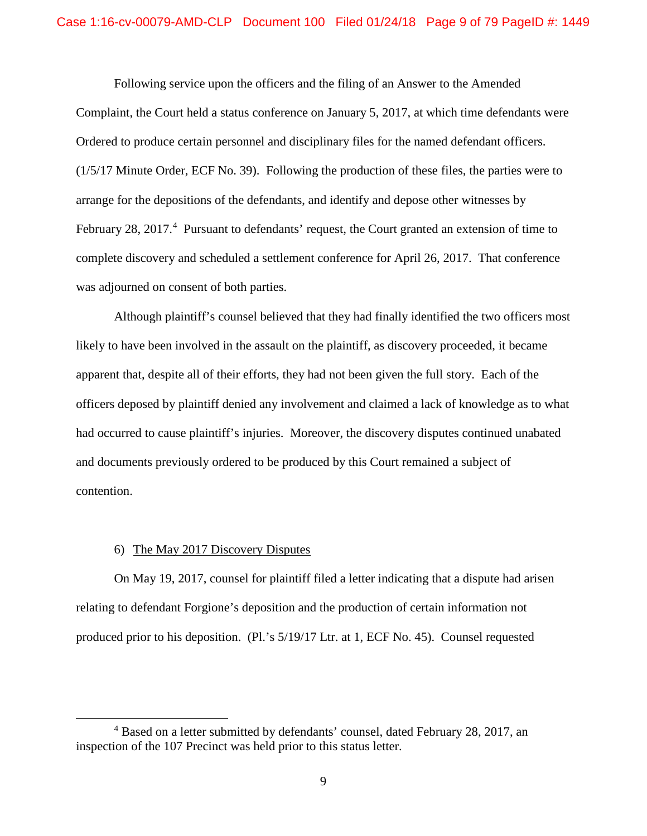Following service upon the officers and the filing of an Answer to the Amended Complaint, the Court held a status conference on January 5, 2017, at which time defendants were Ordered to produce certain personnel and disciplinary files for the named defendant officers. (1/5/17 Minute Order, ECF No. 39). Following the production of these files, the parties were to arrange for the depositions of the defendants, and identify and depose other witnesses by February 28, 2017.<sup>4</sup> Pursuant to defendants' request, the Court granted an extension of time to complete discovery and scheduled a settlement conference for April 26, 2017. That conference was adjourned on consent of both parties.

Although plaintiff's counsel believed that they had finally identified the two officers most likely to have been involved in the assault on the plaintiff, as discovery proceeded, it became apparent that, despite all of their efforts, they had not been given the full story. Each of the officers deposed by plaintiff denied any involvement and claimed a lack of knowledge as to what had occurred to cause plaintiff's injuries. Moreover, the discovery disputes continued unabated and documents previously ordered to be produced by this Court remained a subject of contention.

# 6) The May 2017 Discovery Disputes

On May 19, 2017, counsel for plaintiff filed a letter indicating that a dispute had arisen relating to defendant Forgione's deposition and the production of certain information not produced prior to his deposition. (Pl.'s 5/19/17 Ltr. at 1, ECF No. 45). Counsel requested

 $\overline{4}$ <sup>4</sup> Based on a letter submitted by defendants' counsel, dated February 28, 2017, an inspection of the 107 Precinct was held prior to this status letter.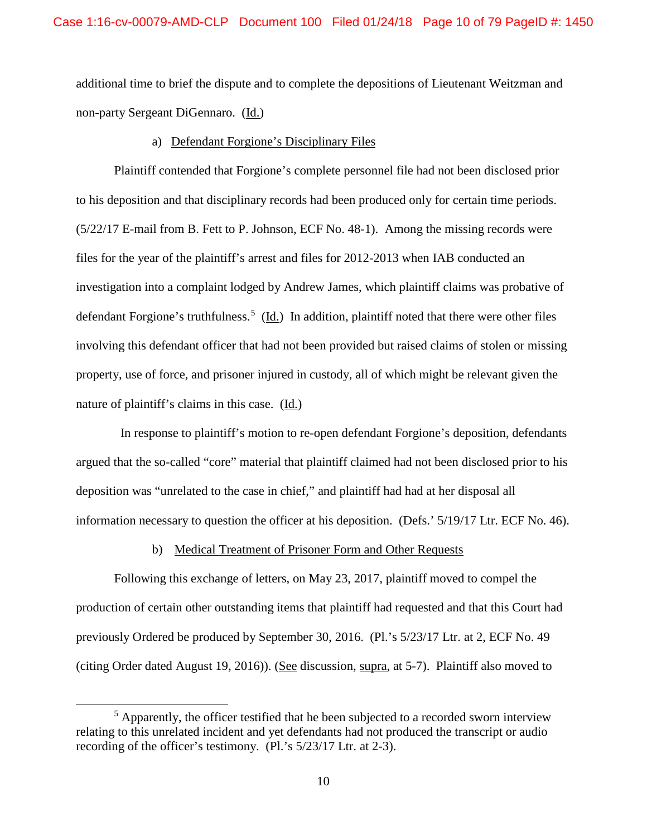additional time to brief the dispute and to complete the depositions of Lieutenant Weitzman and non-party Sergeant DiGennaro. (Id.)

## a) Defendant Forgione's Disciplinary Files

Plaintiff contended that Forgione's complete personnel file had not been disclosed prior to his deposition and that disciplinary records had been produced only for certain time periods. (5/22/17 E-mail from B. Fett to P. Johnson, ECF No. 48-1). Among the missing records were files for the year of the plaintiff's arrest and files for 2012-2013 when IAB conducted an investigation into a complaint lodged by Andrew James, which plaintiff claims was probative of defendant Forgione's truthfulness.<sup>5</sup> (Id.) In addition, plaintiff noted that there were other files involving this defendant officer that had not been provided but raised claims of stolen or missing property, use of force, and prisoner injured in custody, all of which might be relevant given the nature of plaintiff's claims in this case.  $(\underline{Id.})$ 

 In response to plaintiff's motion to re-open defendant Forgione's deposition, defendants argued that the so-called "core" material that plaintiff claimed had not been disclosed prior to his deposition was "unrelated to the case in chief," and plaintiff had had at her disposal all information necessary to question the officer at his deposition. (Defs.' 5/19/17 Ltr. ECF No. 46).

# b) Medical Treatment of Prisoner Form and Other Requests

Following this exchange of letters, on May 23, 2017, plaintiff moved to compel the production of certain other outstanding items that plaintiff had requested and that this Court had previously Ordered be produced by September 30, 2016. (Pl.'s 5/23/17 Ltr. at 2, ECF No. 49 (citing Order dated August 19, 2016)). (See discussion, supra, at 5-7). Plaintiff also moved to

 $\frac{1}{5}$  $<sup>5</sup>$  Apparently, the officer testified that he been subjected to a recorded sworn interview</sup> relating to this unrelated incident and yet defendants had not produced the transcript or audio recording of the officer's testimony. (Pl.'s 5/23/17 Ltr. at 2-3).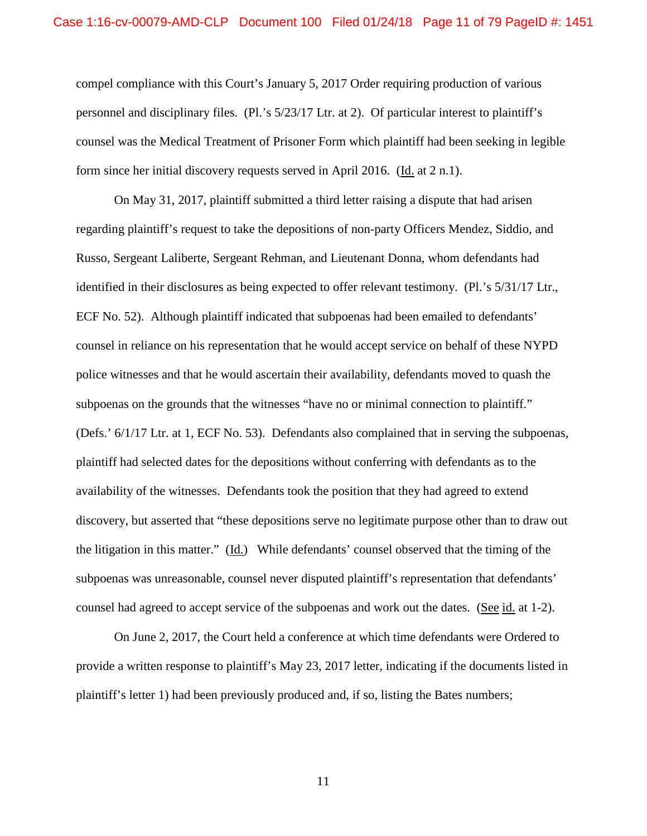compel compliance with this Court's January 5, 2017 Order requiring production of various personnel and disciplinary files. (Pl.'s 5/23/17 Ltr. at 2). Of particular interest to plaintiff's counsel was the Medical Treatment of Prisoner Form which plaintiff had been seeking in legible form since her initial discovery requests served in April 2016. (Id. at 2 n.1).

On May 31, 2017, plaintiff submitted a third letter raising a dispute that had arisen regarding plaintiff's request to take the depositions of non-party Officers Mendez, Siddio, and Russo, Sergeant Laliberte, Sergeant Rehman, and Lieutenant Donna, whom defendants had identified in their disclosures as being expected to offer relevant testimony. (Pl.'s 5/31/17 Ltr., ECF No. 52). Although plaintiff indicated that subpoenas had been emailed to defendants' counsel in reliance on his representation that he would accept service on behalf of these NYPD police witnesses and that he would ascertain their availability, defendants moved to quash the subpoenas on the grounds that the witnesses "have no or minimal connection to plaintiff." (Defs.' 6/1/17 Ltr. at 1, ECF No. 53). Defendants also complained that in serving the subpoenas, plaintiff had selected dates for the depositions without conferring with defendants as to the availability of the witnesses. Defendants took the position that they had agreed to extend discovery, but asserted that "these depositions serve no legitimate purpose other than to draw out the litigation in this matter." (Id.) While defendants' counsel observed that the timing of the subpoenas was unreasonable, counsel never disputed plaintiff's representation that defendants' counsel had agreed to accept service of the subpoenas and work out the dates. (See id. at 1-2).

On June 2, 2017, the Court held a conference at which time defendants were Ordered to provide a written response to plaintiff's May 23, 2017 letter, indicating if the documents listed in plaintiff's letter 1) had been previously produced and, if so, listing the Bates numbers;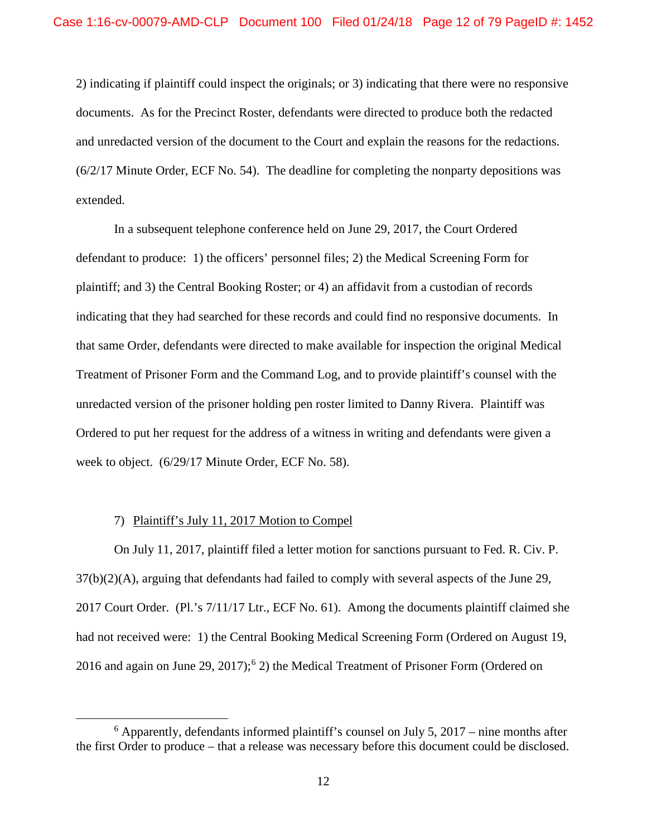2) indicating if plaintiff could inspect the originals; or 3) indicating that there were no responsive documents. As for the Precinct Roster, defendants were directed to produce both the redacted and unredacted version of the document to the Court and explain the reasons for the redactions.  $(6/2)/17$  Minute Order, ECF No. 54). The deadline for completing the nonparty depositions was extended.

In a subsequent telephone conference held on June 29, 2017, the Court Ordered defendant to produce: 1) the officers' personnel files; 2) the Medical Screening Form for plaintiff; and 3) the Central Booking Roster; or 4) an affidavit from a custodian of records indicating that they had searched for these records and could find no responsive documents. In that same Order, defendants were directed to make available for inspection the original Medical Treatment of Prisoner Form and the Command Log, and to provide plaintiff's counsel with the unredacted version of the prisoner holding pen roster limited to Danny Rivera. Plaintiff was Ordered to put her request for the address of a witness in writing and defendants were given a week to object. (6/29/17 Minute Order, ECF No. 58).

# 7) Plaintiff's July 11, 2017 Motion to Compel

On July 11, 2017, plaintiff filed a letter motion for sanctions pursuant to Fed. R. Civ. P. 37(b)(2)(A), arguing that defendants had failed to comply with several aspects of the June 29, 2017 Court Order. (Pl.'s 7/11/17 Ltr., ECF No. 61). Among the documents plaintiff claimed she had not received were: 1) the Central Booking Medical Screening Form (Ordered on August 19, 2016 and again on June 29, 2017);<sup>6</sup> 2) the Medical Treatment of Prisoner Form (Ordered on

 $\overline{6}$  $6$  Apparently, defendants informed plaintiff's counsel on July 5, 2017 – nine months after the first Order to produce – that a release was necessary before this document could be disclosed.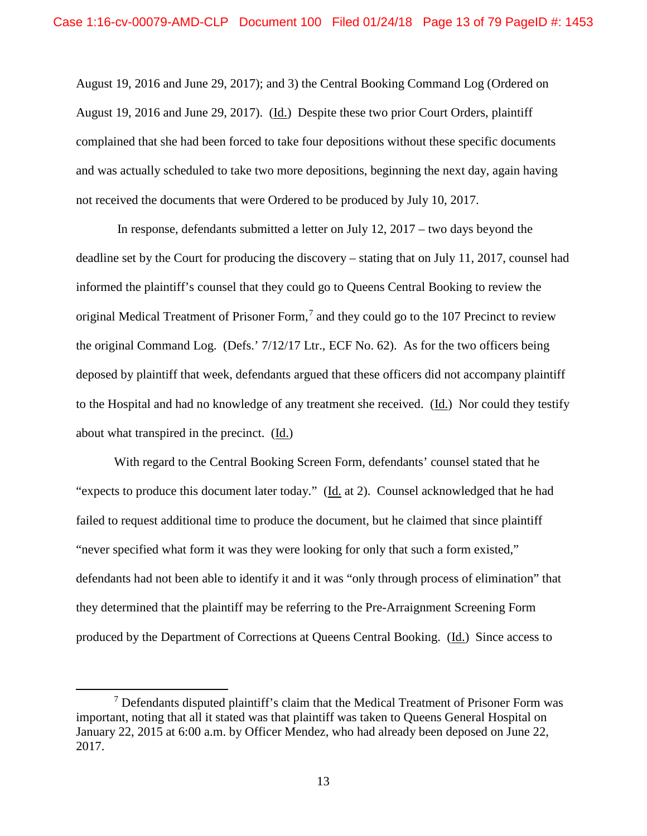August 19, 2016 and June 29, 2017); and 3) the Central Booking Command Log (Ordered on August 19, 2016 and June 29, 2017). (Id.) Despite these two prior Court Orders, plaintiff complained that she had been forced to take four depositions without these specific documents and was actually scheduled to take two more depositions, beginning the next day, again having not received the documents that were Ordered to be produced by July 10, 2017.

 In response, defendants submitted a letter on July 12, 2017 – two days beyond the deadline set by the Court for producing the discovery – stating that on July 11, 2017, counsel had informed the plaintiff's counsel that they could go to Queens Central Booking to review the original Medical Treatment of Prisoner Form,<sup>7</sup> and they could go to the 107 Precinct to review the original Command Log. (Defs.' 7/12/17 Ltr., ECF No. 62). As for the two officers being deposed by plaintiff that week, defendants argued that these officers did not accompany plaintiff to the Hospital and had no knowledge of any treatment she received. (Id.) Nor could they testify about what transpired in the precinct. (Id.)

With regard to the Central Booking Screen Form, defendants' counsel stated that he "expects to produce this document later today." (Id. at 2). Counsel acknowledged that he had failed to request additional time to produce the document, but he claimed that since plaintiff "never specified what form it was they were looking for only that such a form existed," defendants had not been able to identify it and it was "only through process of elimination" that they determined that the plaintiff may be referring to the Pre-Arraignment Screening Form produced by the Department of Corrections at Queens Central Booking. (Id.) Since access to

 <sup>7</sup> Defendants disputed plaintiff's claim that the Medical Treatment of Prisoner Form was important, noting that all it stated was that plaintiff was taken to Queens General Hospital on January 22, 2015 at 6:00 a.m. by Officer Mendez, who had already been deposed on June 22, 2017.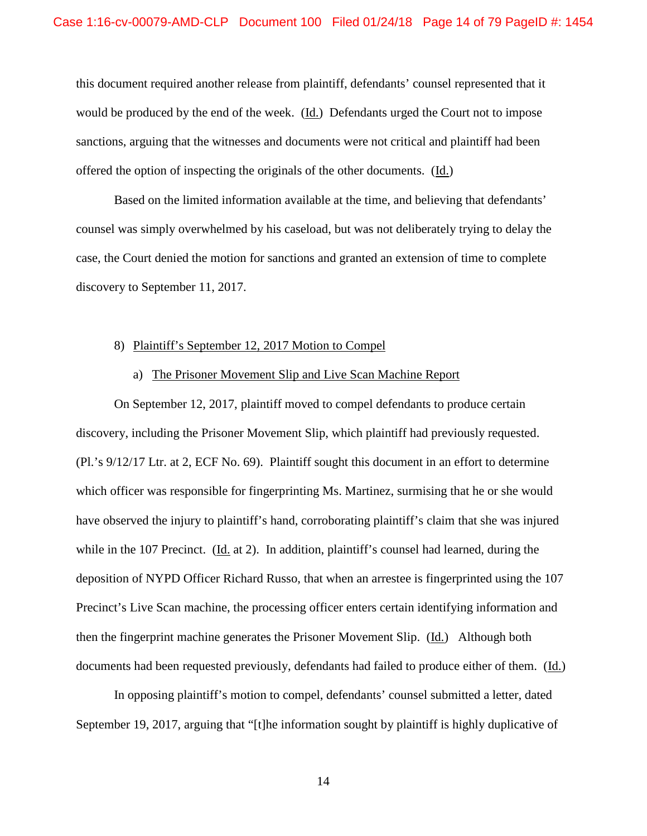this document required another release from plaintiff, defendants' counsel represented that it would be produced by the end of the week. (Id.) Defendants urged the Court not to impose sanctions, arguing that the witnesses and documents were not critical and plaintiff had been offered the option of inspecting the originals of the other documents. (Id.)

Based on the limited information available at the time, and believing that defendants' counsel was simply overwhelmed by his caseload, but was not deliberately trying to delay the case, the Court denied the motion for sanctions and granted an extension of time to complete discovery to September 11, 2017.

#### 8) Plaintiff's September 12, 2017 Motion to Compel

# a) The Prisoner Movement Slip and Live Scan Machine Report

On September 12, 2017, plaintiff moved to compel defendants to produce certain discovery, including the Prisoner Movement Slip, which plaintiff had previously requested. (Pl.'s 9/12/17 Ltr. at 2, ECF No. 69). Plaintiff sought this document in an effort to determine which officer was responsible for fingerprinting Ms. Martinez, surmising that he or she would have observed the injury to plaintiff's hand, corroborating plaintiff's claim that she was injured while in the 107 Precinct. (Id. at 2). In addition, plaintiff's counsel had learned, during the deposition of NYPD Officer Richard Russo, that when an arrestee is fingerprinted using the 107 Precinct's Live Scan machine, the processing officer enters certain identifying information and then the fingerprint machine generates the Prisoner Movement Slip. (Id.) Although both documents had been requested previously, defendants had failed to produce either of them. (Id.)

In opposing plaintiff's motion to compel, defendants' counsel submitted a letter, dated September 19, 2017, arguing that "[t]he information sought by plaintiff is highly duplicative of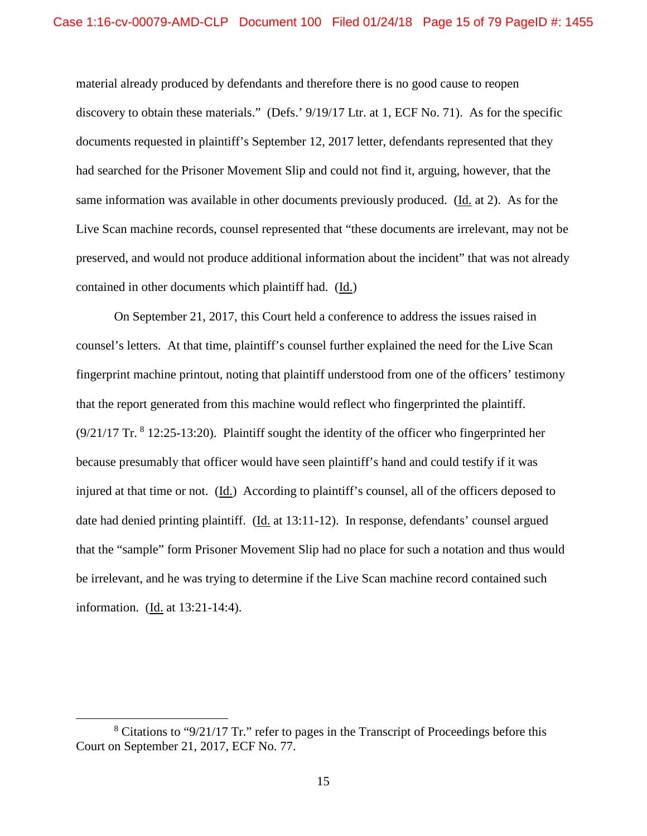material already produced by defendants and therefore there is no good cause to reopen discovery to obtain these materials." (Defs.' 9/19/17 Ltr. at 1, ECF No. 71). As for the specific documents requested in plaintiff's September 12, 2017 letter, defendants represented that they had searched for the Prisoner Movement Slip and could not find it, arguing, however, that the same information was available in other documents previously produced. (Id. at 2). As for the Live Scan machine records, counsel represented that "these documents are irrelevant, may not be preserved, and would not produce additional information about the incident" that was not already contained in other documents which plaintiff had. (Id.)

On September 21, 2017, this Court held a conference to address the issues raised in counsel's letters. At that time, plaintiff's counsel further explained the need for the Live Scan fingerprint machine printout, noting that plaintiff understood from one of the officers' testimony that the report generated from this machine would reflect who fingerprinted the plaintiff.  $(9/21/17$  Tr.  $8$  12:25-13:20). Plaintiff sought the identity of the officer who fingerprinted her because presumably that officer would have seen plaintiff's hand and could testify if it was injured at that time or not. (Id.) According to plaintiff's counsel, all of the officers deposed to date had denied printing plaintiff. (Id. at 13:11-12). In response, defendants' counsel argued that the "sample" form Prisoner Movement Slip had no place for such a notation and thus would be irrelevant, and he was trying to determine if the Live Scan machine record contained such information. (Id. at 13:21-14:4).

 <sup>8</sup>  $8$  Citations to "9/21/17 Tr." refer to pages in the Transcript of Proceedings before this Court on September 21, 2017, ECF No. 77.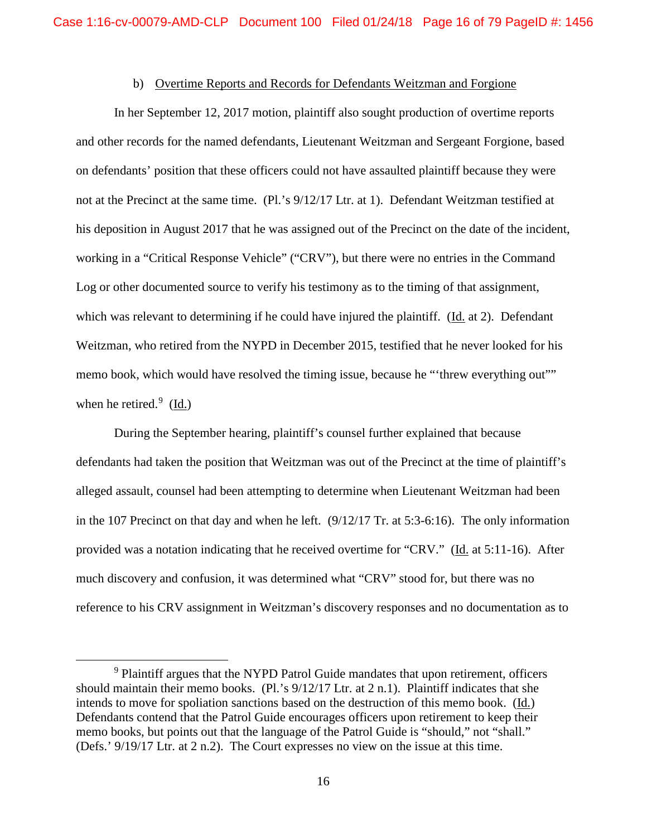# b) Overtime Reports and Records for Defendants Weitzman and Forgione

In her September 12, 2017 motion, plaintiff also sought production of overtime reports and other records for the named defendants, Lieutenant Weitzman and Sergeant Forgione, based on defendants' position that these officers could not have assaulted plaintiff because they were not at the Precinct at the same time. (Pl.'s 9/12/17 Ltr. at 1). Defendant Weitzman testified at his deposition in August 2017 that he was assigned out of the Precinct on the date of the incident, working in a "Critical Response Vehicle" ("CRV"), but there were no entries in the Command Log or other documented source to verify his testimony as to the timing of that assignment, which was relevant to determining if he could have injured the plaintiff. (Id. at 2). Defendant Weitzman, who retired from the NYPD in December 2015, testified that he never looked for his memo book, which would have resolved the timing issue, because he "threw everything out"" when he retired. $9 \; (\underline{Id.})$ 

During the September hearing, plaintiff's counsel further explained that because defendants had taken the position that Weitzman was out of the Precinct at the time of plaintiff's alleged assault, counsel had been attempting to determine when Lieutenant Weitzman had been in the 107 Precinct on that day and when he left.  $(9/12/17 \text{ Tr. at } 5:3-6:16)$ . The only information provided was a notation indicating that he received overtime for "CRV." (Id. at 5:11-16). After much discovery and confusion, it was determined what "CRV" stood for, but there was no reference to his CRV assignment in Weitzman's discovery responses and no documentation as to

<sup>&</sup>lt;sup>9</sup> Plaintiff argues that the NYPD Patrol Guide mandates that upon retirement, officers should maintain their memo books. (Pl.'s 9/12/17 Ltr. at 2 n.1). Plaintiff indicates that she intends to move for spoliation sanctions based on the destruction of this memo book. (Id.) Defendants contend that the Patrol Guide encourages officers upon retirement to keep their memo books, but points out that the language of the Patrol Guide is "should," not "shall." (Defs.' 9/19/17 Ltr. at 2 n.2). The Court expresses no view on the issue at this time.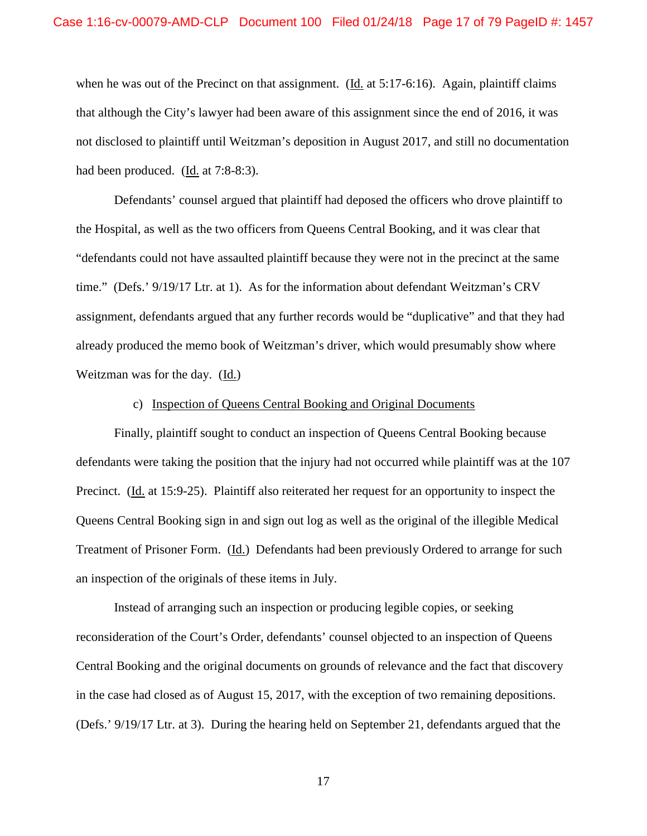when he was out of the Precinct on that assignment. ( $\underline{Id}$ , at 5:17-6:16). Again, plaintiff claims that although the City's lawyer had been aware of this assignment since the end of 2016, it was not disclosed to plaintiff until Weitzman's deposition in August 2017, and still no documentation had been produced. (Id. at 7:8-8:3).

Defendants' counsel argued that plaintiff had deposed the officers who drove plaintiff to the Hospital, as well as the two officers from Queens Central Booking, and it was clear that "defendants could not have assaulted plaintiff because they were not in the precinct at the same time." (Defs.' 9/19/17 Ltr. at 1). As for the information about defendant Weitzman's CRV assignment, defendants argued that any further records would be "duplicative" and that they had already produced the memo book of Weitzman's driver, which would presumably show where Weitzman was for the day. (Id.)

## c) Inspection of Queens Central Booking and Original Documents

Finally, plaintiff sought to conduct an inspection of Queens Central Booking because defendants were taking the position that the injury had not occurred while plaintiff was at the 107 Precinct. (Id. at 15:9-25). Plaintiff also reiterated her request for an opportunity to inspect the Queens Central Booking sign in and sign out log as well as the original of the illegible Medical Treatment of Prisoner Form. (Id.) Defendants had been previously Ordered to arrange for such an inspection of the originals of these items in July.

Instead of arranging such an inspection or producing legible copies, or seeking reconsideration of the Court's Order, defendants' counsel objected to an inspection of Queens Central Booking and the original documents on grounds of relevance and the fact that discovery in the case had closed as of August 15, 2017, with the exception of two remaining depositions. (Defs.' 9/19/17 Ltr. at 3). During the hearing held on September 21, defendants argued that the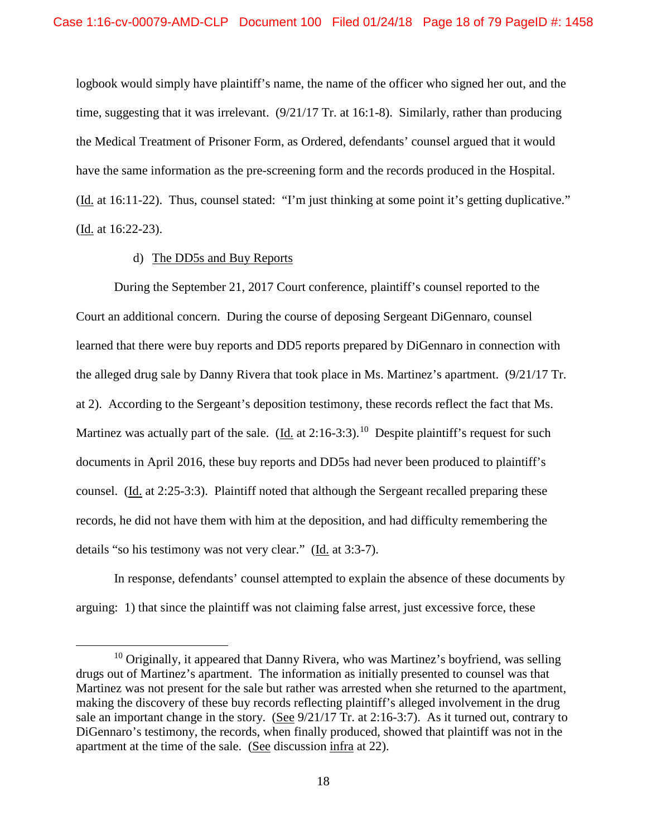logbook would simply have plaintiff's name, the name of the officer who signed her out, and the time, suggesting that it was irrelevant. (9/21/17 Tr. at 16:1-8). Similarly, rather than producing the Medical Treatment of Prisoner Form, as Ordered, defendants' counsel argued that it would have the same information as the pre-screening form and the records produced in the Hospital. (Id. at 16:11-22). Thus, counsel stated: "I'm just thinking at some point it's getting duplicative." (Id. at 16:22-23).

# d) The DD5s and Buy Reports

During the September 21, 2017 Court conference, plaintiff's counsel reported to the Court an additional concern. During the course of deposing Sergeant DiGennaro, counsel learned that there were buy reports and DD5 reports prepared by DiGennaro in connection with the alleged drug sale by Danny Rivera that took place in Ms. Martinez's apartment. (9/21/17 Tr. at 2). According to the Sergeant's deposition testimony, these records reflect the fact that Ms. Martinez was actually part of the sale. (Id. at  $2:16-3:3$ ).<sup>10</sup> Despite plaintiff's request for such documents in April 2016, these buy reports and DD5s had never been produced to plaintiff's counsel. (Id. at 2:25-3:3). Plaintiff noted that although the Sergeant recalled preparing these records, he did not have them with him at the deposition, and had difficulty remembering the details "so his testimony was not very clear." (Id. at 3:3-7).

In response, defendants' counsel attempted to explain the absence of these documents by arguing: 1) that since the plaintiff was not claiming false arrest, just excessive force, these

 $10$  Originally, it appeared that Danny Rivera, who was Martinez's boyfriend, was selling drugs out of Martinez's apartment. The information as initially presented to counsel was that Martinez was not present for the sale but rather was arrested when she returned to the apartment, making the discovery of these buy records reflecting plaintiff's alleged involvement in the drug sale an important change in the story. (See 9/21/17 Tr. at 2:16-3:7). As it turned out, contrary to DiGennaro's testimony, the records, when finally produced, showed that plaintiff was not in the apartment at the time of the sale. (See discussion infra at 22).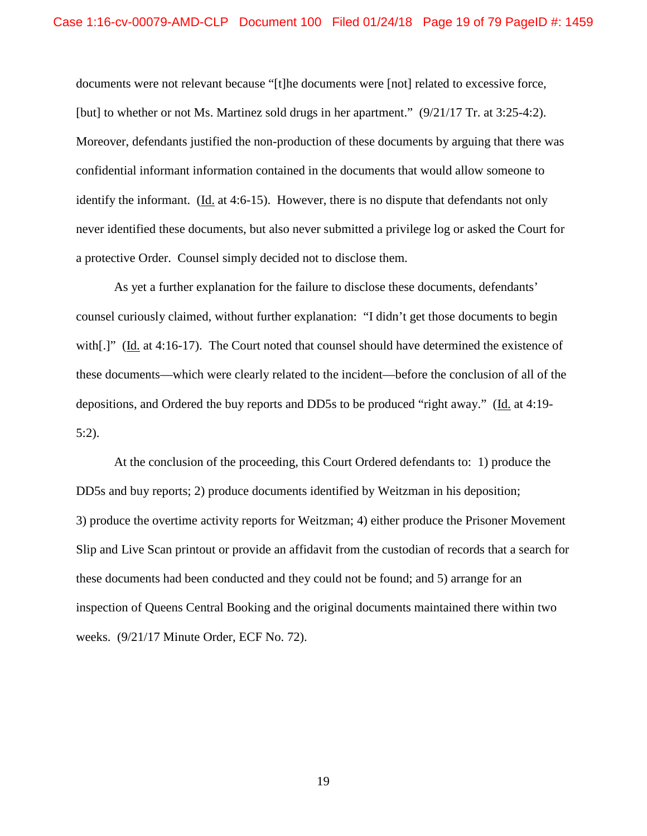documents were not relevant because "[t]he documents were [not] related to excessive force, [but] to whether or not Ms. Martinez sold drugs in her apartment." (9/21/17 Tr. at 3:25-4:2). Moreover, defendants justified the non-production of these documents by arguing that there was confidential informant information contained in the documents that would allow someone to identify the informant. (Id. at 4:6-15). However, there is no dispute that defendants not only never identified these documents, but also never submitted a privilege log or asked the Court for a protective Order. Counsel simply decided not to disclose them.

As yet a further explanation for the failure to disclose these documents, defendants' counsel curiously claimed, without further explanation: "I didn't get those documents to begin with[.]" (Id. at 4:16-17). The Court noted that counsel should have determined the existence of these documents—which were clearly related to the incident—before the conclusion of all of the depositions, and Ordered the buy reports and DD5s to be produced "right away." (Id. at 4:19- 5:2).

At the conclusion of the proceeding, this Court Ordered defendants to: 1) produce the DD5s and buy reports; 2) produce documents identified by Weitzman in his deposition; 3) produce the overtime activity reports for Weitzman; 4) either produce the Prisoner Movement Slip and Live Scan printout or provide an affidavit from the custodian of records that a search for these documents had been conducted and they could not be found; and 5) arrange for an inspection of Queens Central Booking and the original documents maintained there within two weeks. (9/21/17 Minute Order, ECF No. 72).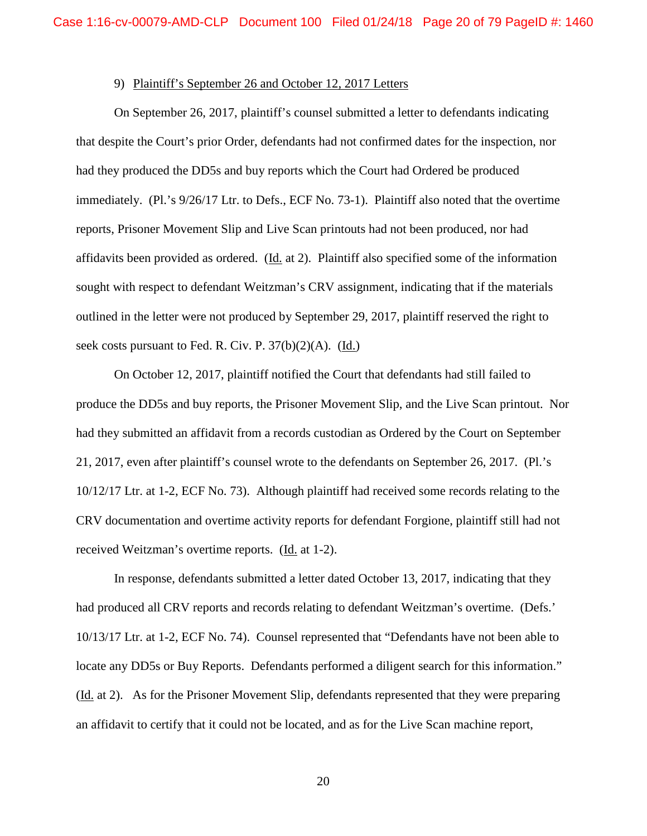## 9) Plaintiff's September 26 and October 12, 2017 Letters

On September 26, 2017, plaintiff's counsel submitted a letter to defendants indicating that despite the Court's prior Order, defendants had not confirmed dates for the inspection, nor had they produced the DD5s and buy reports which the Court had Ordered be produced immediately. (Pl.'s 9/26/17 Ltr. to Defs., ECF No. 73-1). Plaintiff also noted that the overtime reports, Prisoner Movement Slip and Live Scan printouts had not been produced, nor had affidavits been provided as ordered. (Id. at 2). Plaintiff also specified some of the information sought with respect to defendant Weitzman's CRV assignment, indicating that if the materials outlined in the letter were not produced by September 29, 2017, plaintiff reserved the right to seek costs pursuant to Fed. R. Civ. P. 37(b)(2)(A). (Id.)

On October 12, 2017, plaintiff notified the Court that defendants had still failed to produce the DD5s and buy reports, the Prisoner Movement Slip, and the Live Scan printout. Nor had they submitted an affidavit from a records custodian as Ordered by the Court on September 21, 2017, even after plaintiff's counsel wrote to the defendants on September 26, 2017. (Pl.'s 10/12/17 Ltr. at 1-2, ECF No. 73). Although plaintiff had received some records relating to the CRV documentation and overtime activity reports for defendant Forgione, plaintiff still had not received Weitzman's overtime reports. (Id. at 1-2).

In response, defendants submitted a letter dated October 13, 2017, indicating that they had produced all CRV reports and records relating to defendant Weitzman's overtime. (Defs.' 10/13/17 Ltr. at 1-2, ECF No. 74). Counsel represented that "Defendants have not been able to locate any DD5s or Buy Reports. Defendants performed a diligent search for this information." (Id. at 2). As for the Prisoner Movement Slip, defendants represented that they were preparing an affidavit to certify that it could not be located, and as for the Live Scan machine report,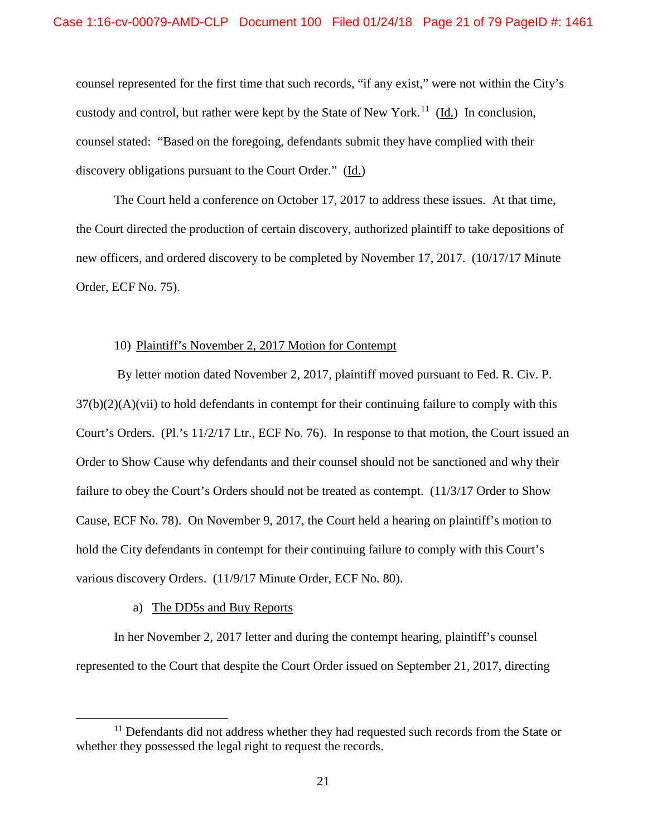counsel represented for the first time that such records, "if any exist," were not within the City's custody and control, but rather were kept by the State of New York.<sup>11</sup> (Id.) In conclusion, counsel stated: "Based on the foregoing, defendants submit they have complied with their discovery obligations pursuant to the Court Order." (Id.)

The Court held a conference on October 17, 2017 to address these issues. At that time, the Court directed the production of certain discovery, authorized plaintiff to take depositions of new officers, and ordered discovery to be completed by November 17, 2017. (10/17/17 Minute Order, ECF No. 75).

### 10) Plaintiff's November 2, 2017 Motion for Contempt

 By letter motion dated November 2, 2017, plaintiff moved pursuant to Fed. R. Civ. P.  $37(b)(2)(A)(vii)$  to hold defendants in contempt for their continuing failure to comply with this Court's Orders. (Pl.'s 11/2/17 Ltr., ECF No. 76). In response to that motion, the Court issued an Order to Show Cause why defendants and their counsel should not be sanctioned and why their failure to obey the Court's Orders should not be treated as contempt. (11/3/17 Order to Show Cause, ECF No. 78). On November 9, 2017, the Court held a hearing on plaintiff's motion to hold the City defendants in contempt for their continuing failure to comply with this Court's various discovery Orders. (11/9/17 Minute Order, ECF No. 80).

## a) The DD5s and Buy Reports

 In her November 2, 2017 letter and during the contempt hearing, plaintiff's counsel represented to the Court that despite the Court Order issued on September 21, 2017, directing

 $11$  Defendants did not address whether they had requested such records from the State or whether they possessed the legal right to request the records.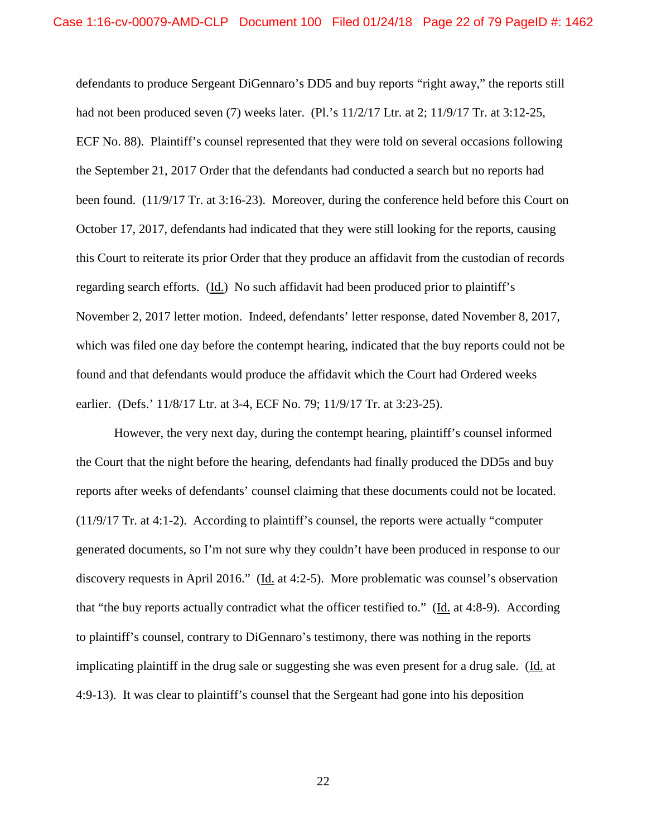defendants to produce Sergeant DiGennaro's DD5 and buy reports "right away," the reports still had not been produced seven (7) weeks later. (Pl.'s 11/2/17 Ltr. at 2; 11/9/17 Tr. at 3:12-25, ECF No. 88). Plaintiff's counsel represented that they were told on several occasions following the September 21, 2017 Order that the defendants had conducted a search but no reports had been found. (11/9/17 Tr. at 3:16-23). Moreover, during the conference held before this Court on October 17, 2017, defendants had indicated that they were still looking for the reports, causing this Court to reiterate its prior Order that they produce an affidavit from the custodian of records regarding search efforts. (Id.) No such affidavit had been produced prior to plaintiff's November 2, 2017 letter motion. Indeed, defendants' letter response, dated November 8, 2017, which was filed one day before the contempt hearing, indicated that the buy reports could not be found and that defendants would produce the affidavit which the Court had Ordered weeks earlier. (Defs.' 11/8/17 Ltr. at 3-4, ECF No. 79; 11/9/17 Tr. at 3:23-25).

However, the very next day, during the contempt hearing, plaintiff's counsel informed the Court that the night before the hearing, defendants had finally produced the DD5s and buy reports after weeks of defendants' counsel claiming that these documents could not be located. (11/9/17 Tr. at 4:1-2). According to plaintiff's counsel, the reports were actually "computer generated documents, so I'm not sure why they couldn't have been produced in response to our discovery requests in April 2016." (Id. at 4:2-5). More problematic was counsel's observation that "the buy reports actually contradict what the officer testified to." (Id. at 4:8-9). According to plaintiff's counsel, contrary to DiGennaro's testimony, there was nothing in the reports implicating plaintiff in the drug sale or suggesting she was even present for a drug sale. (Id. at 4:9-13). It was clear to plaintiff's counsel that the Sergeant had gone into his deposition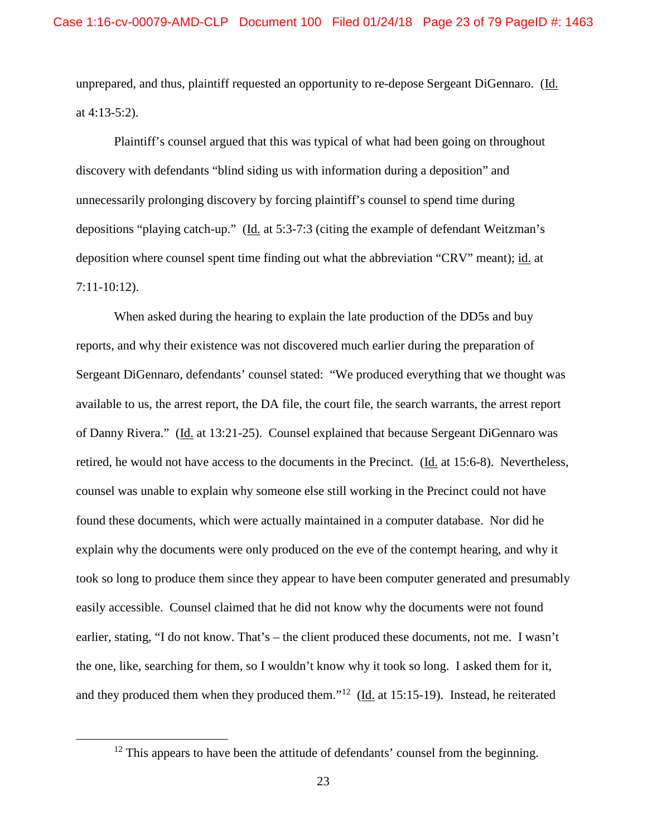unprepared, and thus, plaintiff requested an opportunity to re-depose Sergeant DiGennaro. (Id. at 4:13-5:2).

Plaintiff's counsel argued that this was typical of what had been going on throughout discovery with defendants "blind siding us with information during a deposition" and unnecessarily prolonging discovery by forcing plaintiff's counsel to spend time during depositions "playing catch-up." (Id. at 5:3-7:3 (citing the example of defendant Weitzman's deposition where counsel spent time finding out what the abbreviation "CRV" meant); id. at 7:11-10:12).

When asked during the hearing to explain the late production of the DD5s and buy reports, and why their existence was not discovered much earlier during the preparation of Sergeant DiGennaro, defendants' counsel stated: "We produced everything that we thought was available to us, the arrest report, the DA file, the court file, the search warrants, the arrest report of Danny Rivera." (Id. at 13:21-25). Counsel explained that because Sergeant DiGennaro was retired, he would not have access to the documents in the Precinct. (Id. at 15:6-8). Nevertheless, counsel was unable to explain why someone else still working in the Precinct could not have found these documents, which were actually maintained in a computer database. Nor did he explain why the documents were only produced on the eve of the contempt hearing, and why it took so long to produce them since they appear to have been computer generated and presumably easily accessible. Counsel claimed that he did not know why the documents were not found earlier, stating, "I do not know. That's – the client produced these documents, not me. I wasn't the one, like, searching for them, so I wouldn't know why it took so long. I asked them for it, and they produced them when they produced them."12 (Id. at 15:15-19). Instead, he reiterated

 $12$  This appears to have been the attitude of defendants' counsel from the beginning.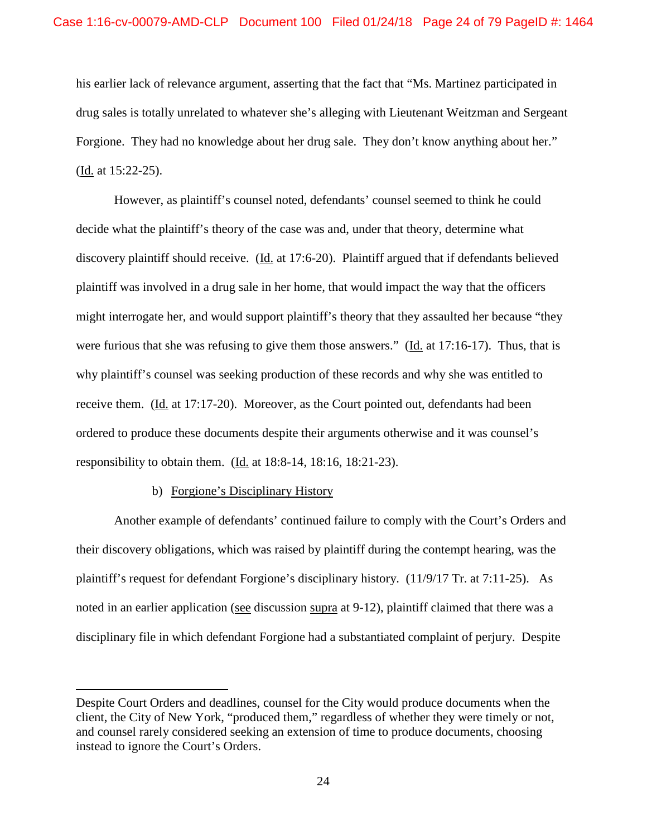his earlier lack of relevance argument, asserting that the fact that "Ms. Martinez participated in drug sales is totally unrelated to whatever she's alleging with Lieutenant Weitzman and Sergeant Forgione. They had no knowledge about her drug sale. They don't know anything about her." (Id. at 15:22-25).

However, as plaintiff's counsel noted, defendants' counsel seemed to think he could decide what the plaintiff's theory of the case was and, under that theory, determine what discovery plaintiff should receive. (Id. at 17:6-20). Plaintiff argued that if defendants believed plaintiff was involved in a drug sale in her home, that would impact the way that the officers might interrogate her, and would support plaintiff's theory that they assaulted her because "they were furious that she was refusing to give them those answers." (Id. at 17:16-17). Thus, that is why plaintiff's counsel was seeking production of these records and why she was entitled to receive them. (Id. at 17:17-20). Moreover, as the Court pointed out, defendants had been ordered to produce these documents despite their arguments otherwise and it was counsel's responsibility to obtain them. (Id. at 18:8-14, 18:16, 18:21-23).

# b) Forgione's Disciplinary History

 $\overline{a}$ 

Another example of defendants' continued failure to comply with the Court's Orders and their discovery obligations, which was raised by plaintiff during the contempt hearing, was the plaintiff's request for defendant Forgione's disciplinary history. (11/9/17 Tr. at 7:11-25). As noted in an earlier application (see discussion supra at 9-12), plaintiff claimed that there was a disciplinary file in which defendant Forgione had a substantiated complaint of perjury. Despite

Despite Court Orders and deadlines, counsel for the City would produce documents when the client, the City of New York, "produced them," regardless of whether they were timely or not, and counsel rarely considered seeking an extension of time to produce documents, choosing instead to ignore the Court's Orders.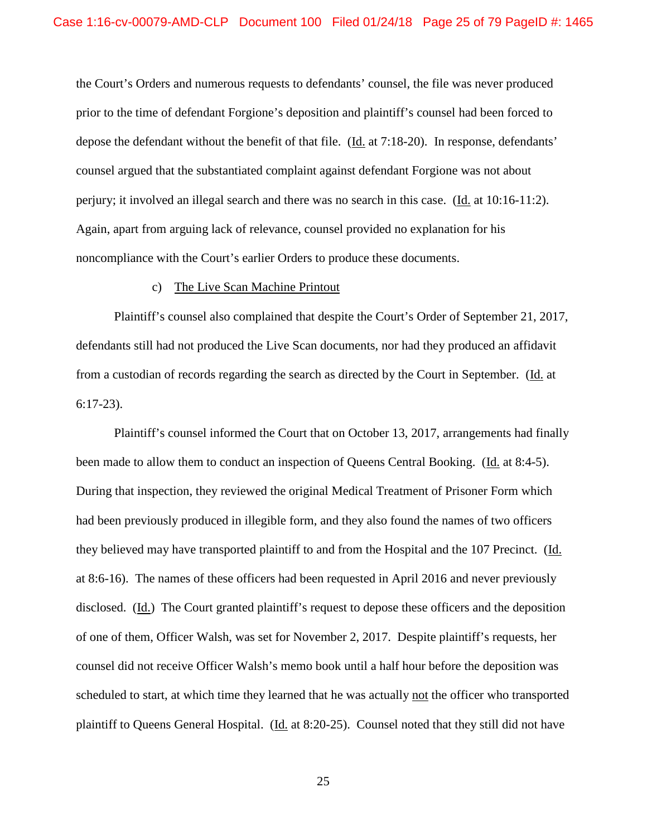the Court's Orders and numerous requests to defendants' counsel, the file was never produced prior to the time of defendant Forgione's deposition and plaintiff's counsel had been forced to depose the defendant without the benefit of that file. (Id. at 7:18-20). In response, defendants' counsel argued that the substantiated complaint against defendant Forgione was not about perjury; it involved an illegal search and there was no search in this case. (Id. at 10:16-11:2). Again, apart from arguing lack of relevance, counsel provided no explanation for his noncompliance with the Court's earlier Orders to produce these documents.

# c) The Live Scan Machine Printout

Plaintiff's counsel also complained that despite the Court's Order of September 21, 2017, defendants still had not produced the Live Scan documents, nor had they produced an affidavit from a custodian of records regarding the search as directed by the Court in September. (Id. at 6:17-23).

Plaintiff's counsel informed the Court that on October 13, 2017, arrangements had finally been made to allow them to conduct an inspection of Queens Central Booking. (Id. at 8:4-5). During that inspection, they reviewed the original Medical Treatment of Prisoner Form which had been previously produced in illegible form, and they also found the names of two officers they believed may have transported plaintiff to and from the Hospital and the 107 Precinct. (Id. at 8:6-16). The names of these officers had been requested in April 2016 and never previously disclosed. (Id.) The Court granted plaintiff's request to depose these officers and the deposition of one of them, Officer Walsh, was set for November 2, 2017. Despite plaintiff's requests, her counsel did not receive Officer Walsh's memo book until a half hour before the deposition was scheduled to start, at which time they learned that he was actually not the officer who transported plaintiff to Queens General Hospital. (Id. at 8:20-25). Counsel noted that they still did not have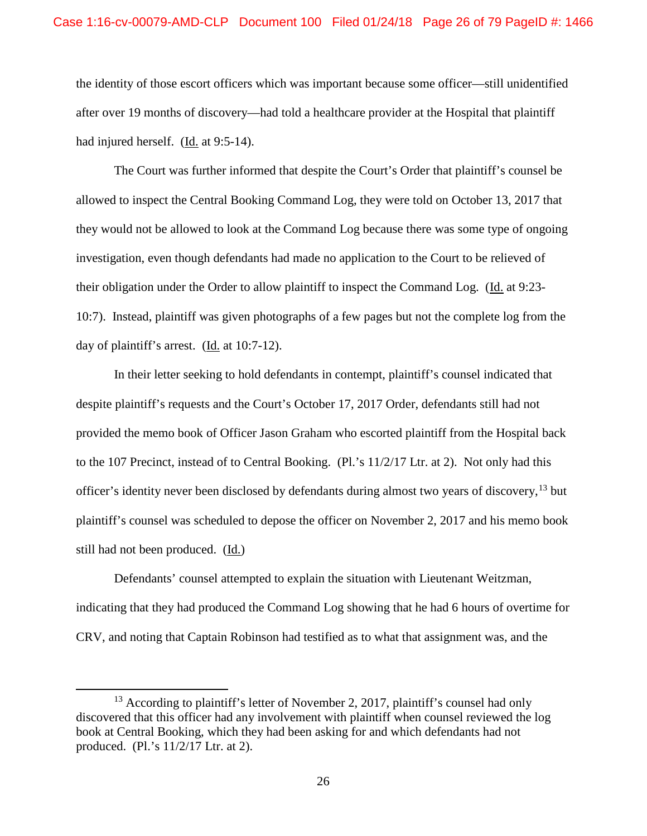the identity of those escort officers which was important because some officer—still unidentified after over 19 months of discovery—had told a healthcare provider at the Hospital that plaintiff had injured herself. (Id. at 9:5-14).

The Court was further informed that despite the Court's Order that plaintiff's counsel be allowed to inspect the Central Booking Command Log, they were told on October 13, 2017 that they would not be allowed to look at the Command Log because there was some type of ongoing investigation, even though defendants had made no application to the Court to be relieved of their obligation under the Order to allow plaintiff to inspect the Command Log. (Id. at 9:23- 10:7). Instead, plaintiff was given photographs of a few pages but not the complete log from the day of plaintiff's arrest. (Id. at 10:7-12).

In their letter seeking to hold defendants in contempt, plaintiff's counsel indicated that despite plaintiff's requests and the Court's October 17, 2017 Order, defendants still had not provided the memo book of Officer Jason Graham who escorted plaintiff from the Hospital back to the 107 Precinct, instead of to Central Booking. (Pl.'s 11/2/17 Ltr. at 2). Not only had this officer's identity never been disclosed by defendants during almost two years of discovery, <sup>13</sup> but plaintiff's counsel was scheduled to depose the officer on November 2, 2017 and his memo book still had not been produced. (Id.)

Defendants' counsel attempted to explain the situation with Lieutenant Weitzman, indicating that they had produced the Command Log showing that he had 6 hours of overtime for CRV, and noting that Captain Robinson had testified as to what that assignment was, and the

<sup>&</sup>lt;sup>13</sup> According to plaintiff's letter of November 2, 2017, plaintiff's counsel had only discovered that this officer had any involvement with plaintiff when counsel reviewed the log book at Central Booking, which they had been asking for and which defendants had not produced. (Pl.'s 11/2/17 Ltr. at 2).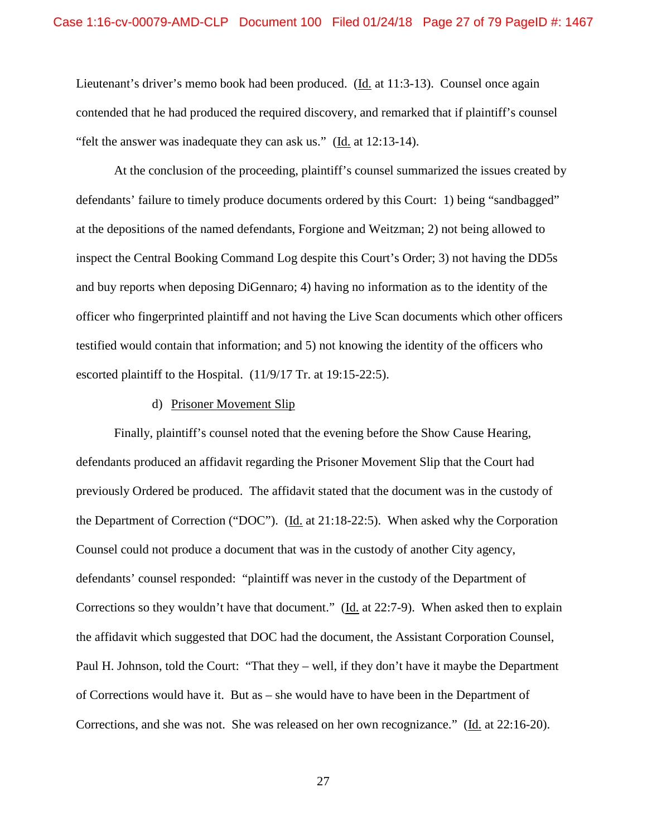Lieutenant's driver's memo book had been produced. (Id. at 11:3-13). Counsel once again contended that he had produced the required discovery, and remarked that if plaintiff's counsel "felt the answer was inadequate they can ask us." (Id. at 12:13-14).

At the conclusion of the proceeding, plaintiff's counsel summarized the issues created by defendants' failure to timely produce documents ordered by this Court: 1) being "sandbagged" at the depositions of the named defendants, Forgione and Weitzman; 2) not being allowed to inspect the Central Booking Command Log despite this Court's Order; 3) not having the DD5s and buy reports when deposing DiGennaro; 4) having no information as to the identity of the officer who fingerprinted plaintiff and not having the Live Scan documents which other officers testified would contain that information; and 5) not knowing the identity of the officers who escorted plaintiff to the Hospital. (11/9/17 Tr. at 19:15-22:5).

#### d) Prisoner Movement Slip

Finally, plaintiff's counsel noted that the evening before the Show Cause Hearing, defendants produced an affidavit regarding the Prisoner Movement Slip that the Court had previously Ordered be produced. The affidavit stated that the document was in the custody of the Department of Correction ("DOC"). (Id. at 21:18-22:5). When asked why the Corporation Counsel could not produce a document that was in the custody of another City agency, defendants' counsel responded: "plaintiff was never in the custody of the Department of Corrections so they wouldn't have that document." (Id. at 22:7-9). When asked then to explain the affidavit which suggested that DOC had the document, the Assistant Corporation Counsel, Paul H. Johnson, told the Court: "That they – well, if they don't have it maybe the Department of Corrections would have it. But as – she would have to have been in the Department of Corrections, and she was not. She was released on her own recognizance." (Id. at 22:16-20).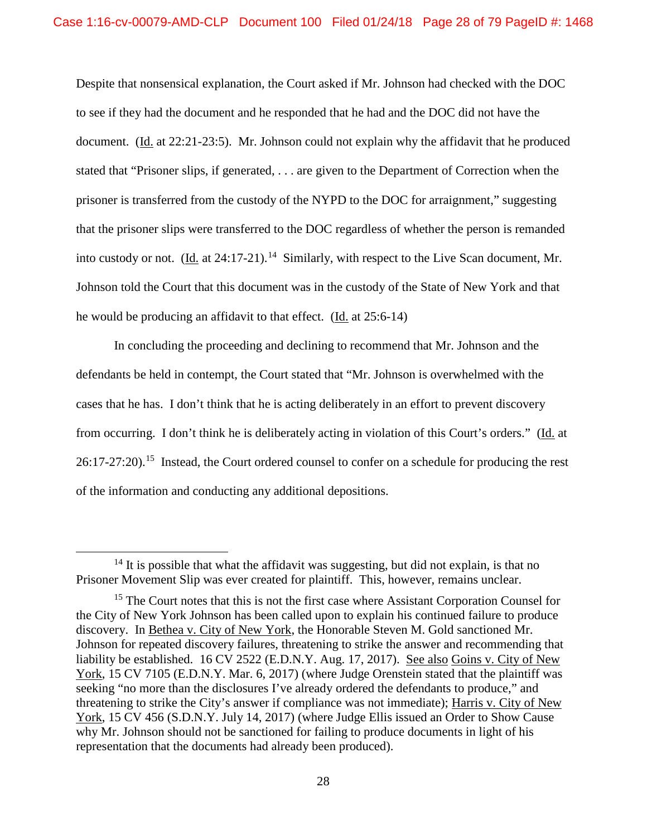Despite that nonsensical explanation, the Court asked if Mr. Johnson had checked with the DOC to see if they had the document and he responded that he had and the DOC did not have the document. (Id. at 22:21-23:5). Mr. Johnson could not explain why the affidavit that he produced stated that "Prisoner slips, if generated, . . . are given to the Department of Correction when the prisoner is transferred from the custody of the NYPD to the DOC for arraignment," suggesting that the prisoner slips were transferred to the DOC regardless of whether the person is remanded into custody or not. (Id. at  $24:17-21$ ).<sup>14</sup> Similarly, with respect to the Live Scan document, Mr. Johnson told the Court that this document was in the custody of the State of New York and that he would be producing an affidavit to that effect. (Id. at 25:6-14)

In concluding the proceeding and declining to recommend that Mr. Johnson and the defendants be held in contempt, the Court stated that "Mr. Johnson is overwhelmed with the cases that he has. I don't think that he is acting deliberately in an effort to prevent discovery from occurring. I don't think he is deliberately acting in violation of this Court's orders." (Id. at 26:17-27:20).15 Instead, the Court ordered counsel to confer on a schedule for producing the rest of the information and conducting any additional depositions.

 $14$  It is possible that what the affidavit was suggesting, but did not explain, is that no Prisoner Movement Slip was ever created for plaintiff. This, however, remains unclear.

<sup>&</sup>lt;sup>15</sup> The Court notes that this is not the first case where Assistant Corporation Counsel for the City of New York Johnson has been called upon to explain his continued failure to produce discovery. In Bethea v. City of New York, the Honorable Steven M. Gold sanctioned Mr. Johnson for repeated discovery failures, threatening to strike the answer and recommending that liability be established. 16 CV 2522 (E.D.N.Y. Aug. 17, 2017). See also Goins v. City of New York, 15 CV 7105 (E.D.N.Y. Mar. 6, 2017) (where Judge Orenstein stated that the plaintiff was seeking "no more than the disclosures I've already ordered the defendants to produce," and threatening to strike the City's answer if compliance was not immediate); Harris v. City of New York, 15 CV 456 (S.D.N.Y. July 14, 2017) (where Judge Ellis issued an Order to Show Cause why Mr. Johnson should not be sanctioned for failing to produce documents in light of his representation that the documents had already been produced).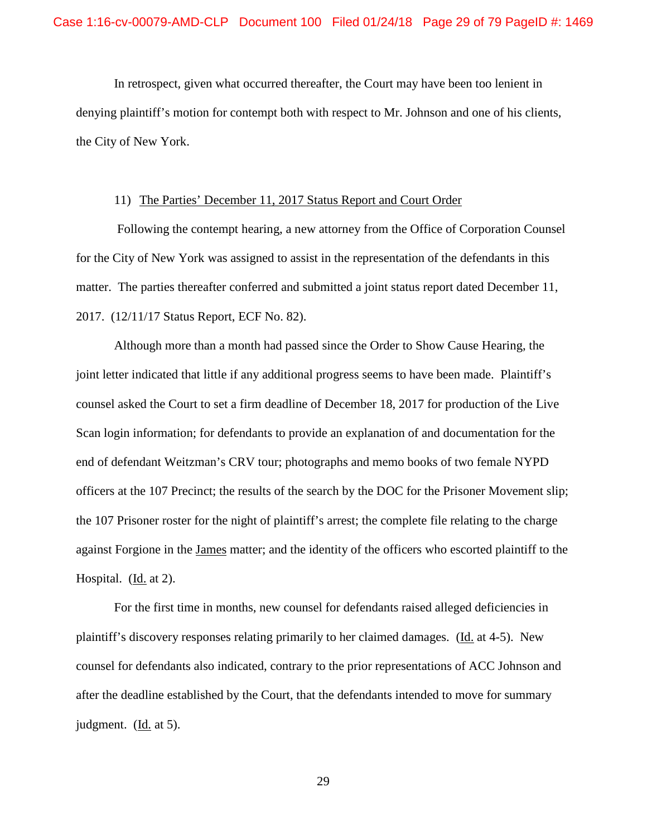In retrospect, given what occurred thereafter, the Court may have been too lenient in denying plaintiff's motion for contempt both with respect to Mr. Johnson and one of his clients, the City of New York.

# 11) The Parties' December 11, 2017 Status Report and Court Order

Following the contempt hearing, a new attorney from the Office of Corporation Counsel for the City of New York was assigned to assist in the representation of the defendants in this matter. The parties thereafter conferred and submitted a joint status report dated December 11, 2017. (12/11/17 Status Report, ECF No. 82).

Although more than a month had passed since the Order to Show Cause Hearing, the joint letter indicated that little if any additional progress seems to have been made. Plaintiff's counsel asked the Court to set a firm deadline of December 18, 2017 for production of the Live Scan login information; for defendants to provide an explanation of and documentation for the end of defendant Weitzman's CRV tour; photographs and memo books of two female NYPD officers at the 107 Precinct; the results of the search by the DOC for the Prisoner Movement slip; the 107 Prisoner roster for the night of plaintiff's arrest; the complete file relating to the charge against Forgione in the James matter; and the identity of the officers who escorted plaintiff to the Hospital. (Id. at 2).

For the first time in months, new counsel for defendants raised alleged deficiencies in plaintiff's discovery responses relating primarily to her claimed damages. (Id. at 4-5). New counsel for defendants also indicated, contrary to the prior representations of ACC Johnson and after the deadline established by the Court, that the defendants intended to move for summary judgment. (Id. at 5).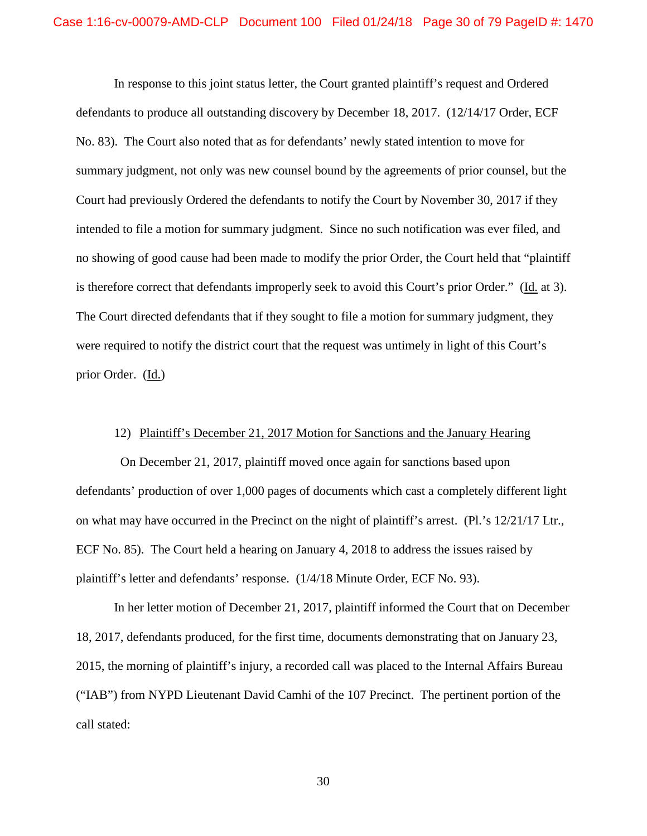In response to this joint status letter, the Court granted plaintiff's request and Ordered defendants to produce all outstanding discovery by December 18, 2017. (12/14/17 Order, ECF No. 83). The Court also noted that as for defendants' newly stated intention to move for summary judgment, not only was new counsel bound by the agreements of prior counsel, but the Court had previously Ordered the defendants to notify the Court by November 30, 2017 if they intended to file a motion for summary judgment. Since no such notification was ever filed, and no showing of good cause had been made to modify the prior Order, the Court held that "plaintiff is therefore correct that defendants improperly seek to avoid this Court's prior Order." (Id. at 3). The Court directed defendants that if they sought to file a motion for summary judgment, they were required to notify the district court that the request was untimely in light of this Court's prior Order. (Id.)

# 12) Plaintiff's December 21, 2017 Motion for Sanctions and the January Hearing

 On December 21, 2017, plaintiff moved once again for sanctions based upon defendants' production of over 1,000 pages of documents which cast a completely different light on what may have occurred in the Precinct on the night of plaintiff's arrest. (Pl.'s 12/21/17 Ltr., ECF No. 85). The Court held a hearing on January 4, 2018 to address the issues raised by plaintiff's letter and defendants' response. (1/4/18 Minute Order, ECF No. 93).

In her letter motion of December 21, 2017, plaintiff informed the Court that on December 18, 2017, defendants produced, for the first time, documents demonstrating that on January 23, 2015, the morning of plaintiff's injury, a recorded call was placed to the Internal Affairs Bureau ("IAB") from NYPD Lieutenant David Camhi of the 107 Precinct. The pertinent portion of the call stated: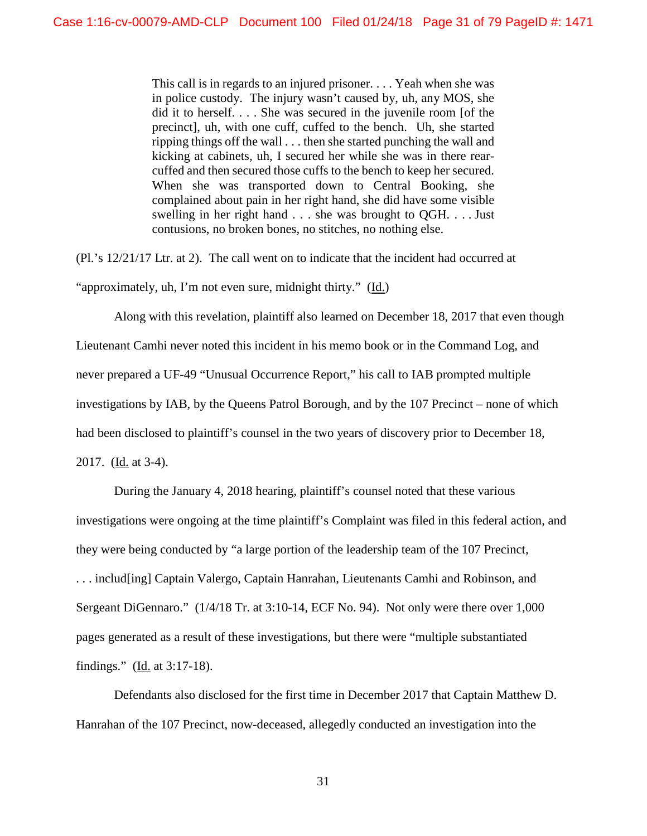This call is in regards to an injured prisoner. . . . Yeah when she was in police custody. The injury wasn't caused by, uh, any MOS, she did it to herself. . . . She was secured in the juvenile room [of the precinct], uh, with one cuff, cuffed to the bench. Uh, she started ripping things off the wall . . . then she started punching the wall and kicking at cabinets, uh, I secured her while she was in there rearcuffed and then secured those cuffs to the bench to keep her secured. When she was transported down to Central Booking, she complained about pain in her right hand, she did have some visible swelling in her right hand . . . she was brought to QGH. . . . Just contusions, no broken bones, no stitches, no nothing else.

(Pl.'s 12/21/17 Ltr. at 2). The call went on to indicate that the incident had occurred at "approximately, uh, I'm not even sure, midnight thirty." (Id.)

Along with this revelation, plaintiff also learned on December 18, 2017 that even though Lieutenant Camhi never noted this incident in his memo book or in the Command Log, and never prepared a UF-49 "Unusual Occurrence Report," his call to IAB prompted multiple investigations by IAB, by the Queens Patrol Borough, and by the 107 Precinct – none of which had been disclosed to plaintiff's counsel in the two years of discovery prior to December 18, 2017. (Id. at 3-4).

During the January 4, 2018 hearing, plaintiff's counsel noted that these various investigations were ongoing at the time plaintiff's Complaint was filed in this federal action, and they were being conducted by "a large portion of the leadership team of the 107 Precinct, . . . includ[ing] Captain Valergo, Captain Hanrahan, Lieutenants Camhi and Robinson, and Sergeant DiGennaro." (1/4/18 Tr. at 3:10-14, ECF No. 94). Not only were there over 1,000 pages generated as a result of these investigations, but there were "multiple substantiated findings." ( $\underline{Id}$ , at 3:17-18).

Defendants also disclosed for the first time in December 2017 that Captain Matthew D. Hanrahan of the 107 Precinct, now-deceased, allegedly conducted an investigation into the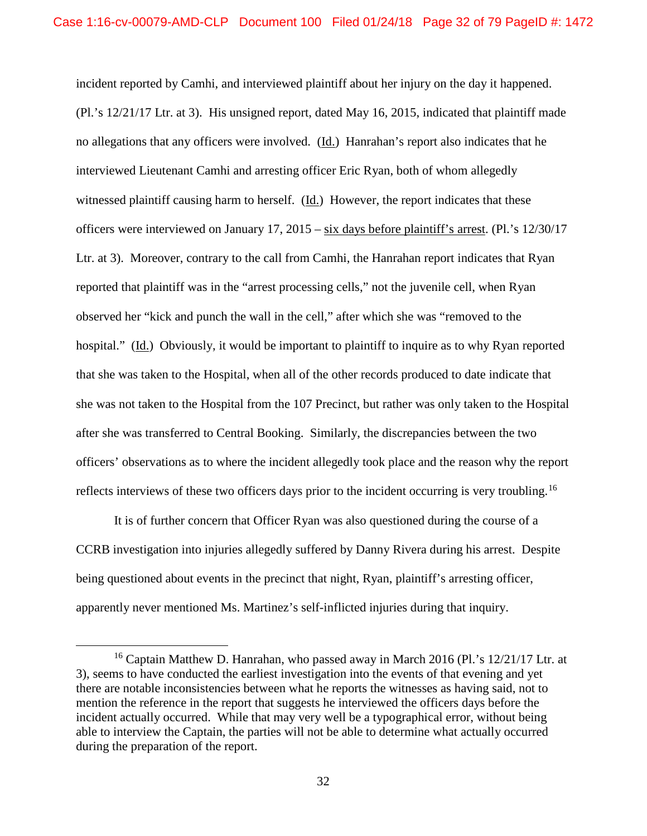incident reported by Camhi, and interviewed plaintiff about her injury on the day it happened. (Pl.'s 12/21/17 Ltr. at 3). His unsigned report, dated May 16, 2015, indicated that plaintiff made no allegations that any officers were involved. (Id.) Hanrahan's report also indicates that he interviewed Lieutenant Camhi and arresting officer Eric Ryan, both of whom allegedly witnessed plaintiff causing harm to herself. (Id.) However, the report indicates that these officers were interviewed on January 17, 2015 – six days before plaintiff's arrest. (Pl.'s 12/30/17 Ltr. at 3). Moreover, contrary to the call from Camhi, the Hanrahan report indicates that Ryan reported that plaintiff was in the "arrest processing cells," not the juvenile cell, when Ryan observed her "kick and punch the wall in the cell," after which she was "removed to the hospital." (Id.) Obviously, it would be important to plaintiff to inquire as to why Ryan reported that she was taken to the Hospital, when all of the other records produced to date indicate that she was not taken to the Hospital from the 107 Precinct, but rather was only taken to the Hospital after she was transferred to Central Booking. Similarly, the discrepancies between the two officers' observations as to where the incident allegedly took place and the reason why the report reflects interviews of these two officers days prior to the incident occurring is very troubling.<sup>16</sup>

It is of further concern that Officer Ryan was also questioned during the course of a CCRB investigation into injuries allegedly suffered by Danny Rivera during his arrest. Despite being questioned about events in the precinct that night, Ryan, plaintiff's arresting officer, apparently never mentioned Ms. Martinez's self-inflicted injuries during that inquiry.

<sup>&</sup>lt;sup>16</sup> Captain Matthew D. Hanrahan, who passed away in March 2016 (Pl.'s  $12/21/17$  Ltr. at 3), seems to have conducted the earliest investigation into the events of that evening and yet there are notable inconsistencies between what he reports the witnesses as having said, not to mention the reference in the report that suggests he interviewed the officers days before the incident actually occurred. While that may very well be a typographical error, without being able to interview the Captain, the parties will not be able to determine what actually occurred during the preparation of the report.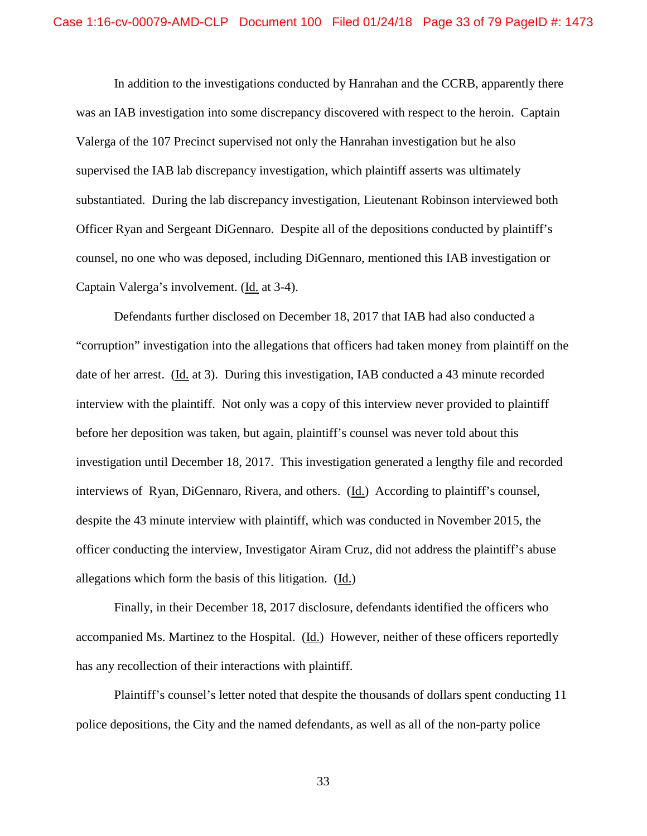In addition to the investigations conducted by Hanrahan and the CCRB, apparently there was an IAB investigation into some discrepancy discovered with respect to the heroin. Captain Valerga of the 107 Precinct supervised not only the Hanrahan investigation but he also supervised the IAB lab discrepancy investigation, which plaintiff asserts was ultimately substantiated. During the lab discrepancy investigation, Lieutenant Robinson interviewed both Officer Ryan and Sergeant DiGennaro. Despite all of the depositions conducted by plaintiff's counsel, no one who was deposed, including DiGennaro, mentioned this IAB investigation or Captain Valerga's involvement. (Id. at 3-4).

Defendants further disclosed on December 18, 2017 that IAB had also conducted a "corruption" investigation into the allegations that officers had taken money from plaintiff on the date of her arrest. (Id. at 3). During this investigation, IAB conducted a 43 minute recorded interview with the plaintiff. Not only was a copy of this interview never provided to plaintiff before her deposition was taken, but again, plaintiff's counsel was never told about this investigation until December 18, 2017. This investigation generated a lengthy file and recorded interviews of Ryan, DiGennaro, Rivera, and others. (Id.) According to plaintiff's counsel, despite the 43 minute interview with plaintiff, which was conducted in November 2015, the officer conducting the interview, Investigator Airam Cruz, did not address the plaintiff's abuse allegations which form the basis of this litigation. (Id.)

Finally, in their December 18, 2017 disclosure, defendants identified the officers who accompanied Ms. Martinez to the Hospital. (Id.) However, neither of these officers reportedly has any recollection of their interactions with plaintiff.

Plaintiff's counsel's letter noted that despite the thousands of dollars spent conducting 11 police depositions, the City and the named defendants, as well as all of the non-party police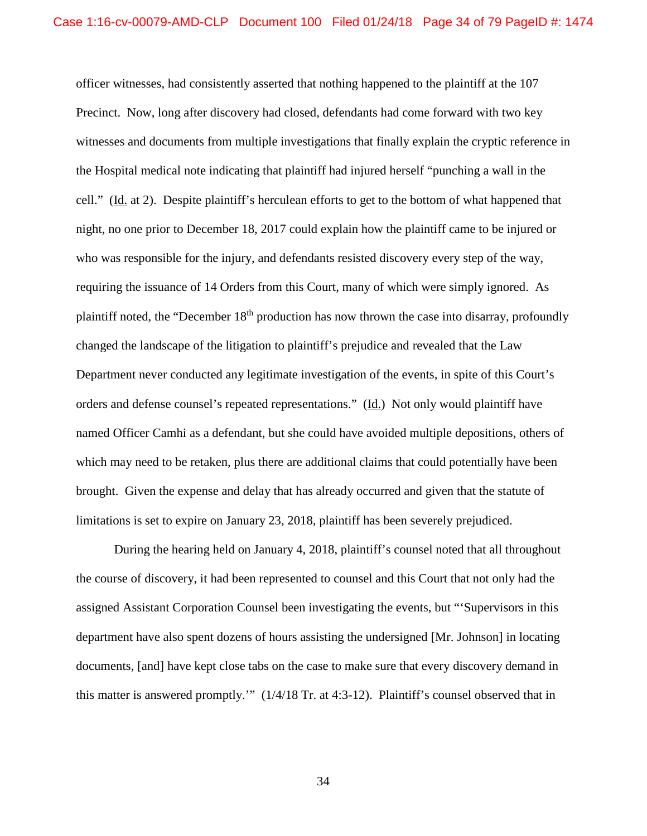officer witnesses, had consistently asserted that nothing happened to the plaintiff at the 107 Precinct. Now, long after discovery had closed, defendants had come forward with two key witnesses and documents from multiple investigations that finally explain the cryptic reference in the Hospital medical note indicating that plaintiff had injured herself "punching a wall in the cell." (Id. at 2). Despite plaintiff's herculean efforts to get to the bottom of what happened that night, no one prior to December 18, 2017 could explain how the plaintiff came to be injured or who was responsible for the injury, and defendants resisted discovery every step of the way, requiring the issuance of 14 Orders from this Court, many of which were simply ignored. As plaintiff noted, the "December 18th production has now thrown the case into disarray, profoundly changed the landscape of the litigation to plaintiff's prejudice and revealed that the Law Department never conducted any legitimate investigation of the events, in spite of this Court's orders and defense counsel's repeated representations." (Id.) Not only would plaintiff have named Officer Camhi as a defendant, but she could have avoided multiple depositions, others of which may need to be retaken, plus there are additional claims that could potentially have been brought. Given the expense and delay that has already occurred and given that the statute of limitations is set to expire on January 23, 2018, plaintiff has been severely prejudiced.

During the hearing held on January 4, 2018, plaintiff's counsel noted that all throughout the course of discovery, it had been represented to counsel and this Court that not only had the assigned Assistant Corporation Counsel been investigating the events, but "'Supervisors in this department have also spent dozens of hours assisting the undersigned [Mr. Johnson] in locating documents, [and] have kept close tabs on the case to make sure that every discovery demand in this matter is answered promptly.'" (1/4/18 Tr. at 4:3-12). Plaintiff's counsel observed that in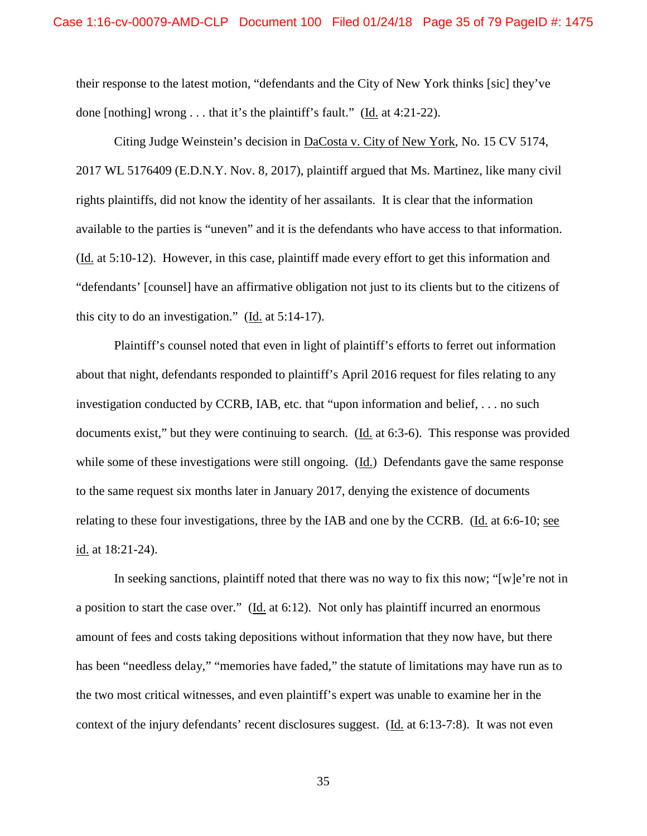their response to the latest motion, "defendants and the City of New York thinks [sic] they've done [nothing] wrong . . . that it's the plaintiff's fault." (Id. at 4:21-22).

Citing Judge Weinstein's decision in DaCosta v. City of New York, No. 15 CV 5174, 2017 WL 5176409 (E.D.N.Y. Nov. 8, 2017), plaintiff argued that Ms. Martinez, like many civil rights plaintiffs, did not know the identity of her assailants. It is clear that the information available to the parties is "uneven" and it is the defendants who have access to that information. (Id. at 5:10-12). However, in this case, plaintiff made every effort to get this information and "defendants' [counsel] have an affirmative obligation not just to its clients but to the citizens of this city to do an investigation." ( $\underline{Id}$ , at 5:14-17).

Plaintiff's counsel noted that even in light of plaintiff's efforts to ferret out information about that night, defendants responded to plaintiff's April 2016 request for files relating to any investigation conducted by CCRB, IAB, etc. that "upon information and belief, . . . no such documents exist," but they were continuing to search. (Id. at 6:3-6). This response was provided while some of these investigations were still ongoing. (Id.) Defendants gave the same response to the same request six months later in January 2017, denying the existence of documents relating to these four investigations, three by the IAB and one by the CCRB. (Id. at 6:6-10; see id. at 18:21-24).

In seeking sanctions, plaintiff noted that there was no way to fix this now; "[w]e're not in a position to start the case over." (Id. at 6:12). Not only has plaintiff incurred an enormous amount of fees and costs taking depositions without information that they now have, but there has been "needless delay," "memories have faded," the statute of limitations may have run as to the two most critical witnesses, and even plaintiff's expert was unable to examine her in the context of the injury defendants' recent disclosures suggest. (Id. at 6:13-7:8). It was not even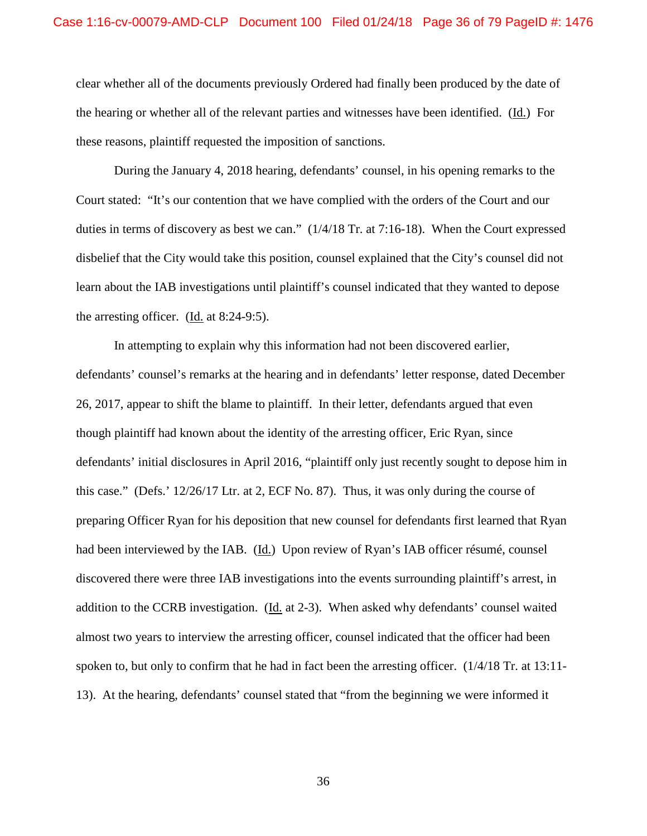clear whether all of the documents previously Ordered had finally been produced by the date of the hearing or whether all of the relevant parties and witnesses have been identified. (Id.) For these reasons, plaintiff requested the imposition of sanctions.

During the January 4, 2018 hearing, defendants' counsel, in his opening remarks to the Court stated: "It's our contention that we have complied with the orders of the Court and our duties in terms of discovery as best we can." (1/4/18 Tr. at 7:16-18). When the Court expressed disbelief that the City would take this position, counsel explained that the City's counsel did not learn about the IAB investigations until plaintiff's counsel indicated that they wanted to depose the arresting officer. (Id. at 8:24-9:5).

In attempting to explain why this information had not been discovered earlier, defendants' counsel's remarks at the hearing and in defendants' letter response, dated December 26, 2017, appear to shift the blame to plaintiff. In their letter, defendants argued that even though plaintiff had known about the identity of the arresting officer, Eric Ryan, since defendants' initial disclosures in April 2016, "plaintiff only just recently sought to depose him in this case." (Defs.' 12/26/17 Ltr. at 2, ECF No. 87). Thus, it was only during the course of preparing Officer Ryan for his deposition that new counsel for defendants first learned that Ryan had been interviewed by the IAB. (Id.) Upon review of Ryan's IAB officer résumé, counsel discovered there were three IAB investigations into the events surrounding plaintiff's arrest, in addition to the CCRB investigation. (Id. at 2-3). When asked why defendants' counsel waited almost two years to interview the arresting officer, counsel indicated that the officer had been spoken to, but only to confirm that he had in fact been the arresting officer. (1/4/18 Tr. at 13:11- 13). At the hearing, defendants' counsel stated that "from the beginning we were informed it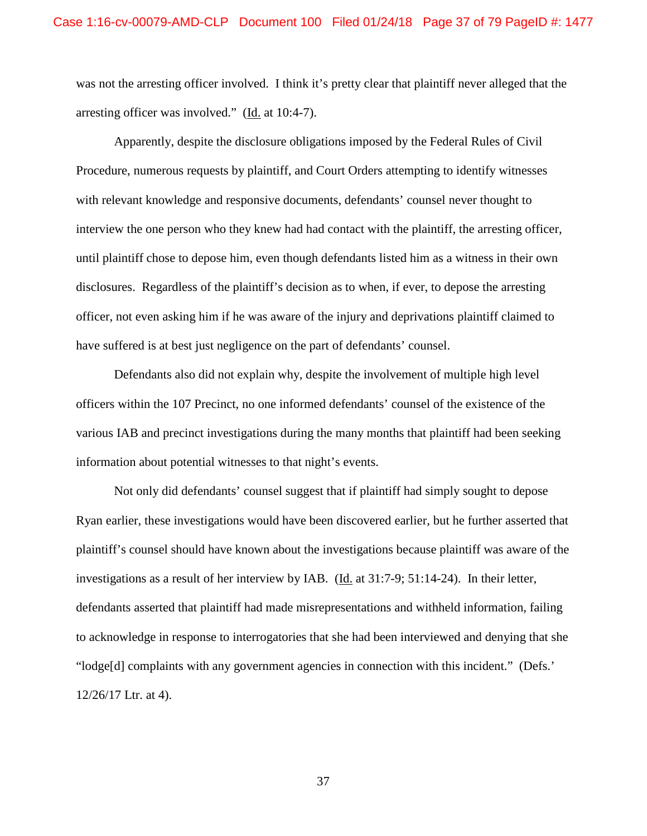was not the arresting officer involved. I think it's pretty clear that plaintiff never alleged that the arresting officer was involved." (Id. at 10:4-7).

Apparently, despite the disclosure obligations imposed by the Federal Rules of Civil Procedure, numerous requests by plaintiff, and Court Orders attempting to identify witnesses with relevant knowledge and responsive documents, defendants' counsel never thought to interview the one person who they knew had had contact with the plaintiff, the arresting officer, until plaintiff chose to depose him, even though defendants listed him as a witness in their own disclosures. Regardless of the plaintiff's decision as to when, if ever, to depose the arresting officer, not even asking him if he was aware of the injury and deprivations plaintiff claimed to have suffered is at best just negligence on the part of defendants' counsel.

Defendants also did not explain why, despite the involvement of multiple high level officers within the 107 Precinct, no one informed defendants' counsel of the existence of the various IAB and precinct investigations during the many months that plaintiff had been seeking information about potential witnesses to that night's events.

Not only did defendants' counsel suggest that if plaintiff had simply sought to depose Ryan earlier, these investigations would have been discovered earlier, but he further asserted that plaintiff's counsel should have known about the investigations because plaintiff was aware of the investigations as a result of her interview by IAB. (Id. at 31:7-9; 51:14-24). In their letter, defendants asserted that plaintiff had made misrepresentations and withheld information, failing to acknowledge in response to interrogatories that she had been interviewed and denying that she "lodge[d] complaints with any government agencies in connection with this incident." (Defs.' 12/26/17 Ltr. at 4).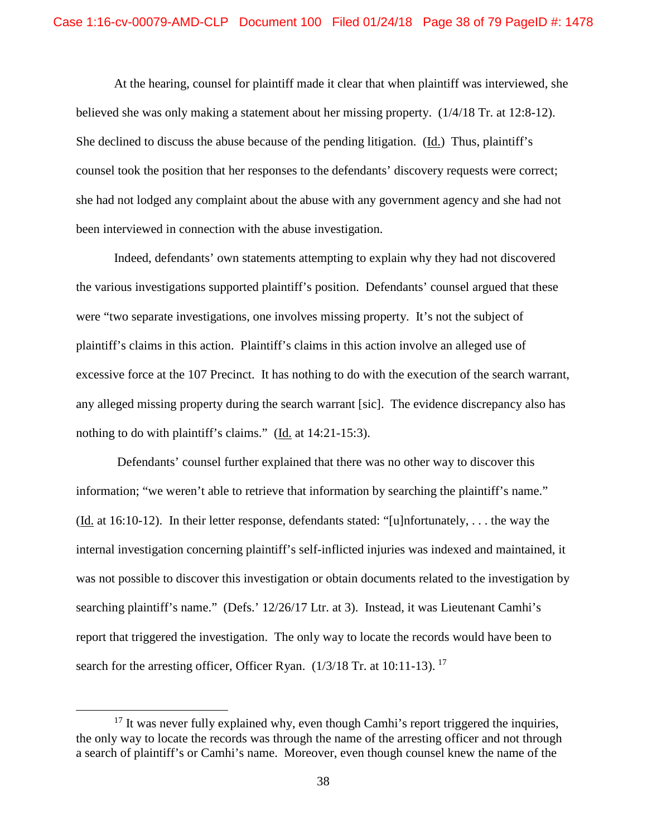At the hearing, counsel for plaintiff made it clear that when plaintiff was interviewed, she believed she was only making a statement about her missing property. (1/4/18 Tr. at 12:8-12). She declined to discuss the abuse because of the pending litigation. (Id.) Thus, plaintiff's counsel took the position that her responses to the defendants' discovery requests were correct; she had not lodged any complaint about the abuse with any government agency and she had not been interviewed in connection with the abuse investigation.

Indeed, defendants' own statements attempting to explain why they had not discovered the various investigations supported plaintiff's position. Defendants' counsel argued that these were "two separate investigations, one involves missing property. It's not the subject of plaintiff's claims in this action. Plaintiff's claims in this action involve an alleged use of excessive force at the 107 Precinct. It has nothing to do with the execution of the search warrant, any alleged missing property during the search warrant [sic]. The evidence discrepancy also has nothing to do with plaintiff's claims." (Id. at 14:21-15:3).

Defendants' counsel further explained that there was no other way to discover this information; "we weren't able to retrieve that information by searching the plaintiff's name." (Id. at 16:10-12). In their letter response, defendants stated: "[u]nfortunately, . . . the way the internal investigation concerning plaintiff's self-inflicted injuries was indexed and maintained, it was not possible to discover this investigation or obtain documents related to the investigation by searching plaintiff's name." (Defs.' 12/26/17 Ltr. at 3). Instead, it was Lieutenant Camhi's report that triggered the investigation. The only way to locate the records would have been to search for the arresting officer, Officer Ryan.  $(1/3/18$  Tr. at 10:11-13).<sup>17</sup>

 $17$  It was never fully explained why, even though Camhi's report triggered the inquiries, the only way to locate the records was through the name of the arresting officer and not through a search of plaintiff's or Camhi's name. Moreover, even though counsel knew the name of the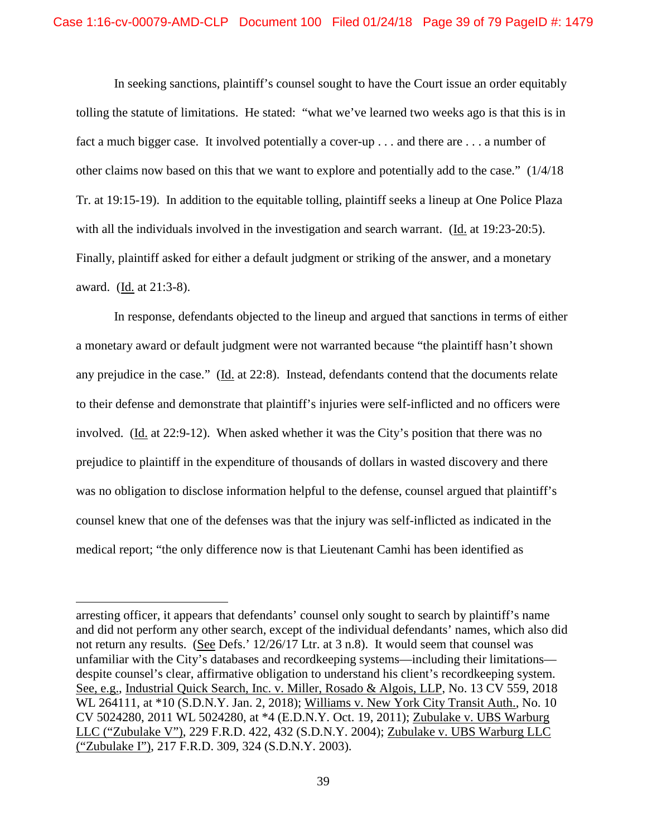In seeking sanctions, plaintiff's counsel sought to have the Court issue an order equitably tolling the statute of limitations. He stated: "what we've learned two weeks ago is that this is in fact a much bigger case. It involved potentially a cover-up . . . and there are . . . a number of other claims now based on this that we want to explore and potentially add to the case." (1/4/18 Tr. at 19:15-19). In addition to the equitable tolling, plaintiff seeks a lineup at One Police Plaza with all the individuals involved in the investigation and search warrant. (Id. at 19:23-20:5). Finally, plaintiff asked for either a default judgment or striking of the answer, and a monetary award. (Id. at 21:3-8).

In response, defendants objected to the lineup and argued that sanctions in terms of either a monetary award or default judgment were not warranted because "the plaintiff hasn't shown any prejudice in the case." (Id. at 22:8). Instead, defendants contend that the documents relate to their defense and demonstrate that plaintiff's injuries were self-inflicted and no officers were involved. (Id. at 22:9-12). When asked whether it was the City's position that there was no prejudice to plaintiff in the expenditure of thousands of dollars in wasted discovery and there was no obligation to disclose information helpful to the defense, counsel argued that plaintiff's counsel knew that one of the defenses was that the injury was self-inflicted as indicated in the medical report; "the only difference now is that Lieutenant Camhi has been identified as

 $\overline{a}$ 

arresting officer, it appears that defendants' counsel only sought to search by plaintiff's name and did not perform any other search, except of the individual defendants' names, which also did not return any results. (See Defs.' 12/26/17 Ltr. at 3 n.8). It would seem that counsel was unfamiliar with the City's databases and recordkeeping systems—including their limitations despite counsel's clear, affirmative obligation to understand his client's recordkeeping system. See, e.g., Industrial Quick Search, Inc. v. Miller, Rosado & Algois, LLP, No. 13 CV 559, 2018 WL 264111, at \*10 (S.D.N.Y. Jan. 2, 2018); Williams v. New York City Transit Auth., No. 10 CV 5024280, 2011 WL 5024280, at \*4 (E.D.N.Y. Oct. 19, 2011); Zubulake v. UBS Warburg LLC ("Zubulake V"), 229 F.R.D. 422, 432 (S.D.N.Y. 2004); Zubulake v. UBS Warburg LLC ("Zubulake I"), 217 F.R.D. 309, 324 (S.D.N.Y. 2003).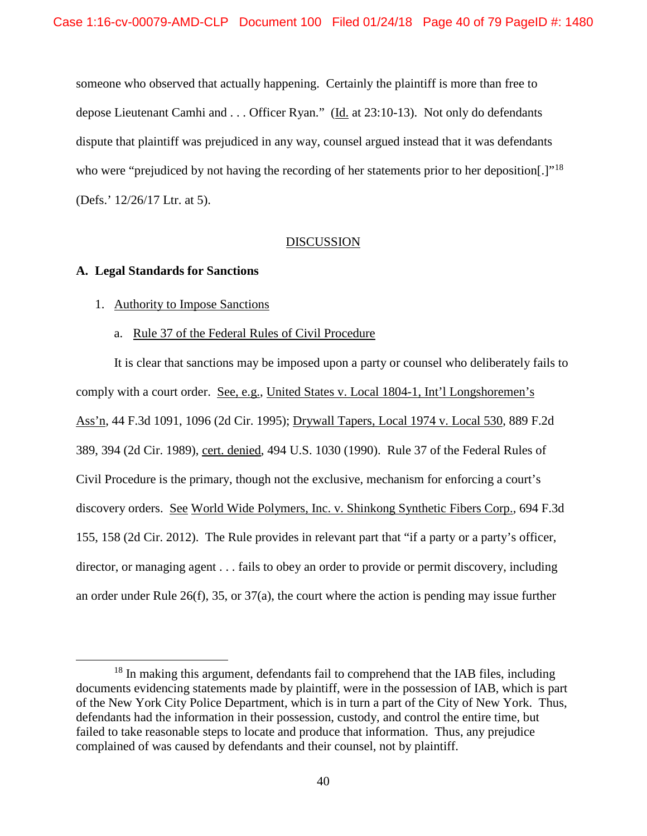someone who observed that actually happening. Certainly the plaintiff is more than free to depose Lieutenant Camhi and . . . Officer Ryan." (Id. at 23:10-13). Not only do defendants dispute that plaintiff was prejudiced in any way, counsel argued instead that it was defendants who were "prejudiced by not having the recording of her statements prior to her deposition[.]"<sup>18</sup> (Defs.' 12/26/17 Ltr. at 5).

# DISCUSSION

# **A. Legal Standards for Sanctions**

- 1. Authority to Impose Sanctions
	- a. Rule 37 of the Federal Rules of Civil Procedure

It is clear that sanctions may be imposed upon a party or counsel who deliberately fails to comply with a court order. See, e.g., United States v. Local 1804-1, Int'l Longshoremen's Ass'n, 44 F.3d 1091, 1096 (2d Cir. 1995); Drywall Tapers, Local 1974 v. Local 530, 889 F.2d 389, 394 (2d Cir. 1989), cert. denied, 494 U.S. 1030 (1990). Rule 37 of the Federal Rules of Civil Procedure is the primary, though not the exclusive, mechanism for enforcing a court's discovery orders. See World Wide Polymers, Inc. v. Shinkong Synthetic Fibers Corp., 694 F.3d 155, 158 (2d Cir. 2012). The Rule provides in relevant part that "if a party or a party's officer, director, or managing agent . . . fails to obey an order to provide or permit discovery, including an order under Rule 26(f), 35, or 37(a), the court where the action is pending may issue further

<sup>&</sup>lt;sup>18</sup> In making this argument, defendants fail to comprehend that the IAB files, including documents evidencing statements made by plaintiff, were in the possession of IAB, which is part of the New York City Police Department, which is in turn a part of the City of New York. Thus, defendants had the information in their possession, custody, and control the entire time, but failed to take reasonable steps to locate and produce that information. Thus, any prejudice complained of was caused by defendants and their counsel, not by plaintiff.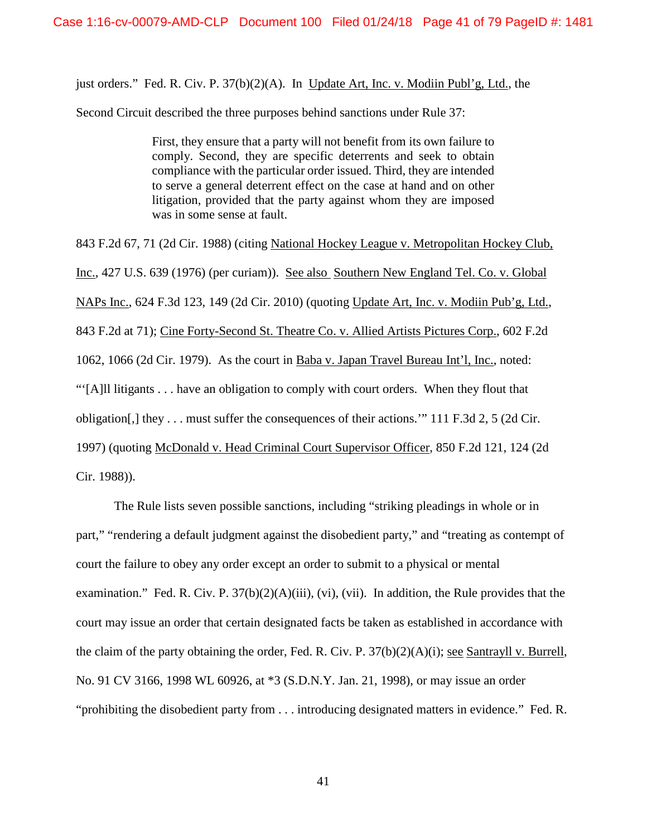just orders." Fed. R. Civ. P. 37(b)(2)(A). In Update Art, Inc. v. Modiin Publ'g, Ltd., the

Second Circuit described the three purposes behind sanctions under Rule 37:

First, they ensure that a party will not benefit from its own failure to comply. Second, they are specific deterrents and seek to obtain compliance with the particular order issued. Third, they are intended to serve a general deterrent effect on the case at hand and on other litigation, provided that the party against whom they are imposed was in some sense at fault.

843 F.2d 67, 71 (2d Cir. 1988) (citing National Hockey League v. Metropolitan Hockey Club, Inc., 427 U.S. 639 (1976) (per curiam)). See also Southern New England Tel. Co. v. Global NAPs Inc., 624 F.3d 123, 149 (2d Cir. 2010) (quoting Update Art, Inc. v. Modiin Pub'g, Ltd., 843 F.2d at 71); Cine Forty-Second St. Theatre Co. v. Allied Artists Pictures Corp., 602 F.2d 1062, 1066 (2d Cir. 1979). As the court in Baba v. Japan Travel Bureau Int'l, Inc., noted: "'[A]ll litigants . . . have an obligation to comply with court orders. When they flout that obligation[,] they . . . must suffer the consequences of their actions.'" 111 F.3d 2, 5 (2d Cir. 1997) (quoting McDonald v. Head Criminal Court Supervisor Officer, 850 F.2d 121, 124 (2d Cir. 1988)).

The Rule lists seven possible sanctions, including "striking pleadings in whole or in part," "rendering a default judgment against the disobedient party," and "treating as contempt of court the failure to obey any order except an order to submit to a physical or mental examination." Fed. R. Civ. P.  $37(b)(2)(A)(iii)$ , (vi), (vii). In addition, the Rule provides that the court may issue an order that certain designated facts be taken as established in accordance with the claim of the party obtaining the order, Fed. R. Civ. P. 37(b)(2)(A)(i); see Santrayll v. Burrell, No. 91 CV 3166, 1998 WL 60926, at \*3 (S.D.N.Y. Jan. 21, 1998), or may issue an order "prohibiting the disobedient party from . . . introducing designated matters in evidence." Fed. R.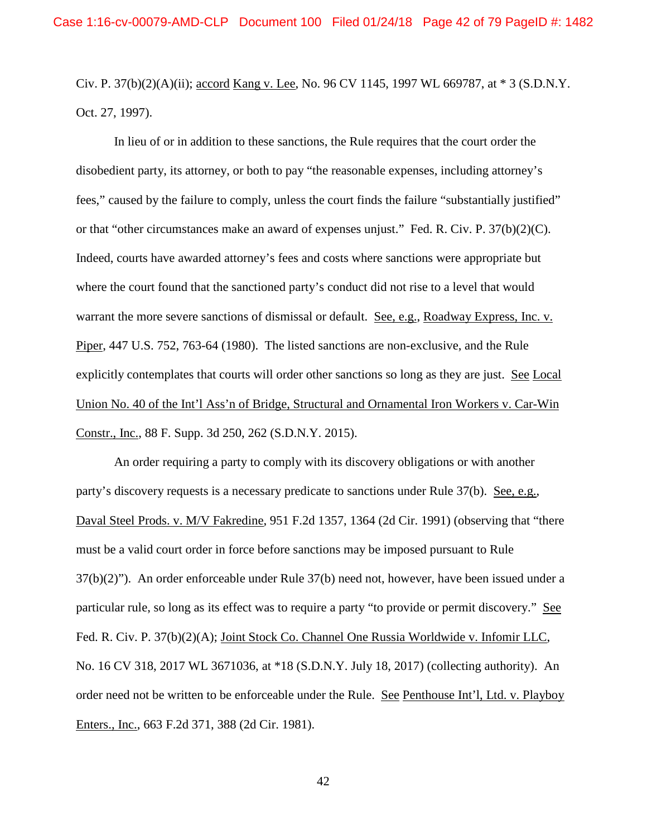Civ. P. 37(b)(2)(A)(ii); accord Kang v. Lee, No. 96 CV 1145, 1997 WL 669787, at \* 3 (S.D.N.Y. Oct. 27, 1997).

In lieu of or in addition to these sanctions, the Rule requires that the court order the disobedient party, its attorney, or both to pay "the reasonable expenses, including attorney's fees," caused by the failure to comply, unless the court finds the failure "substantially justified" or that "other circumstances make an award of expenses unjust." Fed. R. Civ. P. 37(b)(2)(C). Indeed, courts have awarded attorney's fees and costs where sanctions were appropriate but where the court found that the sanctioned party's conduct did not rise to a level that would warrant the more severe sanctions of dismissal or default. See, e.g., Roadway Express, Inc. v. Piper, 447 U.S. 752, 763-64 (1980). The listed sanctions are non-exclusive, and the Rule explicitly contemplates that courts will order other sanctions so long as they are just. See Local Union No. 40 of the Int'l Ass'n of Bridge, Structural and Ornamental Iron Workers v. Car-Win Constr., Inc., 88 F. Supp. 3d 250, 262 (S.D.N.Y. 2015).

An order requiring a party to comply with its discovery obligations or with another party's discovery requests is a necessary predicate to sanctions under Rule 37(b). See, e.g., Daval Steel Prods. v. M/V Fakredine, 951 F.2d 1357, 1364 (2d Cir. 1991) (observing that "there must be a valid court order in force before sanctions may be imposed pursuant to Rule 37(b)(2)"). An order enforceable under Rule 37(b) need not, however, have been issued under a particular rule, so long as its effect was to require a party "to provide or permit discovery." See Fed. R. Civ. P. 37(b)(2)(A); Joint Stock Co. Channel One Russia Worldwide v. Infomir LLC, No. 16 CV 318, 2017 WL 3671036, at \*18 (S.D.N.Y. July 18, 2017) (collecting authority). An order need not be written to be enforceable under the Rule. See Penthouse Int'l, Ltd. v. Playboy Enters., Inc., 663 F.2d 371, 388 (2d Cir. 1981).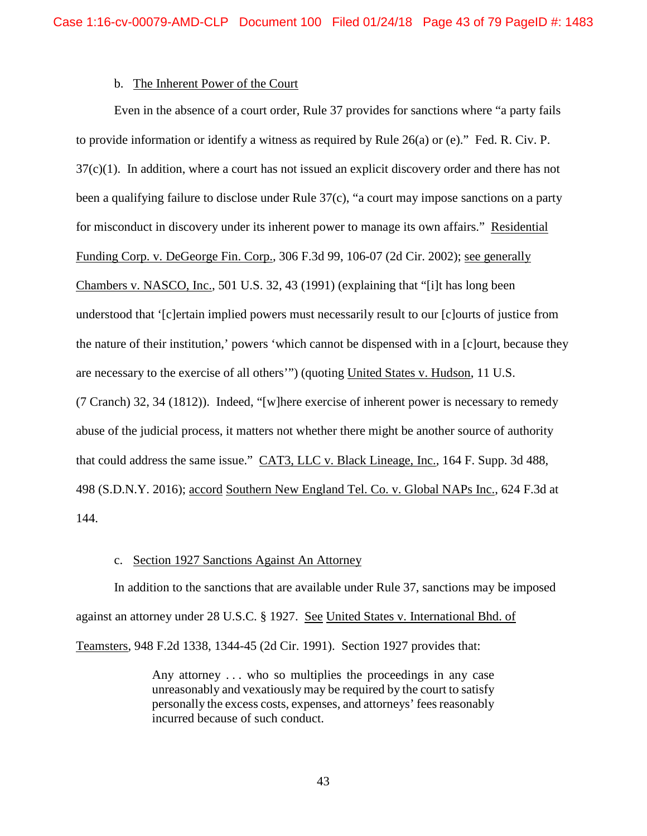# b. The Inherent Power of the Court

Even in the absence of a court order, Rule 37 provides for sanctions where "a party fails to provide information or identify a witness as required by Rule 26(a) or (e)." Fed. R. Civ. P. 37(c)(1). In addition, where a court has not issued an explicit discovery order and there has not been a qualifying failure to disclose under Rule 37(c), "a court may impose sanctions on a party for misconduct in discovery under its inherent power to manage its own affairs." Residential Funding Corp. v. DeGeorge Fin. Corp., 306 F.3d 99, 106-07 (2d Cir. 2002); see generally Chambers v. NASCO, Inc., 501 U.S. 32, 43 (1991) (explaining that "[i]t has long been understood that '[c]ertain implied powers must necessarily result to our [c]ourts of justice from the nature of their institution,' powers 'which cannot be dispensed with in a [c]ourt, because they are necessary to the exercise of all others'") (quoting United States v. Hudson, 11 U.S. (7 Cranch) 32, 34 (1812)). Indeed, "[w]here exercise of inherent power is necessary to remedy abuse of the judicial process, it matters not whether there might be another source of authority that could address the same issue." CAT3, LLC v. Black Lineage, Inc., 164 F. Supp. 3d 488, 498 (S.D.N.Y. 2016); accord Southern New England Tel. Co. v. Global NAPs Inc., 624 F.3d at 144.

## c. Section 1927 Sanctions Against An Attorney

In addition to the sanctions that are available under Rule 37, sanctions may be imposed against an attorney under 28 U.S.C. § 1927. See United States v. International Bhd. of Teamsters, 948 F.2d 1338, 1344-45 (2d Cir. 1991). Section 1927 provides that:

> Any attorney . . . who so multiplies the proceedings in any case unreasonably and vexatiously may be required by the court to satisfy personally the excess costs, expenses, and attorneys' fees reasonably incurred because of such conduct.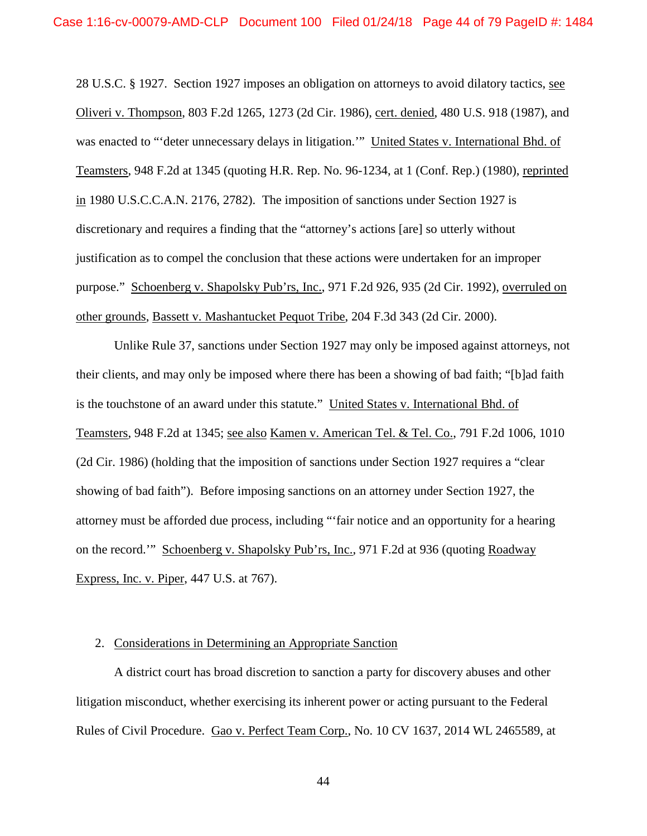28 U.S.C. § 1927. Section 1927 imposes an obligation on attorneys to avoid dilatory tactics, see Oliveri v. Thompson, 803 F.2d 1265, 1273 (2d Cir. 1986), cert. denied, 480 U.S. 918 (1987), and was enacted to "'deter unnecessary delays in litigation.'" United States v. International Bhd. of Teamsters, 948 F.2d at 1345 (quoting H.R. Rep. No. 96-1234, at 1 (Conf. Rep.) (1980), reprinted in 1980 U.S.C.C.A.N. 2176, 2782). The imposition of sanctions under Section 1927 is discretionary and requires a finding that the "attorney's actions [are] so utterly without justification as to compel the conclusion that these actions were undertaken for an improper purpose." Schoenberg v. Shapolsky Pub'rs, Inc., 971 F.2d 926, 935 (2d Cir. 1992), overruled on other grounds, Bassett v. Mashantucket Pequot Tribe, 204 F.3d 343 (2d Cir. 2000).

Unlike Rule 37, sanctions under Section 1927 may only be imposed against attorneys, not their clients, and may only be imposed where there has been a showing of bad faith; "[b]ad faith is the touchstone of an award under this statute." United States v. International Bhd. of Teamsters, 948 F.2d at 1345; see also Kamen v. American Tel. & Tel. Co., 791 F.2d 1006, 1010 (2d Cir. 1986) (holding that the imposition of sanctions under Section 1927 requires a "clear showing of bad faith"). Before imposing sanctions on an attorney under Section 1927, the attorney must be afforded due process, including "'fair notice and an opportunity for a hearing on the record.'" Schoenberg v. Shapolsky Pub'rs, Inc., 971 F.2d at 936 (quoting Roadway Express, Inc. v. Piper, 447 U.S. at 767).

### 2. Considerations in Determining an Appropriate Sanction

A district court has broad discretion to sanction a party for discovery abuses and other litigation misconduct, whether exercising its inherent power or acting pursuant to the Federal Rules of Civil Procedure. Gao v. Perfect Team Corp., No. 10 CV 1637, 2014 WL 2465589, at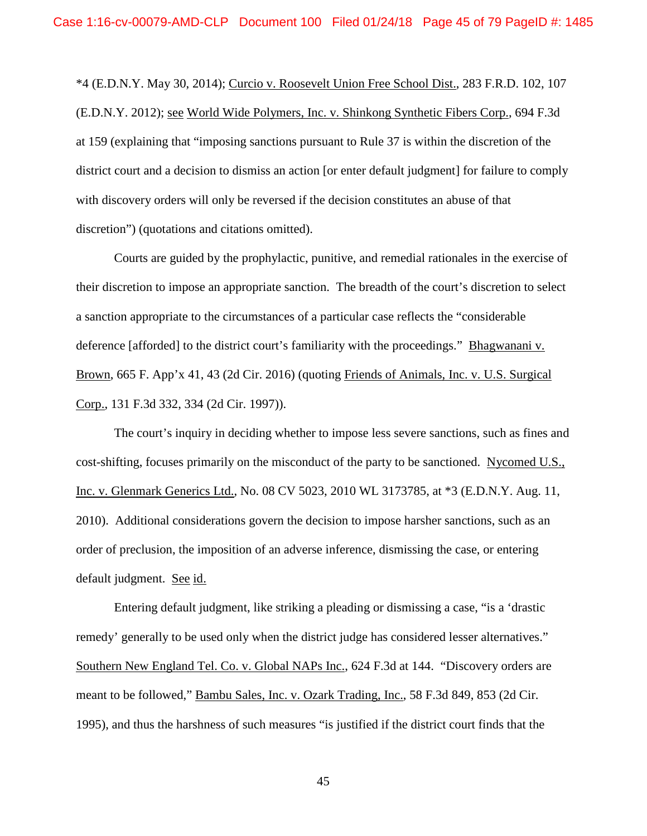\*4 (E.D.N.Y. May 30, 2014); Curcio v. Roosevelt Union Free School Dist., 283 F.R.D. 102, 107 (E.D.N.Y. 2012); see World Wide Polymers, Inc. v. Shinkong Synthetic Fibers Corp., 694 F.3d at 159 (explaining that "imposing sanctions pursuant to Rule 37 is within the discretion of the district court and a decision to dismiss an action [or enter default judgment] for failure to comply with discovery orders will only be reversed if the decision constitutes an abuse of that discretion") (quotations and citations omitted).

Courts are guided by the prophylactic, punitive, and remedial rationales in the exercise of their discretion to impose an appropriate sanction. The breadth of the court's discretion to select a sanction appropriate to the circumstances of a particular case reflects the "considerable deference [afforded] to the district court's familiarity with the proceedings." Bhagwanani v. Brown, 665 F. App'x 41, 43 (2d Cir. 2016) (quoting Friends of Animals, Inc. v. U.S. Surgical Corp., 131 F.3d 332, 334 (2d Cir. 1997)).

The court's inquiry in deciding whether to impose less severe sanctions, such as fines and cost-shifting, focuses primarily on the misconduct of the party to be sanctioned. Nycomed U.S., Inc. v. Glenmark Generics Ltd., No. 08 CV 5023, 2010 WL 3173785, at \*3 (E.D.N.Y. Aug. 11, 2010). Additional considerations govern the decision to impose harsher sanctions, such as an order of preclusion, the imposition of an adverse inference, dismissing the case, or entering default judgment. See id.

Entering default judgment, like striking a pleading or dismissing a case, "is a 'drastic remedy' generally to be used only when the district judge has considered lesser alternatives." Southern New England Tel. Co. v. Global NAPs Inc., 624 F.3d at 144. "Discovery orders are meant to be followed," Bambu Sales, Inc. v. Ozark Trading, Inc., 58 F.3d 849, 853 (2d Cir. 1995), and thus the harshness of such measures "is justified if the district court finds that the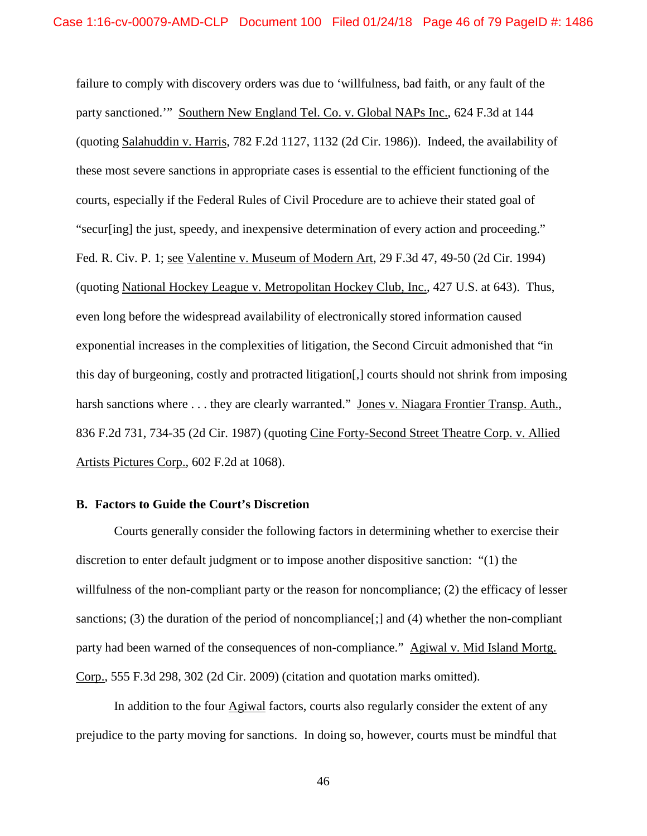failure to comply with discovery orders was due to 'willfulness, bad faith, or any fault of the party sanctioned.'" Southern New England Tel. Co. v. Global NAPs Inc., 624 F.3d at 144 (quoting Salahuddin v. Harris, 782 F.2d 1127, 1132 (2d Cir. 1986)). Indeed, the availability of these most severe sanctions in appropriate cases is essential to the efficient functioning of the courts, especially if the Federal Rules of Civil Procedure are to achieve their stated goal of "secur[ing] the just, speedy, and inexpensive determination of every action and proceeding." Fed. R. Civ. P. 1; see Valentine v. Museum of Modern Art, 29 F.3d 47, 49-50 (2d Cir. 1994) (quoting National Hockey League v. Metropolitan Hockey Club, Inc., 427 U.S. at 643). Thus, even long before the widespread availability of electronically stored information caused exponential increases in the complexities of litigation, the Second Circuit admonished that "in this day of burgeoning, costly and protracted litigation[,] courts should not shrink from imposing harsh sanctions where . . . they are clearly warranted." Jones v. Niagara Frontier Transp. Auth., 836 F.2d 731, 734-35 (2d Cir. 1987) (quoting Cine Forty-Second Street Theatre Corp. v. Allied Artists Pictures Corp., 602 F.2d at 1068).

## **B. Factors to Guide the Court's Discretion**

Courts generally consider the following factors in determining whether to exercise their discretion to enter default judgment or to impose another dispositive sanction: "(1) the willfulness of the non-compliant party or the reason for noncompliance; (2) the efficacy of lesser sanctions; (3) the duration of the period of noncompliance  $[\cdot]$  and (4) whether the non-compliant party had been warned of the consequences of non-compliance." Agiwal v. Mid Island Mortg. Corp., 555 F.3d 298, 302 (2d Cir. 2009) (citation and quotation marks omitted).

In addition to the four **Agiwal** factors, courts also regularly consider the extent of any prejudice to the party moving for sanctions. In doing so, however, courts must be mindful that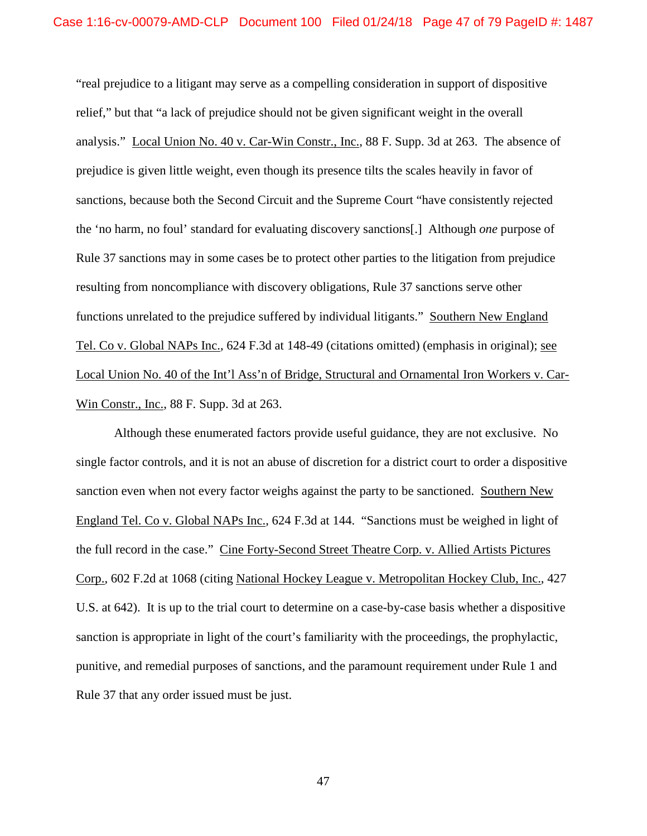"real prejudice to a litigant may serve as a compelling consideration in support of dispositive relief," but that "a lack of prejudice should not be given significant weight in the overall analysis." Local Union No. 40 v. Car-Win Constr., Inc., 88 F. Supp. 3d at 263. The absence of prejudice is given little weight, even though its presence tilts the scales heavily in favor of sanctions, because both the Second Circuit and the Supreme Court "have consistently rejected the 'no harm, no foul' standard for evaluating discovery sanctions[.] Although *one* purpose of Rule 37 sanctions may in some cases be to protect other parties to the litigation from prejudice resulting from noncompliance with discovery obligations, Rule 37 sanctions serve other functions unrelated to the prejudice suffered by individual litigants." Southern New England Tel. Co v. Global NAPs Inc., 624 F.3d at 148-49 (citations omitted) (emphasis in original); see Local Union No. 40 of the Int'l Ass'n of Bridge, Structural and Ornamental Iron Workers v. Car-Win Constr., Inc., 88 F. Supp. 3d at 263.

Although these enumerated factors provide useful guidance, they are not exclusive. No single factor controls, and it is not an abuse of discretion for a district court to order a dispositive sanction even when not every factor weighs against the party to be sanctioned. Southern New England Tel. Co v. Global NAPs Inc., 624 F.3d at 144. "Sanctions must be weighed in light of the full record in the case." Cine Forty-Second Street Theatre Corp. v. Allied Artists Pictures Corp., 602 F.2d at 1068 (citing National Hockey League v. Metropolitan Hockey Club, Inc., 427 U.S. at 642). It is up to the trial court to determine on a case-by-case basis whether a dispositive sanction is appropriate in light of the court's familiarity with the proceedings, the prophylactic, punitive, and remedial purposes of sanctions, and the paramount requirement under Rule 1 and Rule 37 that any order issued must be just.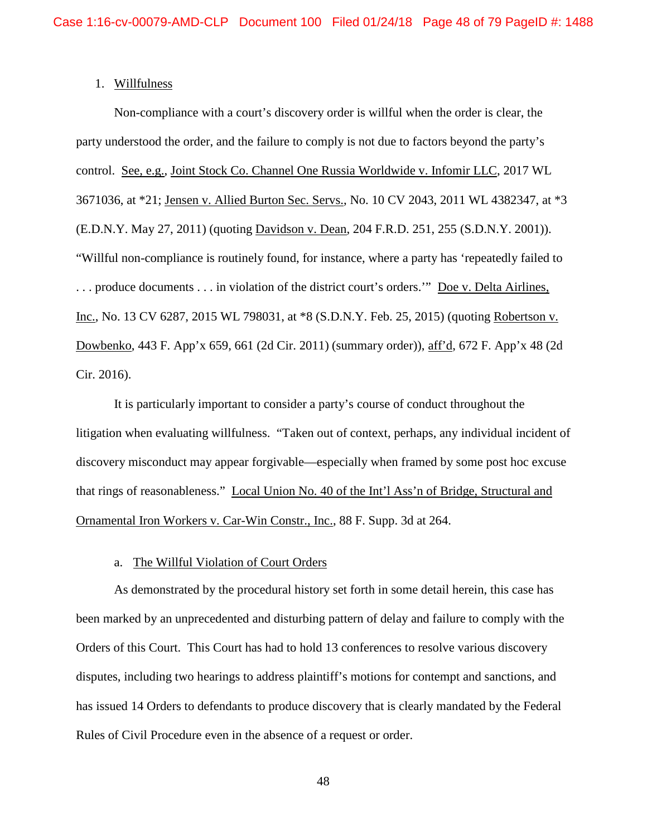## 1. Willfulness

Non-compliance with a court's discovery order is willful when the order is clear, the party understood the order, and the failure to comply is not due to factors beyond the party's control. See, e.g., Joint Stock Co. Channel One Russia Worldwide v. Infomir LLC, 2017 WL 3671036, at \*21; Jensen v. Allied Burton Sec. Servs., No. 10 CV 2043, 2011 WL 4382347, at \*3 (E.D.N.Y. May 27, 2011) (quoting Davidson v. Dean, 204 F.R.D. 251, 255 (S.D.N.Y. 2001)). "Willful non-compliance is routinely found, for instance, where a party has 'repeatedly failed to . . . produce documents . . . in violation of the district court's orders.'" Doe v. Delta Airlines, Inc., No. 13 CV 6287, 2015 WL 798031, at \*8 (S.D.N.Y. Feb. 25, 2015) (quoting Robertson v. Dowbenko, 443 F. App'x 659, 661 (2d Cir. 2011) (summary order)), aff'd, 672 F. App'x 48 (2d Cir. 2016).

It is particularly important to consider a party's course of conduct throughout the litigation when evaluating willfulness. "Taken out of context, perhaps, any individual incident of discovery misconduct may appear forgivable—especially when framed by some post hoc excuse that rings of reasonableness." Local Union No. 40 of the Int'l Ass'n of Bridge, Structural and Ornamental Iron Workers v. Car-Win Constr., Inc., 88 F. Supp. 3d at 264.

### a. The Willful Violation of Court Orders

As demonstrated by the procedural history set forth in some detail herein, this case has been marked by an unprecedented and disturbing pattern of delay and failure to comply with the Orders of this Court. This Court has had to hold 13 conferences to resolve various discovery disputes, including two hearings to address plaintiff's motions for contempt and sanctions, and has issued 14 Orders to defendants to produce discovery that is clearly mandated by the Federal Rules of Civil Procedure even in the absence of a request or order.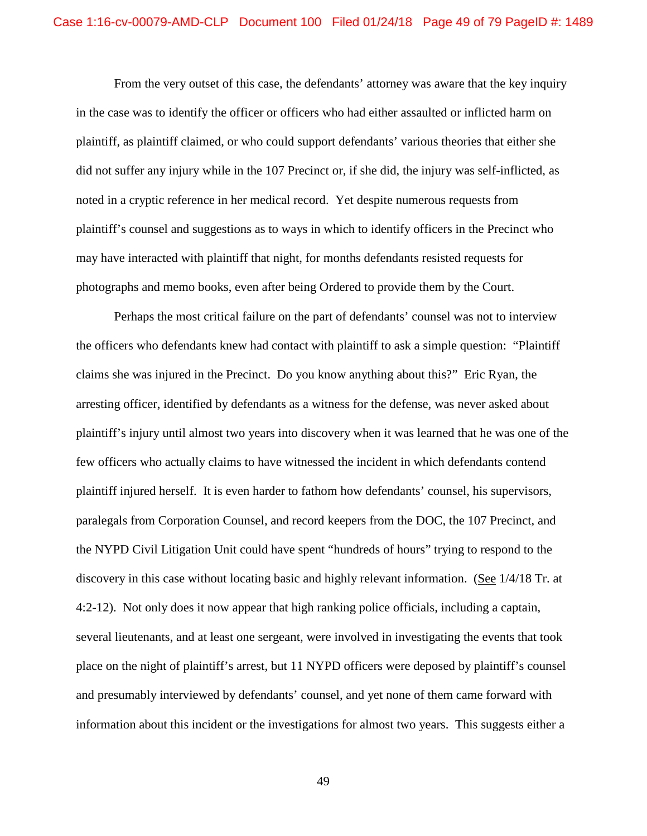From the very outset of this case, the defendants' attorney was aware that the key inquiry in the case was to identify the officer or officers who had either assaulted or inflicted harm on plaintiff, as plaintiff claimed, or who could support defendants' various theories that either she did not suffer any injury while in the 107 Precinct or, if she did, the injury was self-inflicted, as noted in a cryptic reference in her medical record. Yet despite numerous requests from plaintiff's counsel and suggestions as to ways in which to identify officers in the Precinct who may have interacted with plaintiff that night, for months defendants resisted requests for photographs and memo books, even after being Ordered to provide them by the Court.

Perhaps the most critical failure on the part of defendants' counsel was not to interview the officers who defendants knew had contact with plaintiff to ask a simple question: "Plaintiff claims she was injured in the Precinct. Do you know anything about this?" Eric Ryan, the arresting officer, identified by defendants as a witness for the defense, was never asked about plaintiff's injury until almost two years into discovery when it was learned that he was one of the few officers who actually claims to have witnessed the incident in which defendants contend plaintiff injured herself. It is even harder to fathom how defendants' counsel, his supervisors, paralegals from Corporation Counsel, and record keepers from the DOC, the 107 Precinct, and the NYPD Civil Litigation Unit could have spent "hundreds of hours" trying to respond to the discovery in this case without locating basic and highly relevant information. (See 1/4/18 Tr. at 4:2-12). Not only does it now appear that high ranking police officials, including a captain, several lieutenants, and at least one sergeant, were involved in investigating the events that took place on the night of plaintiff's arrest, but 11 NYPD officers were deposed by plaintiff's counsel and presumably interviewed by defendants' counsel, and yet none of them came forward with information about this incident or the investigations for almost two years. This suggests either a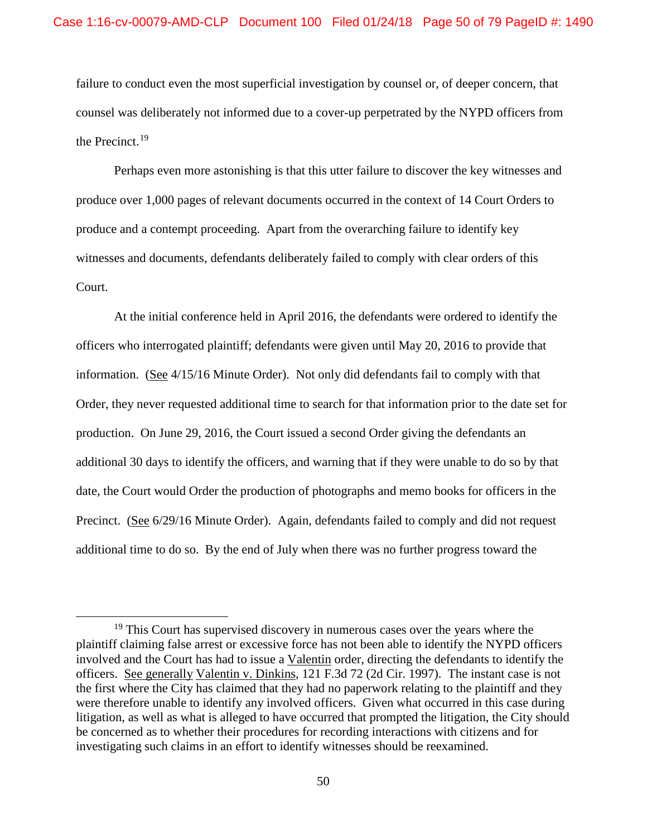failure to conduct even the most superficial investigation by counsel or, of deeper concern, that counsel was deliberately not informed due to a cover-up perpetrated by the NYPD officers from the Precinct.19

Perhaps even more astonishing is that this utter failure to discover the key witnesses and produce over 1,000 pages of relevant documents occurred in the context of 14 Court Orders to produce and a contempt proceeding. Apart from the overarching failure to identify key witnesses and documents, defendants deliberately failed to comply with clear orders of this Court.

At the initial conference held in April 2016, the defendants were ordered to identify the officers who interrogated plaintiff; defendants were given until May 20, 2016 to provide that information. (See 4/15/16 Minute Order). Not only did defendants fail to comply with that Order, they never requested additional time to search for that information prior to the date set for production. On June 29, 2016, the Court issued a second Order giving the defendants an additional 30 days to identify the officers, and warning that if they were unable to do so by that date, the Court would Order the production of photographs and memo books for officers in the Precinct. (See 6/29/16 Minute Order). Again, defendants failed to comply and did not request additional time to do so. By the end of July when there was no further progress toward the

 $19$  This Court has supervised discovery in numerous cases over the years where the plaintiff claiming false arrest or excessive force has not been able to identify the NYPD officers involved and the Court has had to issue a Valentin order, directing the defendants to identify the officers. See generally Valentin v. Dinkins, 121 F.3d 72 (2d Cir. 1997). The instant case is not the first where the City has claimed that they had no paperwork relating to the plaintiff and they were therefore unable to identify any involved officers. Given what occurred in this case during litigation, as well as what is alleged to have occurred that prompted the litigation, the City should be concerned as to whether their procedures for recording interactions with citizens and for investigating such claims in an effort to identify witnesses should be reexamined.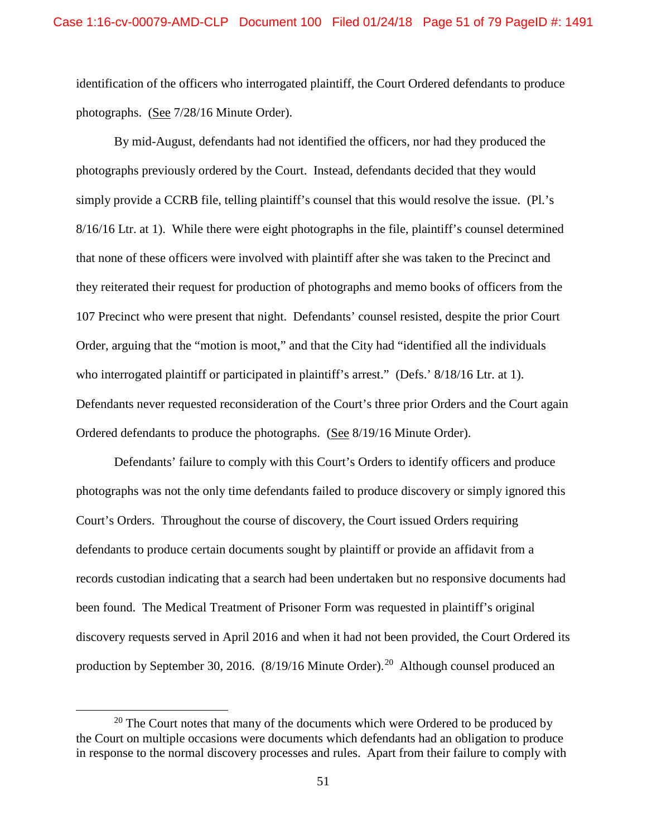identification of the officers who interrogated plaintiff, the Court Ordered defendants to produce photographs. (See 7/28/16 Minute Order).

By mid-August, defendants had not identified the officers, nor had they produced the photographs previously ordered by the Court. Instead, defendants decided that they would simply provide a CCRB file, telling plaintiff's counsel that this would resolve the issue. (Pl.'s 8/16/16 Ltr. at 1). While there were eight photographs in the file, plaintiff's counsel determined that none of these officers were involved with plaintiff after she was taken to the Precinct and they reiterated their request for production of photographs and memo books of officers from the 107 Precinct who were present that night. Defendants' counsel resisted, despite the prior Court Order, arguing that the "motion is moot," and that the City had "identified all the individuals who interrogated plaintiff or participated in plaintiff's arrest." (Defs.'  $8/18/16$  Ltr. at 1). Defendants never requested reconsideration of the Court's three prior Orders and the Court again Ordered defendants to produce the photographs. (See 8/19/16 Minute Order).

Defendants' failure to comply with this Court's Orders to identify officers and produce photographs was not the only time defendants failed to produce discovery or simply ignored this Court's Orders. Throughout the course of discovery, the Court issued Orders requiring defendants to produce certain documents sought by plaintiff or provide an affidavit from a records custodian indicating that a search had been undertaken but no responsive documents had been found. The Medical Treatment of Prisoner Form was requested in plaintiff's original discovery requests served in April 2016 and when it had not been provided, the Court Ordered its production by September 30, 2016.  $(8/19/16 \text{ Minute Order})^{20}$  Although counsel produced an

 $20$  The Court notes that many of the documents which were Ordered to be produced by the Court on multiple occasions were documents which defendants had an obligation to produce in response to the normal discovery processes and rules. Apart from their failure to comply with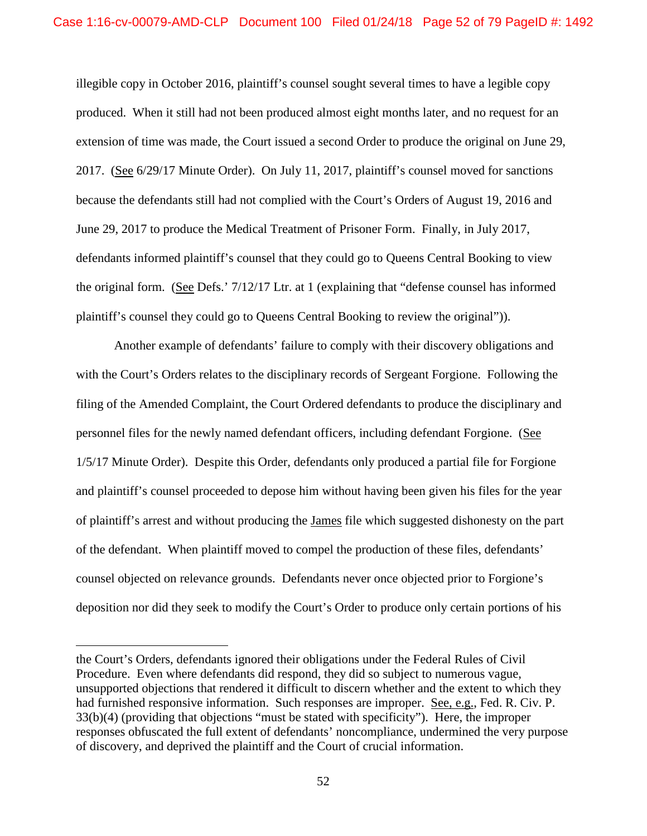illegible copy in October 2016, plaintiff's counsel sought several times to have a legible copy produced. When it still had not been produced almost eight months later, and no request for an extension of time was made, the Court issued a second Order to produce the original on June 29, 2017. (See 6/29/17 Minute Order). On July 11, 2017, plaintiff's counsel moved for sanctions because the defendants still had not complied with the Court's Orders of August 19, 2016 and June 29, 2017 to produce the Medical Treatment of Prisoner Form. Finally, in July 2017, defendants informed plaintiff's counsel that they could go to Queens Central Booking to view the original form. (See Defs.' 7/12/17 Ltr. at 1 (explaining that "defense counsel has informed plaintiff's counsel they could go to Queens Central Booking to review the original")).

Another example of defendants' failure to comply with their discovery obligations and with the Court's Orders relates to the disciplinary records of Sergeant Forgione. Following the filing of the Amended Complaint, the Court Ordered defendants to produce the disciplinary and personnel files for the newly named defendant officers, including defendant Forgione. (See 1/5/17 Minute Order). Despite this Order, defendants only produced a partial file for Forgione and plaintiff's counsel proceeded to depose him without having been given his files for the year of plaintiff's arrest and without producing the James file which suggested dishonesty on the part of the defendant. When plaintiff moved to compel the production of these files, defendants' counsel objected on relevance grounds. Defendants never once objected prior to Forgione's deposition nor did they seek to modify the Court's Order to produce only certain portions of his

 $\overline{a}$ 

the Court's Orders, defendants ignored their obligations under the Federal Rules of Civil Procedure. Even where defendants did respond, they did so subject to numerous vague, unsupported objections that rendered it difficult to discern whether and the extent to which they had furnished responsive information. Such responses are improper. See, e.g., Fed. R. Civ. P. 33(b)(4) (providing that objections "must be stated with specificity"). Here, the improper responses obfuscated the full extent of defendants' noncompliance, undermined the very purpose of discovery, and deprived the plaintiff and the Court of crucial information.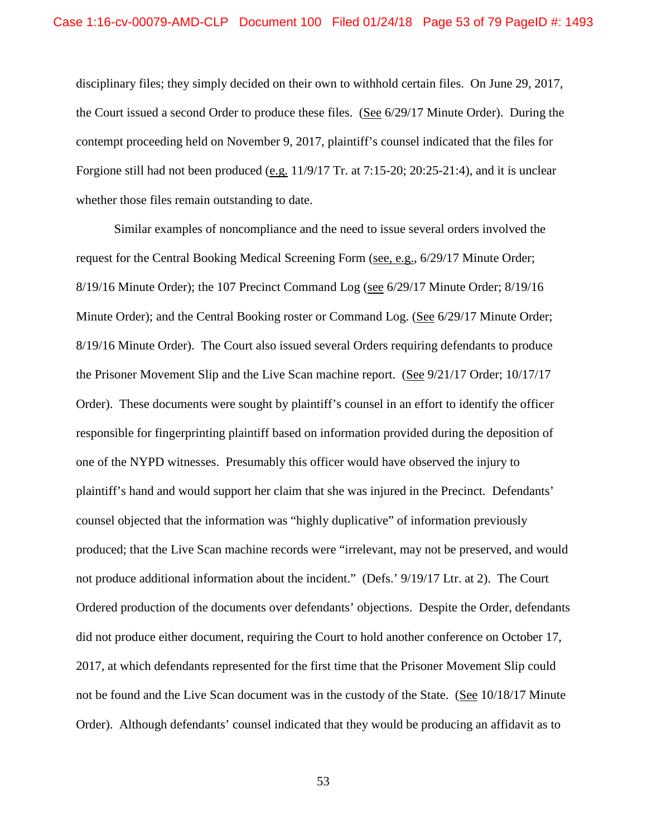disciplinary files; they simply decided on their own to withhold certain files. On June 29, 2017, the Court issued a second Order to produce these files. (See 6/29/17 Minute Order). During the contempt proceeding held on November 9, 2017, plaintiff's counsel indicated that the files for Forgione still had not been produced (e.g. 11/9/17 Tr. at 7:15-20; 20:25-21:4), and it is unclear whether those files remain outstanding to date.

Similar examples of noncompliance and the need to issue several orders involved the request for the Central Booking Medical Screening Form (see, e.g., 6/29/17 Minute Order; 8/19/16 Minute Order); the 107 Precinct Command Log (see 6/29/17 Minute Order; 8/19/16 Minute Order); and the Central Booking roster or Command Log. (See 6/29/17 Minute Order; 8/19/16 Minute Order). The Court also issued several Orders requiring defendants to produce the Prisoner Movement Slip and the Live Scan machine report. (See 9/21/17 Order; 10/17/17 Order). These documents were sought by plaintiff's counsel in an effort to identify the officer responsible for fingerprinting plaintiff based on information provided during the deposition of one of the NYPD witnesses. Presumably this officer would have observed the injury to plaintiff's hand and would support her claim that she was injured in the Precinct. Defendants' counsel objected that the information was "highly duplicative" of information previously produced; that the Live Scan machine records were "irrelevant, may not be preserved, and would not produce additional information about the incident." (Defs.' 9/19/17 Ltr. at 2). The Court Ordered production of the documents over defendants' objections. Despite the Order, defendants did not produce either document, requiring the Court to hold another conference on October 17, 2017, at which defendants represented for the first time that the Prisoner Movement Slip could not be found and the Live Scan document was in the custody of the State. (See 10/18/17 Minute Order). Although defendants' counsel indicated that they would be producing an affidavit as to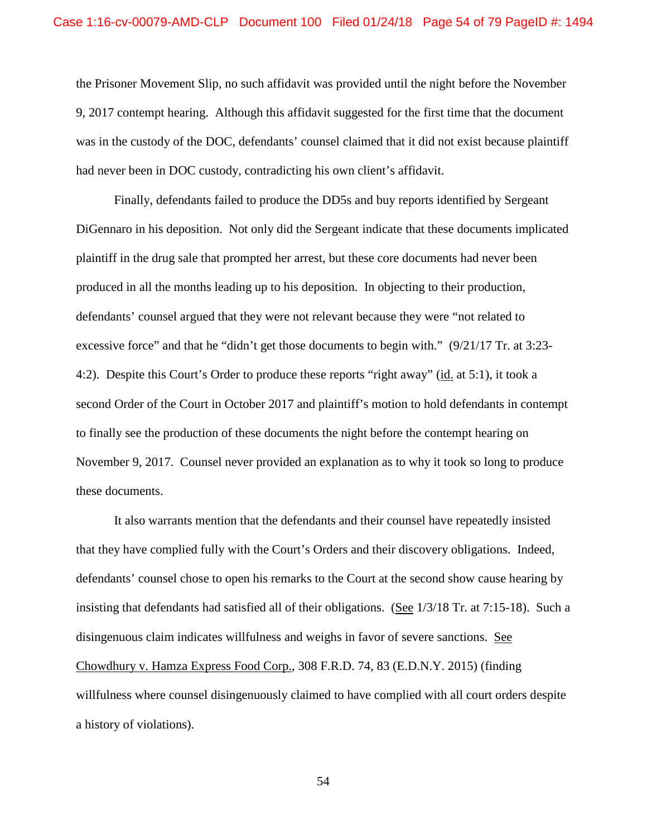the Prisoner Movement Slip, no such affidavit was provided until the night before the November 9, 2017 contempt hearing. Although this affidavit suggested for the first time that the document was in the custody of the DOC, defendants' counsel claimed that it did not exist because plaintiff had never been in DOC custody, contradicting his own client's affidavit.

Finally, defendants failed to produce the DD5s and buy reports identified by Sergeant DiGennaro in his deposition. Not only did the Sergeant indicate that these documents implicated plaintiff in the drug sale that prompted her arrest, but these core documents had never been produced in all the months leading up to his deposition. In objecting to their production, defendants' counsel argued that they were not relevant because they were "not related to excessive force" and that he "didn't get those documents to begin with." (9/21/17 Tr. at 3:23- 4:2). Despite this Court's Order to produce these reports "right away" (id. at 5:1), it took a second Order of the Court in October 2017 and plaintiff's motion to hold defendants in contempt to finally see the production of these documents the night before the contempt hearing on November 9, 2017. Counsel never provided an explanation as to why it took so long to produce these documents.

It also warrants mention that the defendants and their counsel have repeatedly insisted that they have complied fully with the Court's Orders and their discovery obligations. Indeed, defendants' counsel chose to open his remarks to the Court at the second show cause hearing by insisting that defendants had satisfied all of their obligations. (See 1/3/18 Tr. at 7:15-18). Such a disingenuous claim indicates willfulness and weighs in favor of severe sanctions. See Chowdhury v. Hamza Express Food Corp., 308 F.R.D. 74, 83 (E.D.N.Y. 2015) (finding willfulness where counsel disingenuously claimed to have complied with all court orders despite a history of violations).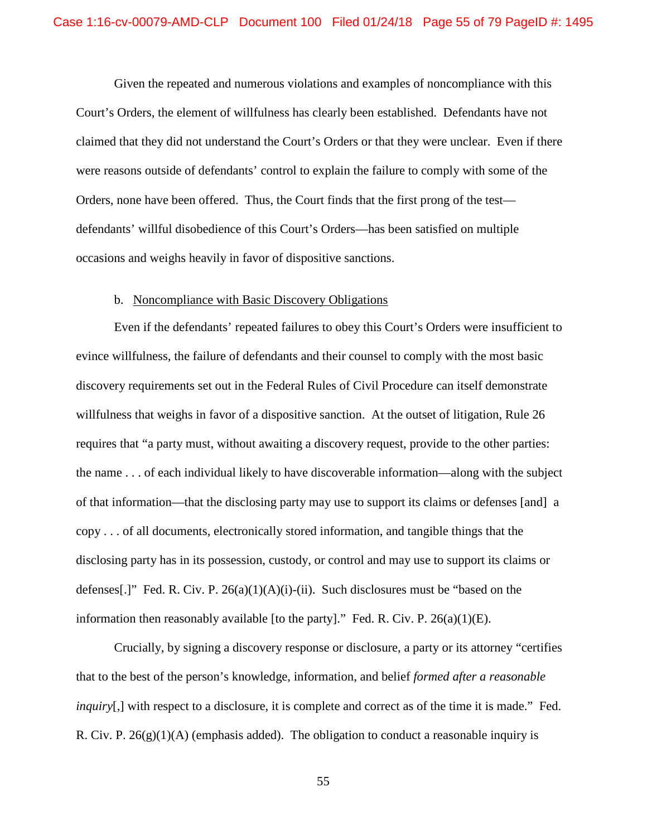Given the repeated and numerous violations and examples of noncompliance with this Court's Orders, the element of willfulness has clearly been established. Defendants have not claimed that they did not understand the Court's Orders or that they were unclear. Even if there were reasons outside of defendants' control to explain the failure to comply with some of the Orders, none have been offered. Thus, the Court finds that the first prong of the test defendants' willful disobedience of this Court's Orders—has been satisfied on multiple occasions and weighs heavily in favor of dispositive sanctions.

## b. Noncompliance with Basic Discovery Obligations

Even if the defendants' repeated failures to obey this Court's Orders were insufficient to evince willfulness, the failure of defendants and their counsel to comply with the most basic discovery requirements set out in the Federal Rules of Civil Procedure can itself demonstrate willfulness that weighs in favor of a dispositive sanction. At the outset of litigation, Rule 26 requires that "a party must, without awaiting a discovery request, provide to the other parties: the name . . . of each individual likely to have discoverable information—along with the subject of that information—that the disclosing party may use to support its claims or defenses [and] a copy . . . of all documents, electronically stored information, and tangible things that the disclosing party has in its possession, custody, or control and may use to support its claims or defenses[.]" Fed. R. Civ. P.  $26(a)(1)(A)(i)$ -(ii). Such disclosures must be "based on the information then reasonably available [to the party]." Fed. R. Civ. P.  $26(a)(1)(E)$ .

Crucially, by signing a discovery response or disclosure, a party or its attorney "certifies that to the best of the person's knowledge, information, and belief *formed after a reasonable inquiry*[,] with respect to a disclosure, it is complete and correct as of the time it is made." Fed. R. Civ. P.  $26(g)(1)(A)$  (emphasis added). The obligation to conduct a reasonable inquiry is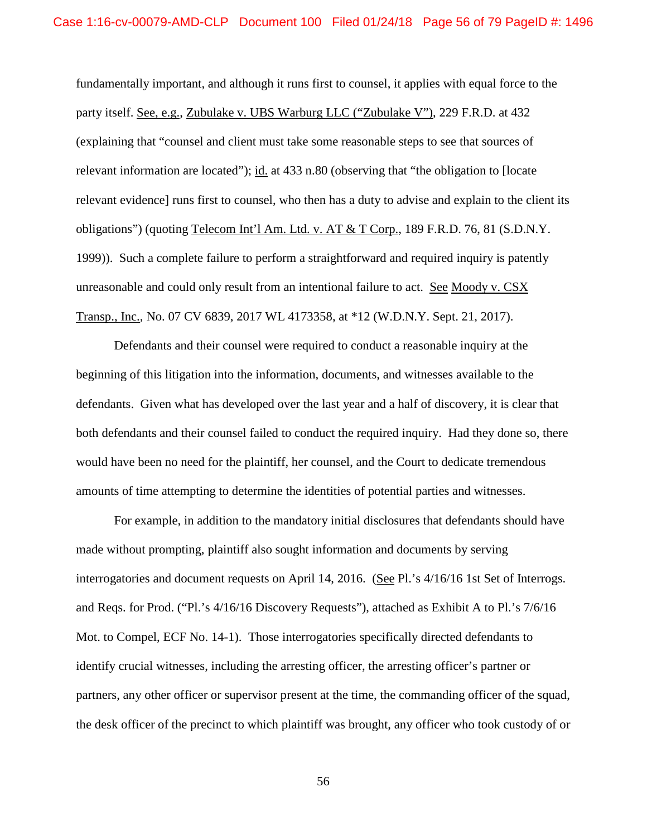fundamentally important, and although it runs first to counsel, it applies with equal force to the party itself. See, e.g., Zubulake v. UBS Warburg LLC ("Zubulake V"), 229 F.R.D. at 432 (explaining that "counsel and client must take some reasonable steps to see that sources of relevant information are located"); id. at 433 n.80 (observing that "the obligation to [locate relevant evidence] runs first to counsel, who then has a duty to advise and explain to the client its obligations") (quoting Telecom Int'l Am. Ltd. v. AT & T Corp., 189 F.R.D. 76, 81 (S.D.N.Y. 1999)). Such a complete failure to perform a straightforward and required inquiry is patently unreasonable and could only result from an intentional failure to act. See Moody v. CSX Transp., Inc., No. 07 CV 6839, 2017 WL 4173358, at \*12 (W.D.N.Y. Sept. 21, 2017).

Defendants and their counsel were required to conduct a reasonable inquiry at the beginning of this litigation into the information, documents, and witnesses available to the defendants. Given what has developed over the last year and a half of discovery, it is clear that both defendants and their counsel failed to conduct the required inquiry. Had they done so, there would have been no need for the plaintiff, her counsel, and the Court to dedicate tremendous amounts of time attempting to determine the identities of potential parties and witnesses.

For example, in addition to the mandatory initial disclosures that defendants should have made without prompting, plaintiff also sought information and documents by serving interrogatories and document requests on April 14, 2016. (See Pl.'s 4/16/16 1st Set of Interrogs. and Reqs. for Prod. ("Pl.'s 4/16/16 Discovery Requests"), attached as Exhibit A to Pl.'s 7/6/16 Mot. to Compel, ECF No. 14-1). Those interrogatories specifically directed defendants to identify crucial witnesses, including the arresting officer, the arresting officer's partner or partners, any other officer or supervisor present at the time, the commanding officer of the squad, the desk officer of the precinct to which plaintiff was brought, any officer who took custody of or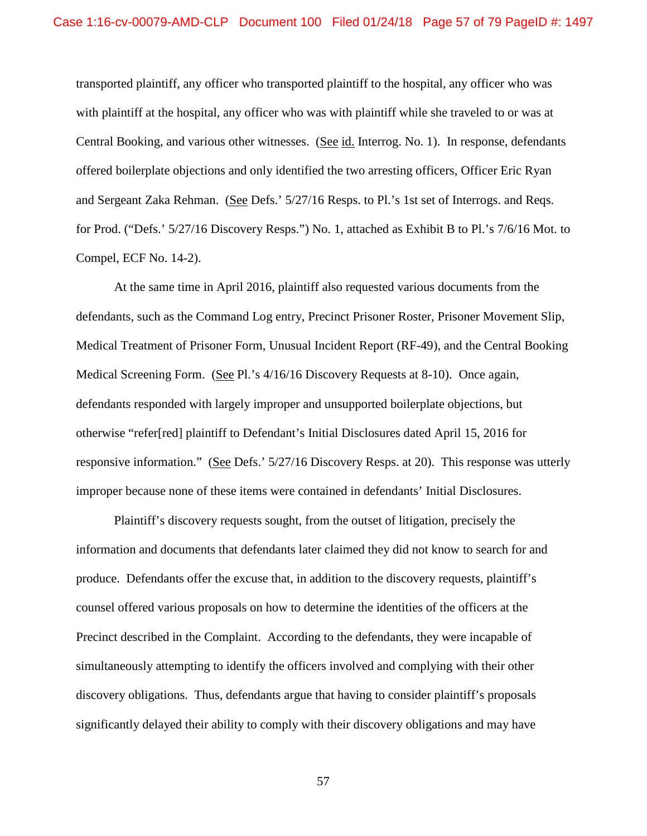transported plaintiff, any officer who transported plaintiff to the hospital, any officer who was with plaintiff at the hospital, any officer who was with plaintiff while she traveled to or was at Central Booking, and various other witnesses. (See id. Interrog. No. 1). In response, defendants offered boilerplate objections and only identified the two arresting officers, Officer Eric Ryan and Sergeant Zaka Rehman. (See Defs.' 5/27/16 Resps. to Pl.'s 1st set of Interrogs. and Reqs. for Prod. ("Defs.' 5/27/16 Discovery Resps.") No. 1, attached as Exhibit B to Pl.'s 7/6/16 Mot. to Compel, ECF No. 14-2).

At the same time in April 2016, plaintiff also requested various documents from the defendants, such as the Command Log entry, Precinct Prisoner Roster, Prisoner Movement Slip, Medical Treatment of Prisoner Form, Unusual Incident Report (RF-49), and the Central Booking Medical Screening Form. (See Pl.'s 4/16/16 Discovery Requests at 8-10). Once again, defendants responded with largely improper and unsupported boilerplate objections, but otherwise "refer[red] plaintiff to Defendant's Initial Disclosures dated April 15, 2016 for responsive information." (See Defs.'  $5/27/16$  Discovery Resps. at 20). This response was utterly improper because none of these items were contained in defendants' Initial Disclosures.

Plaintiff's discovery requests sought, from the outset of litigation, precisely the information and documents that defendants later claimed they did not know to search for and produce. Defendants offer the excuse that, in addition to the discovery requests, plaintiff's counsel offered various proposals on how to determine the identities of the officers at the Precinct described in the Complaint. According to the defendants, they were incapable of simultaneously attempting to identify the officers involved and complying with their other discovery obligations. Thus, defendants argue that having to consider plaintiff's proposals significantly delayed their ability to comply with their discovery obligations and may have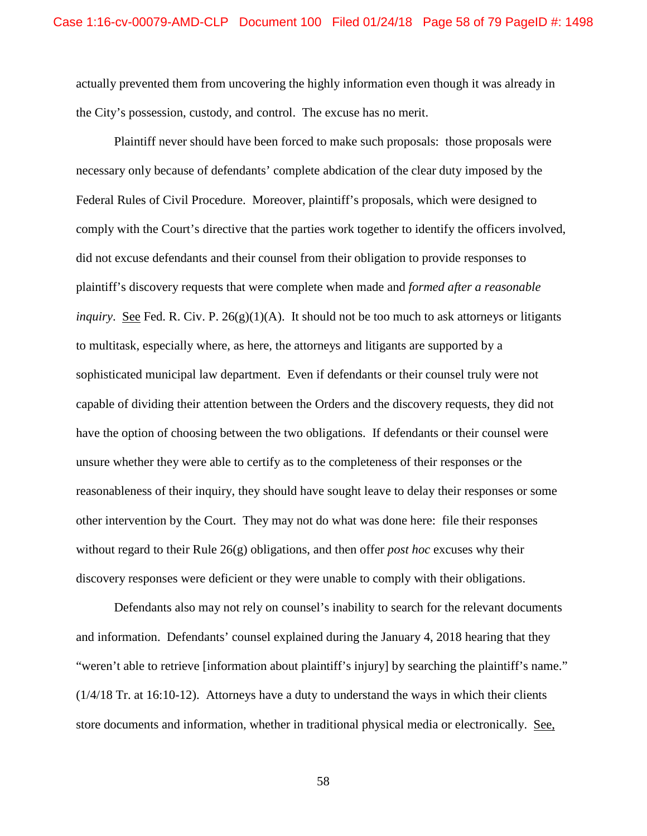actually prevented them from uncovering the highly information even though it was already in the City's possession, custody, and control. The excuse has no merit.

Plaintiff never should have been forced to make such proposals: those proposals were necessary only because of defendants' complete abdication of the clear duty imposed by the Federal Rules of Civil Procedure. Moreover, plaintiff's proposals, which were designed to comply with the Court's directive that the parties work together to identify the officers involved, did not excuse defendants and their counsel from their obligation to provide responses to plaintiff's discovery requests that were complete when made and *formed after a reasonable inquiry.* <u>See</u> Fed. R. Civ. P. 26(g)(1)(A). It should not be too much to ask attorneys or litigants to multitask, especially where, as here, the attorneys and litigants are supported by a sophisticated municipal law department. Even if defendants or their counsel truly were not capable of dividing their attention between the Orders and the discovery requests, they did not have the option of choosing between the two obligations. If defendants or their counsel were unsure whether they were able to certify as to the completeness of their responses or the reasonableness of their inquiry, they should have sought leave to delay their responses or some other intervention by the Court. They may not do what was done here: file their responses without regard to their Rule 26(g) obligations, and then offer *post hoc* excuses why their discovery responses were deficient or they were unable to comply with their obligations.

Defendants also may not rely on counsel's inability to search for the relevant documents and information. Defendants' counsel explained during the January 4, 2018 hearing that they "weren't able to retrieve [information about plaintiff's injury] by searching the plaintiff's name." (1/4/18 Tr. at 16:10-12). Attorneys have a duty to understand the ways in which their clients store documents and information, whether in traditional physical media or electronically. See,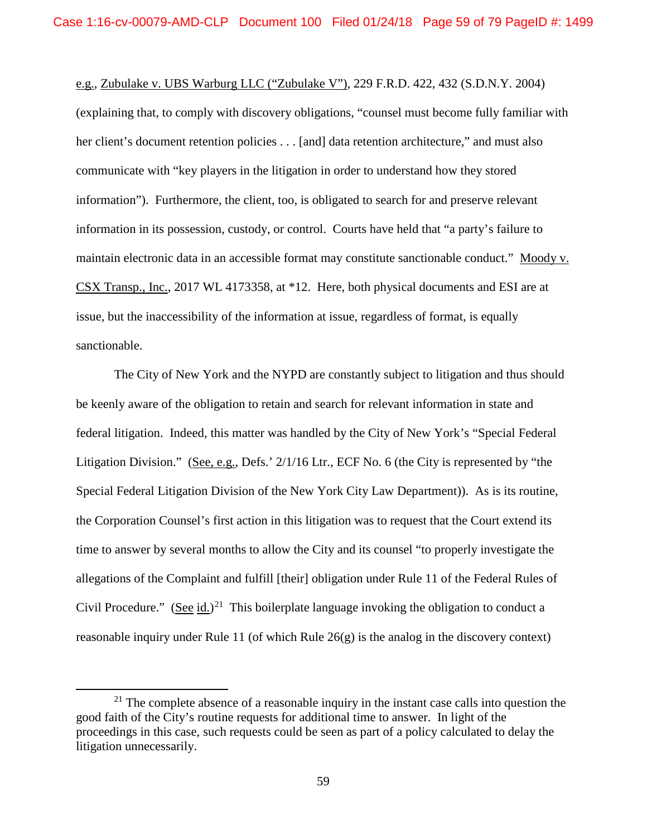e.g., Zubulake v. UBS Warburg LLC ("Zubulake V"), 229 F.R.D. 422, 432 (S.D.N.Y. 2004) (explaining that, to comply with discovery obligations, "counsel must become fully familiar with her client's document retention policies . . . [and] data retention architecture," and must also communicate with "key players in the litigation in order to understand how they stored information"). Furthermore, the client, too, is obligated to search for and preserve relevant information in its possession, custody, or control. Courts have held that "a party's failure to maintain electronic data in an accessible format may constitute sanctionable conduct." Moody v. CSX Transp., Inc., 2017 WL 4173358, at \*12. Here, both physical documents and ESI are at issue, but the inaccessibility of the information at issue, regardless of format, is equally sanctionable.

The City of New York and the NYPD are constantly subject to litigation and thus should be keenly aware of the obligation to retain and search for relevant information in state and federal litigation. Indeed, this matter was handled by the City of New York's "Special Federal Litigation Division." (See, e.g., Defs.' 2/1/16 Ltr., ECF No. 6 (the City is represented by "the Special Federal Litigation Division of the New York City Law Department)). As is its routine, the Corporation Counsel's first action in this litigation was to request that the Court extend its time to answer by several months to allow the City and its counsel "to properly investigate the allegations of the Complaint and fulfill [their] obligation under Rule 11 of the Federal Rules of Civil Procedure." (See id.)<sup>21</sup> This boilerplate language invoking the obligation to conduct a reasonable inquiry under Rule 11 (of which Rule 26(g) is the analog in the discovery context)

 $21$  The complete absence of a reasonable inquiry in the instant case calls into question the good faith of the City's routine requests for additional time to answer. In light of the proceedings in this case, such requests could be seen as part of a policy calculated to delay the litigation unnecessarily.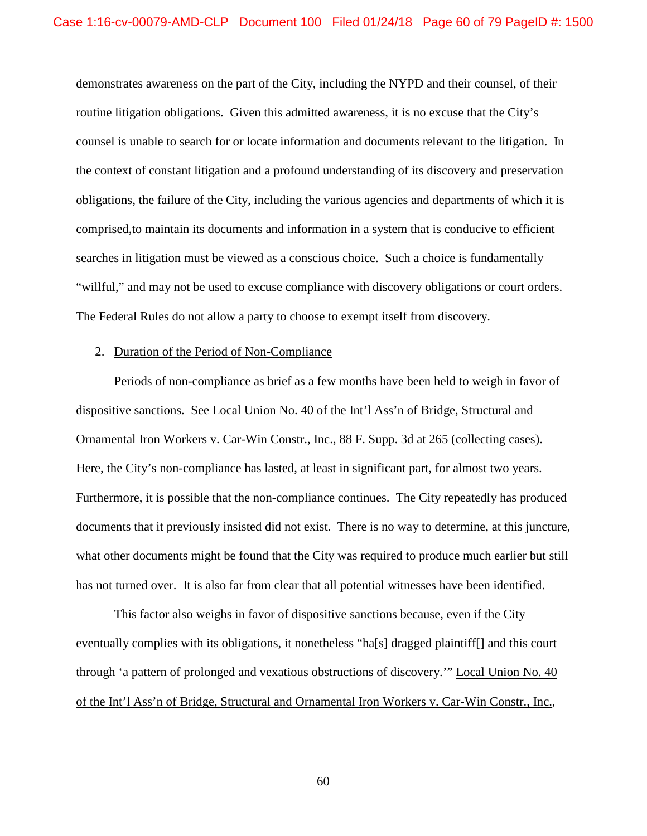demonstrates awareness on the part of the City, including the NYPD and their counsel, of their routine litigation obligations. Given this admitted awareness, it is no excuse that the City's counsel is unable to search for or locate information and documents relevant to the litigation. In the context of constant litigation and a profound understanding of its discovery and preservation obligations, the failure of the City, including the various agencies and departments of which it is comprised,to maintain its documents and information in a system that is conducive to efficient searches in litigation must be viewed as a conscious choice. Such a choice is fundamentally "willful," and may not be used to excuse compliance with discovery obligations or court orders. The Federal Rules do not allow a party to choose to exempt itself from discovery.

#### 2. Duration of the Period of Non-Compliance

Periods of non-compliance as brief as a few months have been held to weigh in favor of dispositive sanctions. See Local Union No. 40 of the Int'l Ass'n of Bridge, Structural and Ornamental Iron Workers v. Car-Win Constr., Inc., 88 F. Supp. 3d at 265 (collecting cases). Here, the City's non-compliance has lasted, at least in significant part, for almost two years. Furthermore, it is possible that the non-compliance continues. The City repeatedly has produced documents that it previously insisted did not exist. There is no way to determine, at this juncture, what other documents might be found that the City was required to produce much earlier but still has not turned over. It is also far from clear that all potential witnesses have been identified.

This factor also weighs in favor of dispositive sanctions because, even if the City eventually complies with its obligations, it nonetheless "ha[s] dragged plaintiff[] and this court through 'a pattern of prolonged and vexatious obstructions of discovery.'" Local Union No. 40 of the Int'l Ass'n of Bridge, Structural and Ornamental Iron Workers v. Car-Win Constr., Inc.,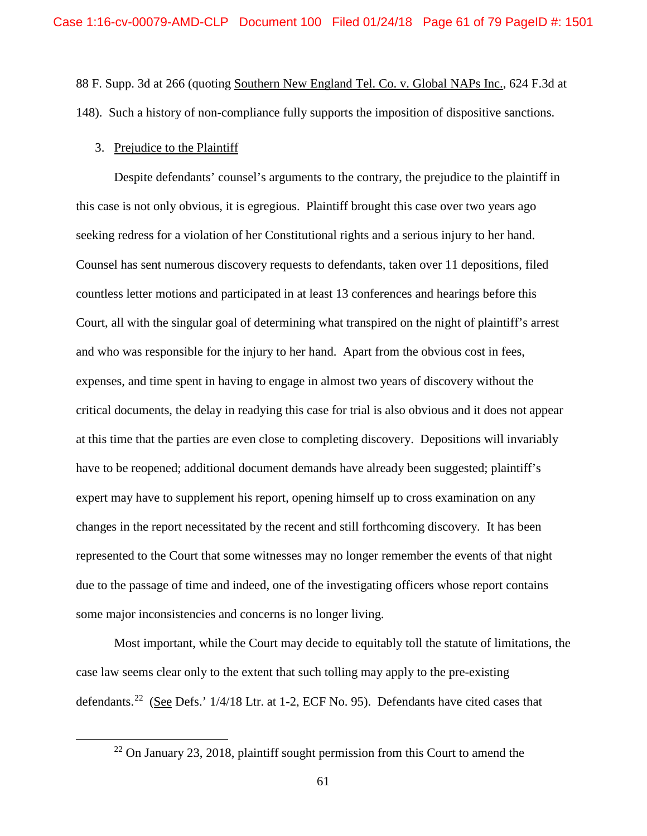88 F. Supp. 3d at 266 (quoting Southern New England Tel. Co. v. Global NAPs Inc., 624 F.3d at 148). Such a history of non-compliance fully supports the imposition of dispositive sanctions.

### 3. Prejudice to the Plaintiff

Despite defendants' counsel's arguments to the contrary, the prejudice to the plaintiff in this case is not only obvious, it is egregious. Plaintiff brought this case over two years ago seeking redress for a violation of her Constitutional rights and a serious injury to her hand. Counsel has sent numerous discovery requests to defendants, taken over 11 depositions, filed countless letter motions and participated in at least 13 conferences and hearings before this Court, all with the singular goal of determining what transpired on the night of plaintiff's arrest and who was responsible for the injury to her hand. Apart from the obvious cost in fees, expenses, and time spent in having to engage in almost two years of discovery without the critical documents, the delay in readying this case for trial is also obvious and it does not appear at this time that the parties are even close to completing discovery. Depositions will invariably have to be reopened; additional document demands have already been suggested; plaintiff's expert may have to supplement his report, opening himself up to cross examination on any changes in the report necessitated by the recent and still forthcoming discovery. It has been represented to the Court that some witnesses may no longer remember the events of that night due to the passage of time and indeed, one of the investigating officers whose report contains some major inconsistencies and concerns is no longer living.

Most important, while the Court may decide to equitably toll the statute of limitations, the case law seems clear only to the extent that such tolling may apply to the pre-existing defendants.<sup>22</sup> (See Defs.' 1/4/18 Ltr. at 1-2, ECF No. 95). Defendants have cited cases that

 $22$  On January 23, 2018, plaintiff sought permission from this Court to amend the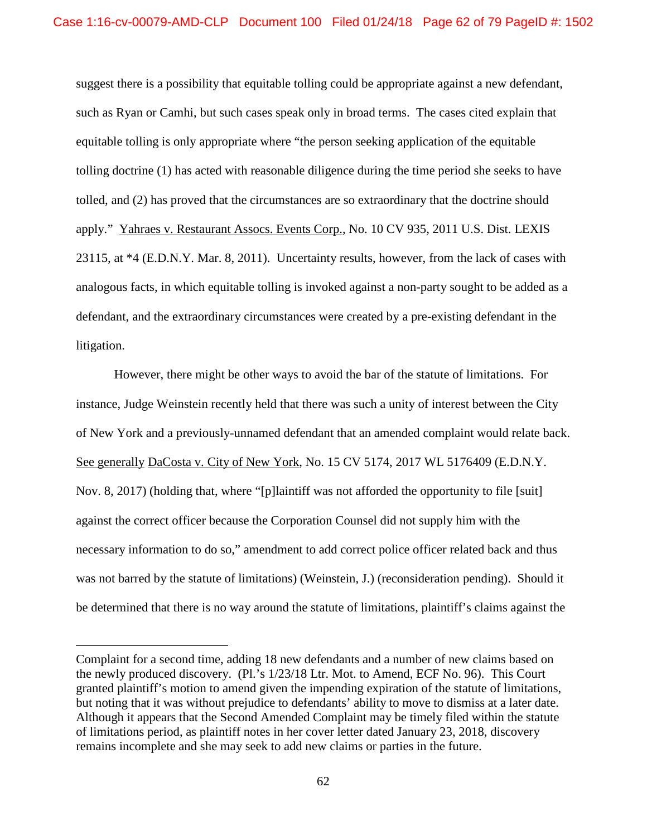suggest there is a possibility that equitable tolling could be appropriate against a new defendant, such as Ryan or Camhi, but such cases speak only in broad terms. The cases cited explain that equitable tolling is only appropriate where "the person seeking application of the equitable tolling doctrine (1) has acted with reasonable diligence during the time period she seeks to have tolled, and (2) has proved that the circumstances are so extraordinary that the doctrine should apply." Yahraes v. Restaurant Assocs. Events Corp., No. 10 CV 935, 2011 U.S. Dist. LEXIS 23115, at \*4 (E.D.N.Y. Mar. 8, 2011). Uncertainty results, however, from the lack of cases with analogous facts, in which equitable tolling is invoked against a non-party sought to be added as a defendant, and the extraordinary circumstances were created by a pre-existing defendant in the litigation.

However, there might be other ways to avoid the bar of the statute of limitations. For instance, Judge Weinstein recently held that there was such a unity of interest between the City of New York and a previously-unnamed defendant that an amended complaint would relate back. See generally DaCosta v. City of New York, No. 15 CV 5174, 2017 WL 5176409 (E.D.N.Y. Nov. 8, 2017) (holding that, where "[p]laintiff was not afforded the opportunity to file [suit] against the correct officer because the Corporation Counsel did not supply him with the necessary information to do so," amendment to add correct police officer related back and thus was not barred by the statute of limitations) (Weinstein, J.) (reconsideration pending). Should it be determined that there is no way around the statute of limitations, plaintiff's claims against the

 $\overline{a}$ 

Complaint for a second time, adding 18 new defendants and a number of new claims based on the newly produced discovery. (Pl.'s 1/23/18 Ltr. Mot. to Amend, ECF No. 96). This Court granted plaintiff's motion to amend given the impending expiration of the statute of limitations, but noting that it was without prejudice to defendants' ability to move to dismiss at a later date. Although it appears that the Second Amended Complaint may be timely filed within the statute of limitations period, as plaintiff notes in her cover letter dated January 23, 2018, discovery remains incomplete and she may seek to add new claims or parties in the future.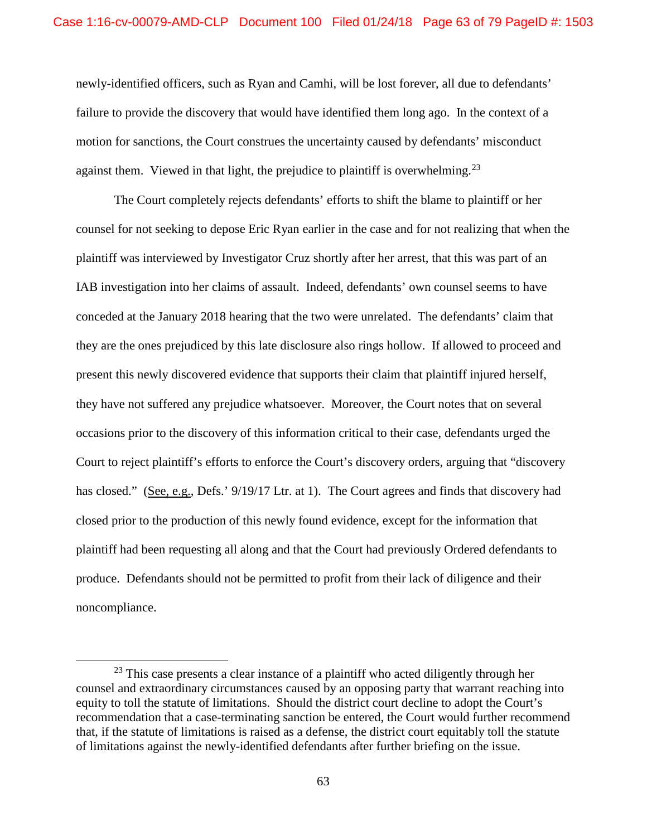newly-identified officers, such as Ryan and Camhi, will be lost forever, all due to defendants' failure to provide the discovery that would have identified them long ago. In the context of a motion for sanctions, the Court construes the uncertainty caused by defendants' misconduct against them. Viewed in that light, the prejudice to plaintiff is overwhelming.<sup>23</sup>

The Court completely rejects defendants' efforts to shift the blame to plaintiff or her counsel for not seeking to depose Eric Ryan earlier in the case and for not realizing that when the plaintiff was interviewed by Investigator Cruz shortly after her arrest, that this was part of an IAB investigation into her claims of assault. Indeed, defendants' own counsel seems to have conceded at the January 2018 hearing that the two were unrelated. The defendants' claim that they are the ones prejudiced by this late disclosure also rings hollow. If allowed to proceed and present this newly discovered evidence that supports their claim that plaintiff injured herself, they have not suffered any prejudice whatsoever. Moreover, the Court notes that on several occasions prior to the discovery of this information critical to their case, defendants urged the Court to reject plaintiff's efforts to enforce the Court's discovery orders, arguing that "discovery has closed." (See, e.g., Defs.' 9/19/17 Ltr. at 1). The Court agrees and finds that discovery had closed prior to the production of this newly found evidence, except for the information that plaintiff had been requesting all along and that the Court had previously Ordered defendants to produce. Defendants should not be permitted to profit from their lack of diligence and their noncompliance.

<sup>&</sup>lt;sup>23</sup> This case presents a clear instance of a plaintiff who acted diligently through her counsel and extraordinary circumstances caused by an opposing party that warrant reaching into equity to toll the statute of limitations. Should the district court decline to adopt the Court's recommendation that a case-terminating sanction be entered, the Court would further recommend that, if the statute of limitations is raised as a defense, the district court equitably toll the statute of limitations against the newly-identified defendants after further briefing on the issue.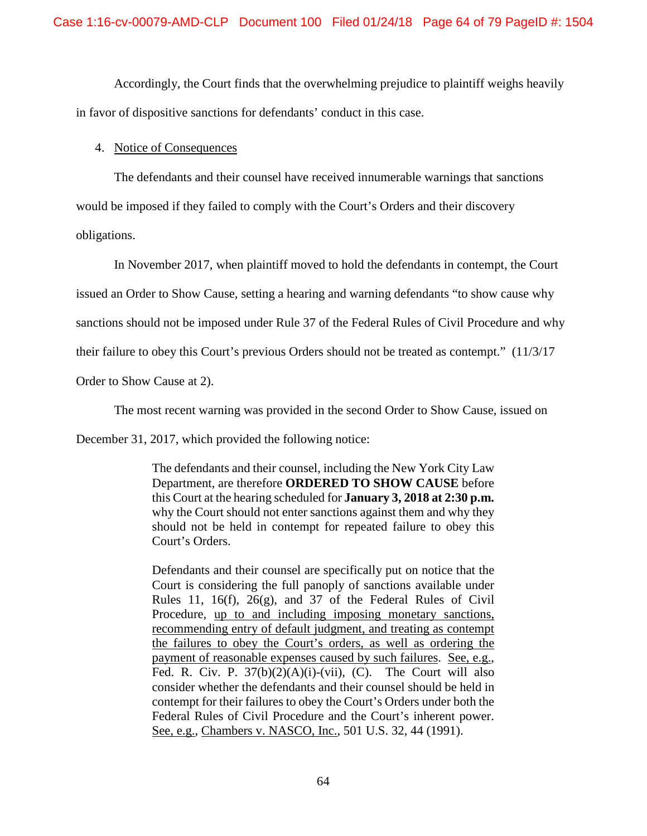Accordingly, the Court finds that the overwhelming prejudice to plaintiff weighs heavily in favor of dispositive sanctions for defendants' conduct in this case.

# 4. Notice of Consequences

The defendants and their counsel have received innumerable warnings that sanctions

would be imposed if they failed to comply with the Court's Orders and their discovery

obligations.

In November 2017, when plaintiff moved to hold the defendants in contempt, the Court

issued an Order to Show Cause, setting a hearing and warning defendants "to show cause why

sanctions should not be imposed under Rule 37 of the Federal Rules of Civil Procedure and why

their failure to obey this Court's previous Orders should not be treated as contempt." (11/3/17

Order to Show Cause at 2).

The most recent warning was provided in the second Order to Show Cause, issued on

December 31, 2017, which provided the following notice:

The defendants and their counsel, including the New York City Law Department, are therefore **ORDERED TO SHOW CAUSE** before this Court at the hearing scheduled for **January 3, 2018 at 2:30 p.m.** why the Court should not enter sanctions against them and why they should not be held in contempt for repeated failure to obey this Court's Orders.

Defendants and their counsel are specifically put on notice that the Court is considering the full panoply of sanctions available under Rules 11, 16(f), 26(g), and 37 of the Federal Rules of Civil Procedure, up to and including imposing monetary sanctions, recommending entry of default judgment, and treating as contempt the failures to obey the Court's orders, as well as ordering the payment of reasonable expenses caused by such failures. See, e.g., Fed. R. Civ. P.  $37(b)(2)(A)(i)-(vii)$ , (C). The Court will also consider whether the defendants and their counsel should be held in contempt for their failures to obey the Court's Orders under both the Federal Rules of Civil Procedure and the Court's inherent power. See, e.g., Chambers v. NASCO, Inc., 501 U.S. 32, 44 (1991).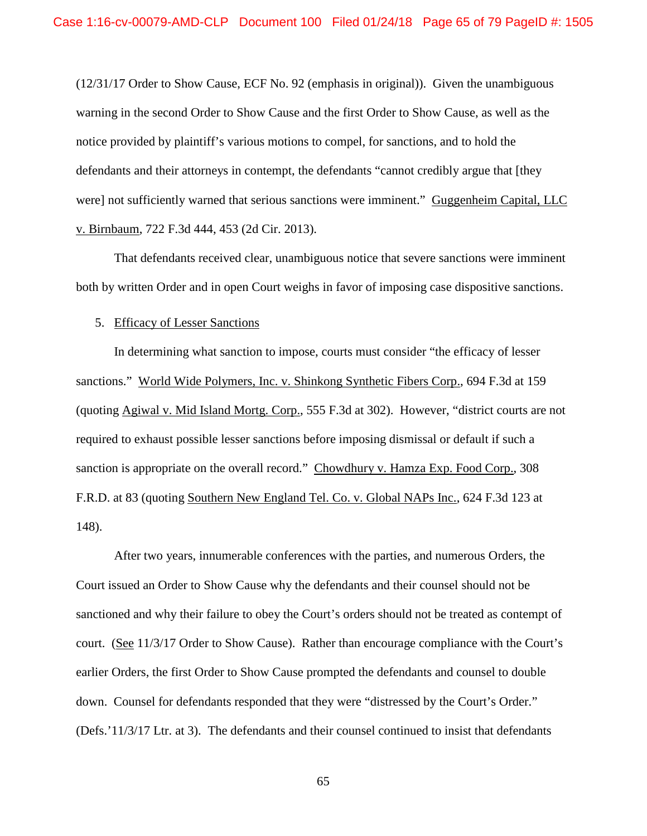(12/31/17 Order to Show Cause, ECF No. 92 (emphasis in original)). Given the unambiguous warning in the second Order to Show Cause and the first Order to Show Cause, as well as the notice provided by plaintiff's various motions to compel, for sanctions, and to hold the defendants and their attorneys in contempt, the defendants "cannot credibly argue that [they were] not sufficiently warned that serious sanctions were imminent." Guggenheim Capital, LLC v. Birnbaum, 722 F.3d 444, 453 (2d Cir. 2013).

That defendants received clear, unambiguous notice that severe sanctions were imminent both by written Order and in open Court weighs in favor of imposing case dispositive sanctions.

#### 5. Efficacy of Lesser Sanctions

In determining what sanction to impose, courts must consider "the efficacy of lesser sanctions." World Wide Polymers, Inc. v. Shinkong Synthetic Fibers Corp., 694 F.3d at 159 (quoting Agiwal v. Mid Island Mortg. Corp., 555 F.3d at 302). However, "district courts are not required to exhaust possible lesser sanctions before imposing dismissal or default if such a sanction is appropriate on the overall record." Chowdhury v. Hamza Exp. Food Corp., 308 F.R.D. at 83 (quoting Southern New England Tel. Co. v. Global NAPs Inc., 624 F.3d 123 at 148).

After two years, innumerable conferences with the parties, and numerous Orders, the Court issued an Order to Show Cause why the defendants and their counsel should not be sanctioned and why their failure to obey the Court's orders should not be treated as contempt of court. (See 11/3/17 Order to Show Cause). Rather than encourage compliance with the Court's earlier Orders, the first Order to Show Cause prompted the defendants and counsel to double down. Counsel for defendants responded that they were "distressed by the Court's Order." (Defs.'11/3/17 Ltr. at 3). The defendants and their counsel continued to insist that defendants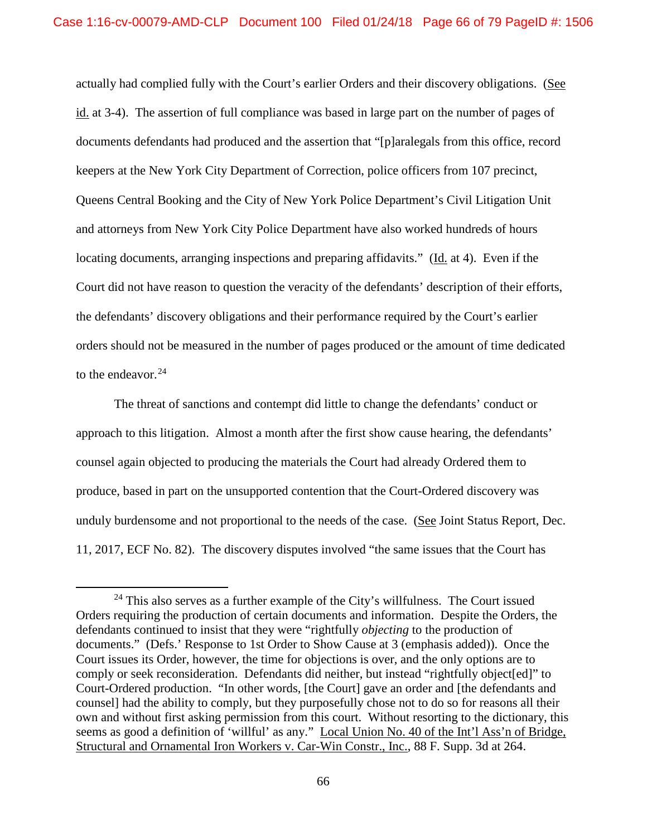actually had complied fully with the Court's earlier Orders and their discovery obligations. (See id. at 3-4). The assertion of full compliance was based in large part on the number of pages of documents defendants had produced and the assertion that "[p]aralegals from this office, record keepers at the New York City Department of Correction, police officers from 107 precinct, Queens Central Booking and the City of New York Police Department's Civil Litigation Unit and attorneys from New York City Police Department have also worked hundreds of hours locating documents, arranging inspections and preparing affidavits." (Id. at 4). Even if the Court did not have reason to question the veracity of the defendants' description of their efforts, the defendants' discovery obligations and their performance required by the Court's earlier orders should not be measured in the number of pages produced or the amount of time dedicated to the endeavor. $24$ 

The threat of sanctions and contempt did little to change the defendants' conduct or approach to this litigation. Almost a month after the first show cause hearing, the defendants' counsel again objected to producing the materials the Court had already Ordered them to produce, based in part on the unsupported contention that the Court-Ordered discovery was unduly burdensome and not proportional to the needs of the case. (See Joint Status Report, Dec. 11, 2017, ECF No. 82). The discovery disputes involved "the same issues that the Court has

 $24$  This also serves as a further example of the City's willfulness. The Court issued Orders requiring the production of certain documents and information. Despite the Orders, the defendants continued to insist that they were "rightfully *objecting* to the production of documents." (Defs.' Response to 1st Order to Show Cause at 3 (emphasis added)). Once the Court issues its Order, however, the time for objections is over, and the only options are to comply or seek reconsideration. Defendants did neither, but instead "rightfully object[ed]" to Court-Ordered production. "In other words, [the Court] gave an order and [the defendants and counsel] had the ability to comply, but they purposefully chose not to do so for reasons all their own and without first asking permission from this court. Without resorting to the dictionary, this seems as good a definition of 'willful' as any." Local Union No. 40 of the Int'l Ass'n of Bridge, Structural and Ornamental Iron Workers v. Car-Win Constr., Inc., 88 F. Supp. 3d at 264.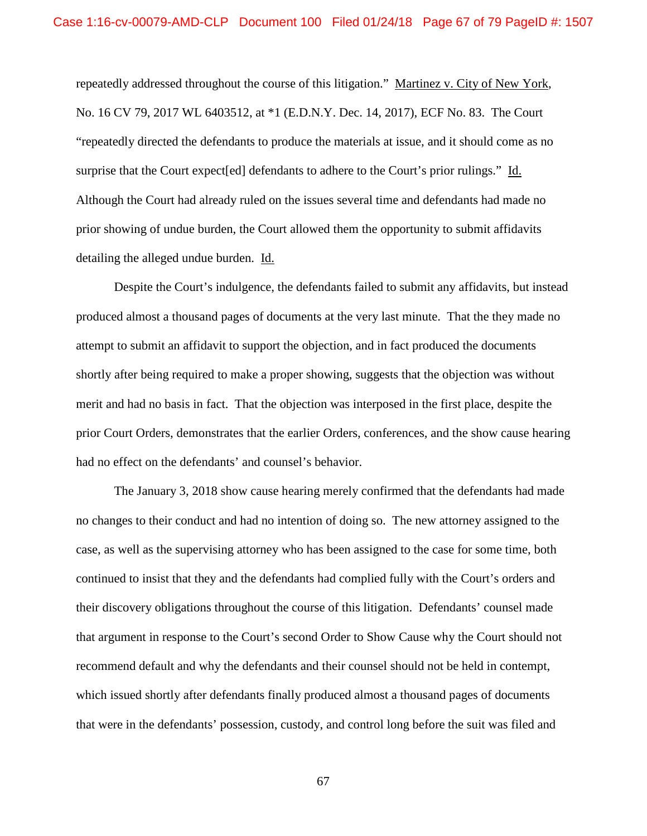repeatedly addressed throughout the course of this litigation." Martinez v. City of New York, No. 16 CV 79, 2017 WL 6403512, at \*1 (E.D.N.Y. Dec. 14, 2017), ECF No. 83. The Court "repeatedly directed the defendants to produce the materials at issue, and it should come as no surprise that the Court expect[ed] defendants to adhere to the Court's prior rulings." Id. Although the Court had already ruled on the issues several time and defendants had made no prior showing of undue burden, the Court allowed them the opportunity to submit affidavits detailing the alleged undue burden. Id.

Despite the Court's indulgence, the defendants failed to submit any affidavits, but instead produced almost a thousand pages of documents at the very last minute. That the they made no attempt to submit an affidavit to support the objection, and in fact produced the documents shortly after being required to make a proper showing, suggests that the objection was without merit and had no basis in fact. That the objection was interposed in the first place, despite the prior Court Orders, demonstrates that the earlier Orders, conferences, and the show cause hearing had no effect on the defendants' and counsel's behavior.

The January 3, 2018 show cause hearing merely confirmed that the defendants had made no changes to their conduct and had no intention of doing so. The new attorney assigned to the case, as well as the supervising attorney who has been assigned to the case for some time, both continued to insist that they and the defendants had complied fully with the Court's orders and their discovery obligations throughout the course of this litigation. Defendants' counsel made that argument in response to the Court's second Order to Show Cause why the Court should not recommend default and why the defendants and their counsel should not be held in contempt, which issued shortly after defendants finally produced almost a thousand pages of documents that were in the defendants' possession, custody, and control long before the suit was filed and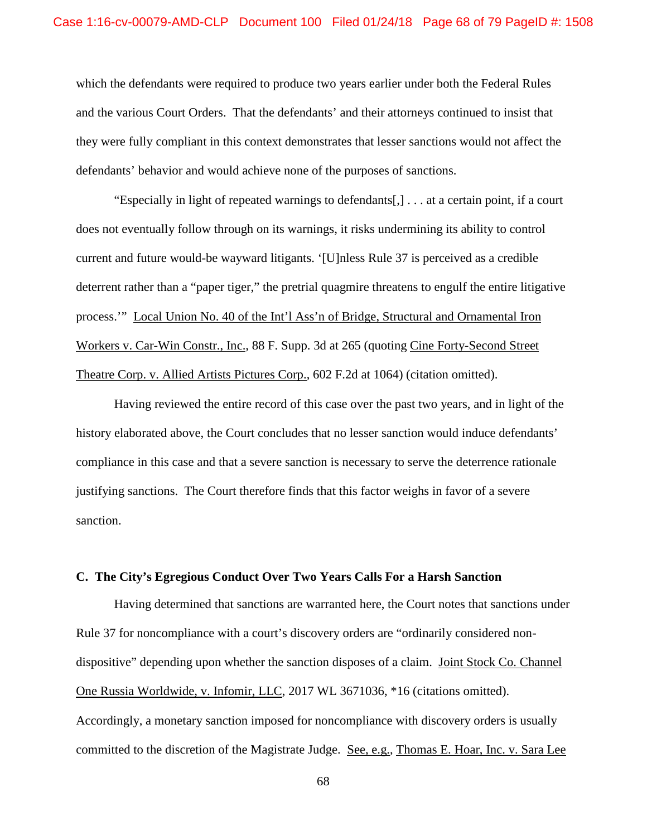which the defendants were required to produce two years earlier under both the Federal Rules and the various Court Orders. That the defendants' and their attorneys continued to insist that they were fully compliant in this context demonstrates that lesser sanctions would not affect the defendants' behavior and would achieve none of the purposes of sanctions.

"Especially in light of repeated warnings to defendants[,] . . . at a certain point, if a court does not eventually follow through on its warnings, it risks undermining its ability to control current and future would-be wayward litigants. '[U]nless Rule 37 is perceived as a credible deterrent rather than a "paper tiger," the pretrial quagmire threatens to engulf the entire litigative process.'" Local Union No. 40 of the Int'l Ass'n of Bridge, Structural and Ornamental Iron Workers v. Car-Win Constr., Inc., 88 F. Supp. 3d at 265 (quoting Cine Forty-Second Street Theatre Corp. v. Allied Artists Pictures Corp., 602 F.2d at 1064) (citation omitted).

Having reviewed the entire record of this case over the past two years, and in light of the history elaborated above, the Court concludes that no lesser sanction would induce defendants' compliance in this case and that a severe sanction is necessary to serve the deterrence rationale justifying sanctions. The Court therefore finds that this factor weighs in favor of a severe sanction.

# **C. The City's Egregious Conduct Over Two Years Calls For a Harsh Sanction**

Having determined that sanctions are warranted here, the Court notes that sanctions under Rule 37 for noncompliance with a court's discovery orders are "ordinarily considered nondispositive" depending upon whether the sanction disposes of a claim. Joint Stock Co. Channel One Russia Worldwide, v. Infomir, LLC, 2017 WL 3671036, \*16 (citations omitted). Accordingly, a monetary sanction imposed for noncompliance with discovery orders is usually committed to the discretion of the Magistrate Judge. See, e.g., Thomas E. Hoar, Inc. v. Sara Lee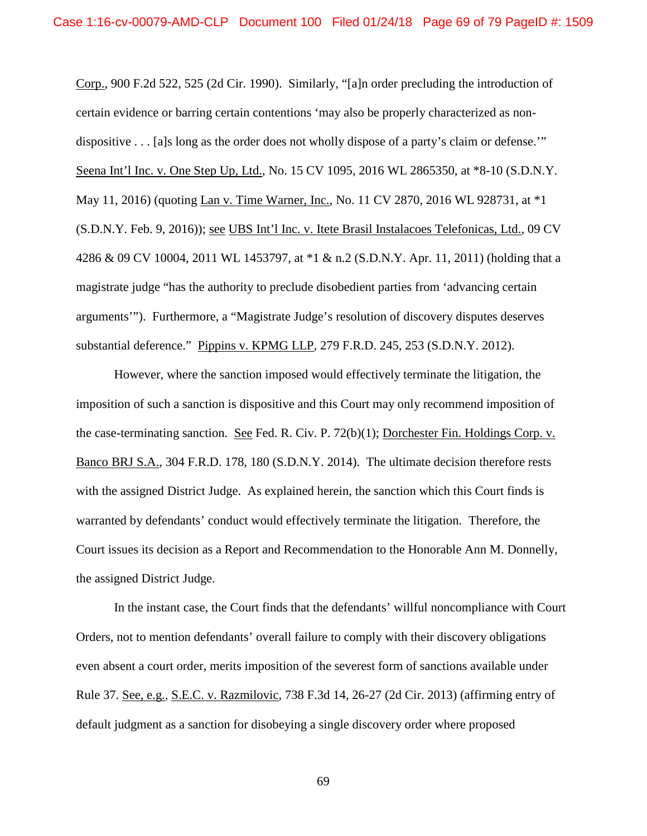Corp., 900 F.2d 522, 525 (2d Cir. 1990). Similarly, "[a]n order precluding the introduction of certain evidence or barring certain contentions 'may also be properly characterized as nondispositive . . . [a]s long as the order does not wholly dispose of a party's claim or defense.'" Seena Int'l Inc. v. One Step Up, Ltd., No. 15 CV 1095, 2016 WL 2865350, at \*8-10 (S.D.N.Y. May 11, 2016) (quoting Lan v. Time Warner, Inc., No. 11 CV 2870, 2016 WL 928731, at \*1 (S.D.N.Y. Feb. 9, 2016)); see UBS Int'l Inc. v. Itete Brasil Instalacoes Telefonicas, Ltd., 09 CV 4286 & 09 CV 10004, 2011 WL 1453797, at \*1 & n.2 (S.D.N.Y. Apr. 11, 2011) (holding that a magistrate judge "has the authority to preclude disobedient parties from 'advancing certain arguments'"). Furthermore, a "Magistrate Judge's resolution of discovery disputes deserves substantial deference." Pippins v. KPMG LLP, 279 F.R.D. 245, 253 (S.D.N.Y. 2012).

However, where the sanction imposed would effectively terminate the litigation, the imposition of such a sanction is dispositive and this Court may only recommend imposition of the case-terminating sanction. See Fed. R. Civ. P. 72(b)(1); Dorchester Fin. Holdings Corp. v. Banco BRJ S.A., 304 F.R.D. 178, 180 (S.D.N.Y. 2014). The ultimate decision therefore rests with the assigned District Judge. As explained herein, the sanction which this Court finds is warranted by defendants' conduct would effectively terminate the litigation. Therefore, the Court issues its decision as a Report and Recommendation to the Honorable Ann M. Donnelly, the assigned District Judge.

In the instant case, the Court finds that the defendants' willful noncompliance with Court Orders, not to mention defendants' overall failure to comply with their discovery obligations even absent a court order, merits imposition of the severest form of sanctions available under Rule 37. See, e.g., S.E.C. v. Razmilovic, 738 F.3d 14, 26-27 (2d Cir. 2013) (affirming entry of default judgment as a sanction for disobeying a single discovery order where proposed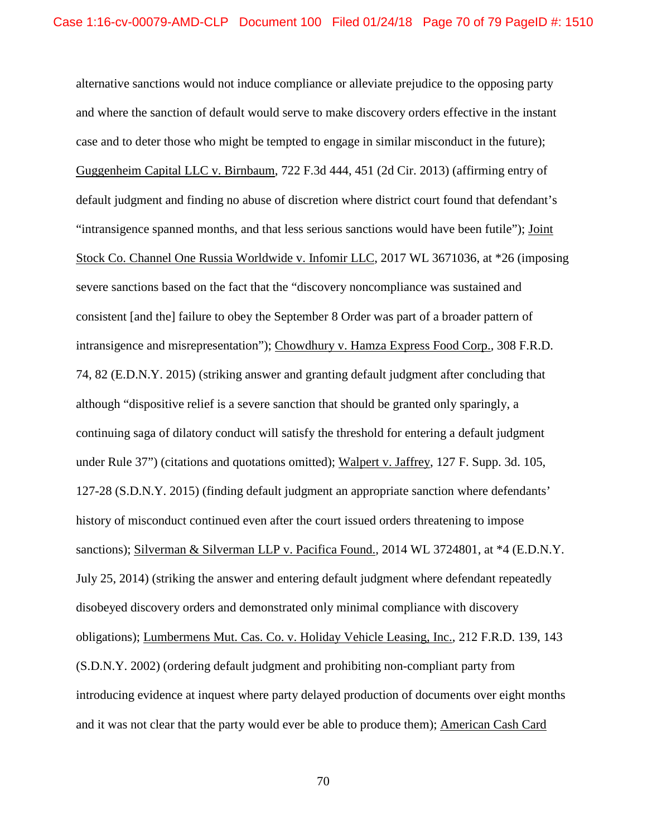alternative sanctions would not induce compliance or alleviate prejudice to the opposing party and where the sanction of default would serve to make discovery orders effective in the instant case and to deter those who might be tempted to engage in similar misconduct in the future); Guggenheim Capital LLC v. Birnbaum, 722 F.3d 444, 451 (2d Cir. 2013) (affirming entry of default judgment and finding no abuse of discretion where district court found that defendant's "intransigence spanned months, and that less serious sanctions would have been futile"); Joint Stock Co. Channel One Russia Worldwide v. Infomir LLC, 2017 WL 3671036, at \*26 (imposing severe sanctions based on the fact that the "discovery noncompliance was sustained and consistent [and the] failure to obey the September 8 Order was part of a broader pattern of intransigence and misrepresentation"); Chowdhury v. Hamza Express Food Corp., 308 F.R.D. 74, 82 (E.D.N.Y. 2015) (striking answer and granting default judgment after concluding that although "dispositive relief is a severe sanction that should be granted only sparingly, a continuing saga of dilatory conduct will satisfy the threshold for entering a default judgment under Rule 37") (citations and quotations omitted); Walpert v. Jaffrey, 127 F. Supp. 3d. 105, 127-28 (S.D.N.Y. 2015) (finding default judgment an appropriate sanction where defendants' history of misconduct continued even after the court issued orders threatening to impose sanctions); Silverman & Silverman LLP v. Pacifica Found., 2014 WL 3724801, at  $*4$  (E.D.N.Y. July 25, 2014) (striking the answer and entering default judgment where defendant repeatedly disobeyed discovery orders and demonstrated only minimal compliance with discovery obligations); Lumbermens Mut. Cas. Co. v. Holiday Vehicle Leasing, Inc., 212 F.R.D. 139, 143 (S.D.N.Y. 2002) (ordering default judgment and prohibiting non-compliant party from introducing evidence at inquest where party delayed production of documents over eight months and it was not clear that the party would ever be able to produce them); American Cash Card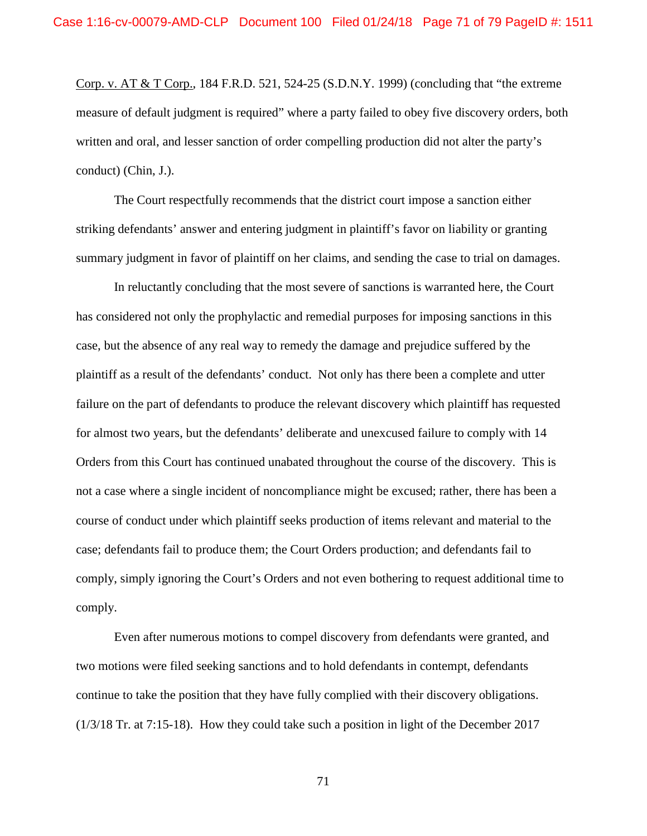Corp. v. AT & T Corp., 184 F.R.D. 521, 524-25 (S.D.N.Y. 1999) (concluding that "the extreme measure of default judgment is required" where a party failed to obey five discovery orders, both written and oral, and lesser sanction of order compelling production did not alter the party's conduct) (Chin, J.).

The Court respectfully recommends that the district court impose a sanction either striking defendants' answer and entering judgment in plaintiff's favor on liability or granting summary judgment in favor of plaintiff on her claims, and sending the case to trial on damages.

In reluctantly concluding that the most severe of sanctions is warranted here, the Court has considered not only the prophylactic and remedial purposes for imposing sanctions in this case, but the absence of any real way to remedy the damage and prejudice suffered by the plaintiff as a result of the defendants' conduct. Not only has there been a complete and utter failure on the part of defendants to produce the relevant discovery which plaintiff has requested for almost two years, but the defendants' deliberate and unexcused failure to comply with 14 Orders from this Court has continued unabated throughout the course of the discovery. This is not a case where a single incident of noncompliance might be excused; rather, there has been a course of conduct under which plaintiff seeks production of items relevant and material to the case; defendants fail to produce them; the Court Orders production; and defendants fail to comply, simply ignoring the Court's Orders and not even bothering to request additional time to comply.

Even after numerous motions to compel discovery from defendants were granted, and two motions were filed seeking sanctions and to hold defendants in contempt, defendants continue to take the position that they have fully complied with their discovery obligations. (1/3/18 Tr. at 7:15-18). How they could take such a position in light of the December 2017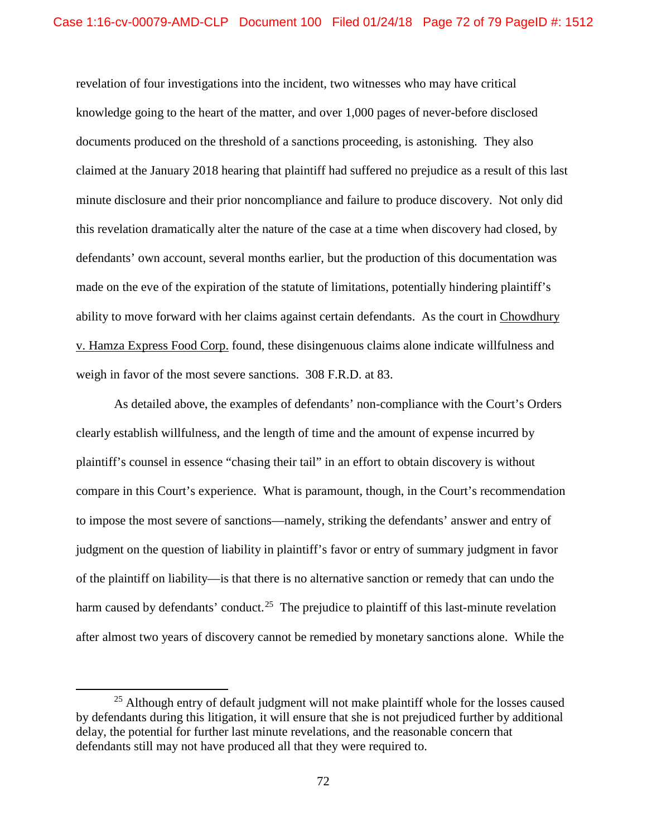revelation of four investigations into the incident, two witnesses who may have critical knowledge going to the heart of the matter, and over 1,000 pages of never-before disclosed documents produced on the threshold of a sanctions proceeding, is astonishing. They also claimed at the January 2018 hearing that plaintiff had suffered no prejudice as a result of this last minute disclosure and their prior noncompliance and failure to produce discovery. Not only did this revelation dramatically alter the nature of the case at a time when discovery had closed, by defendants' own account, several months earlier, but the production of this documentation was made on the eve of the expiration of the statute of limitations, potentially hindering plaintiff's ability to move forward with her claims against certain defendants. As the court in Chowdhury v. Hamza Express Food Corp. found, these disingenuous claims alone indicate willfulness and weigh in favor of the most severe sanctions. 308 F.R.D. at 83.

As detailed above, the examples of defendants' non-compliance with the Court's Orders clearly establish willfulness, and the length of time and the amount of expense incurred by plaintiff's counsel in essence "chasing their tail" in an effort to obtain discovery is without compare in this Court's experience. What is paramount, though, in the Court's recommendation to impose the most severe of sanctions—namely, striking the defendants' answer and entry of judgment on the question of liability in plaintiff's favor or entry of summary judgment in favor of the plaintiff on liability—is that there is no alternative sanction or remedy that can undo the harm caused by defendants' conduct.<sup>25</sup> The prejudice to plaintiff of this last-minute revelation after almost two years of discovery cannot be remedied by monetary sanctions alone. While the

 $25$  Although entry of default judgment will not make plaintiff whole for the losses caused by defendants during this litigation, it will ensure that she is not prejudiced further by additional delay, the potential for further last minute revelations, and the reasonable concern that defendants still may not have produced all that they were required to.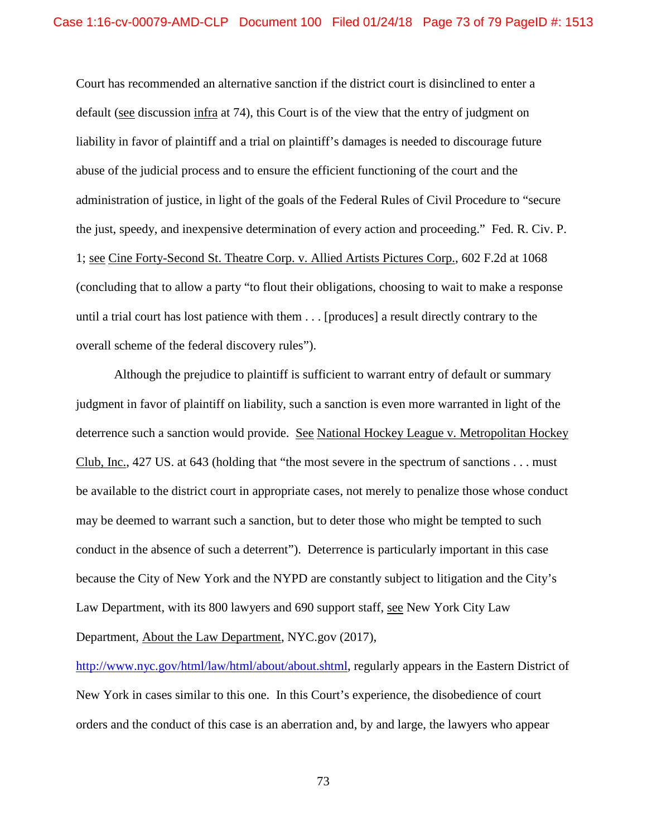Court has recommended an alternative sanction if the district court is disinclined to enter a default (see discussion infra at 74), this Court is of the view that the entry of judgment on liability in favor of plaintiff and a trial on plaintiff's damages is needed to discourage future abuse of the judicial process and to ensure the efficient functioning of the court and the administration of justice, in light of the goals of the Federal Rules of Civil Procedure to "secure the just, speedy, and inexpensive determination of every action and proceeding." Fed. R. Civ. P. 1; see Cine Forty-Second St. Theatre Corp. v. Allied Artists Pictures Corp., 602 F.2d at 1068 (concluding that to allow a party "to flout their obligations, choosing to wait to make a response until a trial court has lost patience with them . . . [produces] a result directly contrary to the overall scheme of the federal discovery rules").

Although the prejudice to plaintiff is sufficient to warrant entry of default or summary judgment in favor of plaintiff on liability, such a sanction is even more warranted in light of the deterrence such a sanction would provide. See National Hockey League v. Metropolitan Hockey Club, Inc., 427 US. at 643 (holding that "the most severe in the spectrum of sanctions . . . must be available to the district court in appropriate cases, not merely to penalize those whose conduct may be deemed to warrant such a sanction, but to deter those who might be tempted to such conduct in the absence of such a deterrent"). Deterrence is particularly important in this case because the City of New York and the NYPD are constantly subject to litigation and the City's Law Department, with its 800 lawyers and 690 support staff, see New York City Law Department, About the Law Department, NYC.gov (2017),

http://www.nyc.gov/html/law/html/about/about.shtml, regularly appears in the Eastern District of New York in cases similar to this one. In this Court's experience, the disobedience of court orders and the conduct of this case is an aberration and, by and large, the lawyers who appear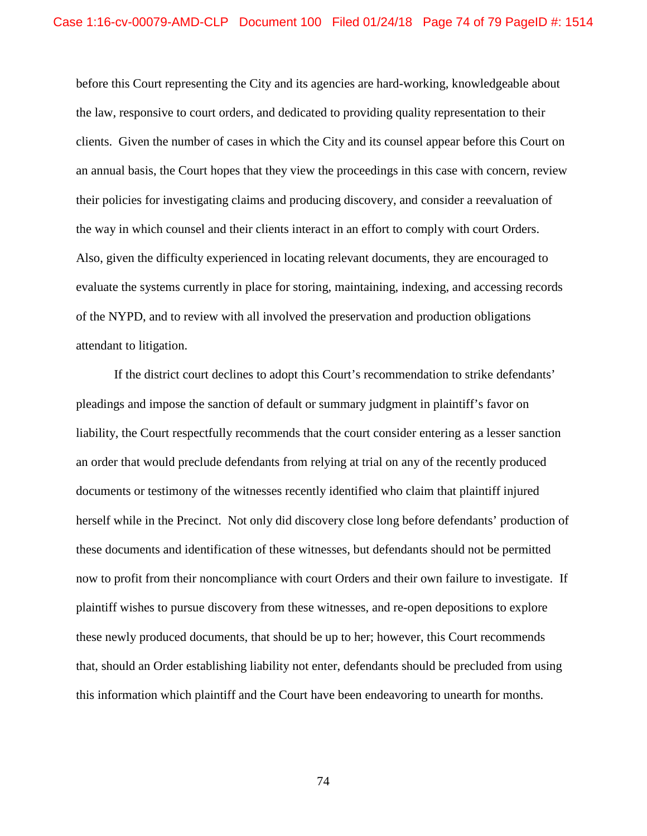before this Court representing the City and its agencies are hard-working, knowledgeable about the law, responsive to court orders, and dedicated to providing quality representation to their clients. Given the number of cases in which the City and its counsel appear before this Court on an annual basis, the Court hopes that they view the proceedings in this case with concern, review their policies for investigating claims and producing discovery, and consider a reevaluation of the way in which counsel and their clients interact in an effort to comply with court Orders. Also, given the difficulty experienced in locating relevant documents, they are encouraged to evaluate the systems currently in place for storing, maintaining, indexing, and accessing records of the NYPD, and to review with all involved the preservation and production obligations attendant to litigation.

If the district court declines to adopt this Court's recommendation to strike defendants' pleadings and impose the sanction of default or summary judgment in plaintiff's favor on liability, the Court respectfully recommends that the court consider entering as a lesser sanction an order that would preclude defendants from relying at trial on any of the recently produced documents or testimony of the witnesses recently identified who claim that plaintiff injured herself while in the Precinct. Not only did discovery close long before defendants' production of these documents and identification of these witnesses, but defendants should not be permitted now to profit from their noncompliance with court Orders and their own failure to investigate. If plaintiff wishes to pursue discovery from these witnesses, and re-open depositions to explore these newly produced documents, that should be up to her; however, this Court recommends that, should an Order establishing liability not enter, defendants should be precluded from using this information which plaintiff and the Court have been endeavoring to unearth for months.

74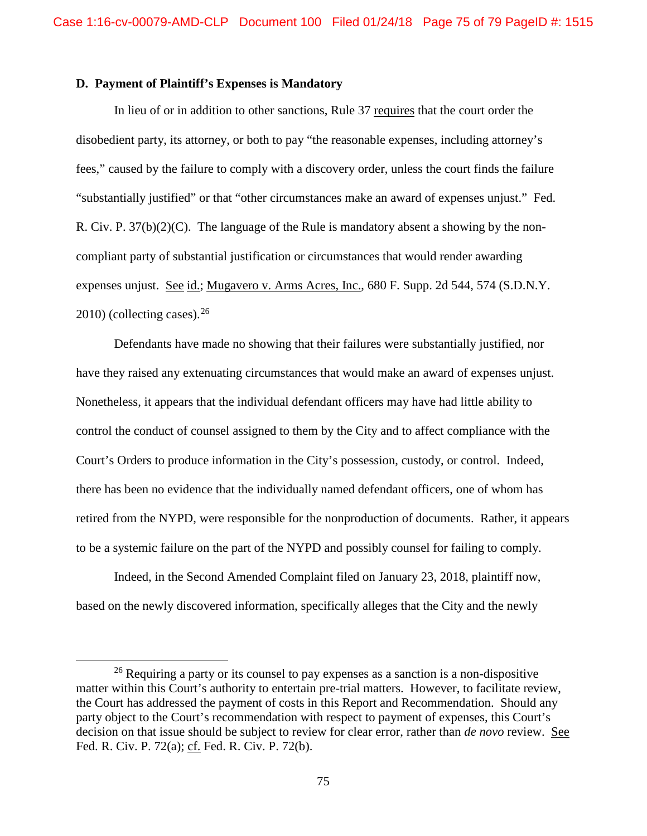## **D. Payment of Plaintiff's Expenses is Mandatory**

In lieu of or in addition to other sanctions, Rule 37 requires that the court order the disobedient party, its attorney, or both to pay "the reasonable expenses, including attorney's fees," caused by the failure to comply with a discovery order, unless the court finds the failure "substantially justified" or that "other circumstances make an award of expenses unjust." Fed. R. Civ. P. 37(b)(2)(C). The language of the Rule is mandatory absent a showing by the noncompliant party of substantial justification or circumstances that would render awarding expenses unjust. See id.; Mugavero v. Arms Acres, Inc., 680 F. Supp. 2d 544, 574 (S.D.N.Y.  $2010$ ) (collecting cases).<sup>26</sup>

Defendants have made no showing that their failures were substantially justified, nor have they raised any extenuating circumstances that would make an award of expenses unjust. Nonetheless, it appears that the individual defendant officers may have had little ability to control the conduct of counsel assigned to them by the City and to affect compliance with the Court's Orders to produce information in the City's possession, custody, or control. Indeed, there has been no evidence that the individually named defendant officers, one of whom has retired from the NYPD, were responsible for the nonproduction of documents. Rather, it appears to be a systemic failure on the part of the NYPD and possibly counsel for failing to comply.

Indeed, in the Second Amended Complaint filed on January 23, 2018, plaintiff now, based on the newly discovered information, specifically alleges that the City and the newly

 $26$  Requiring a party or its counsel to pay expenses as a sanction is a non-dispositive matter within this Court's authority to entertain pre-trial matters. However, to facilitate review, the Court has addressed the payment of costs in this Report and Recommendation. Should any party object to the Court's recommendation with respect to payment of expenses, this Court's decision on that issue should be subject to review for clear error, rather than *de novo* review. See Fed. R. Civ. P. 72(a); cf. Fed. R. Civ. P. 72(b).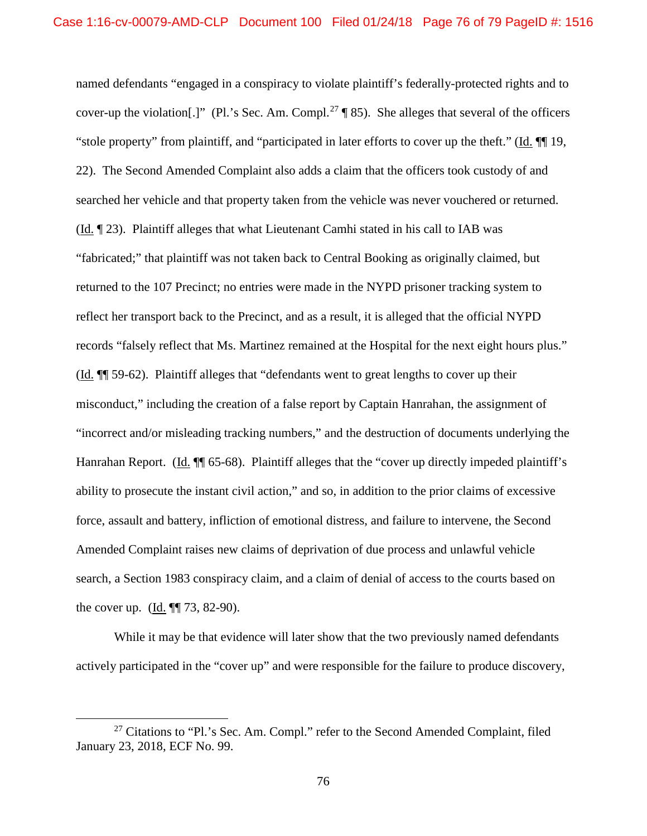named defendants "engaged in a conspiracy to violate plaintiff's federally-protected rights and to cover-up the violation[.]" (Pl.'s Sec. Am. Compl.<sup>27</sup> ¶ 85). She alleges that several of the officers "stole property" from plaintiff, and "participated in later efforts to cover up the theft." (Id. ¶¶ 19, 22). The Second Amended Complaint also adds a claim that the officers took custody of and searched her vehicle and that property taken from the vehicle was never vouchered or returned. (Id. ¶ 23). Plaintiff alleges that what Lieutenant Camhi stated in his call to IAB was "fabricated;" that plaintiff was not taken back to Central Booking as originally claimed, but returned to the 107 Precinct; no entries were made in the NYPD prisoner tracking system to reflect her transport back to the Precinct, and as a result, it is alleged that the official NYPD records "falsely reflect that Ms. Martinez remained at the Hospital for the next eight hours plus." (Id. ¶¶ 59-62). Plaintiff alleges that "defendants went to great lengths to cover up their misconduct," including the creation of a false report by Captain Hanrahan, the assignment of "incorrect and/or misleading tracking numbers," and the destruction of documents underlying the Hanrahan Report. (Id. ¶ 65-68). Plaintiff alleges that the "cover up directly impeded plaintiff's ability to prosecute the instant civil action," and so, in addition to the prior claims of excessive force, assault and battery, infliction of emotional distress, and failure to intervene, the Second Amended Complaint raises new claims of deprivation of due process and unlawful vehicle search, a Section 1983 conspiracy claim, and a claim of denial of access to the courts based on the cover up.  $(Id. \P\P 73, 82-90)$ .

While it may be that evidence will later show that the two previously named defendants actively participated in the "cover up" and were responsible for the failure to produce discovery,

 $27$  Citations to "Pl.'s Sec. Am. Compl." refer to the Second Amended Complaint, filed January 23, 2018, ECF No. 99.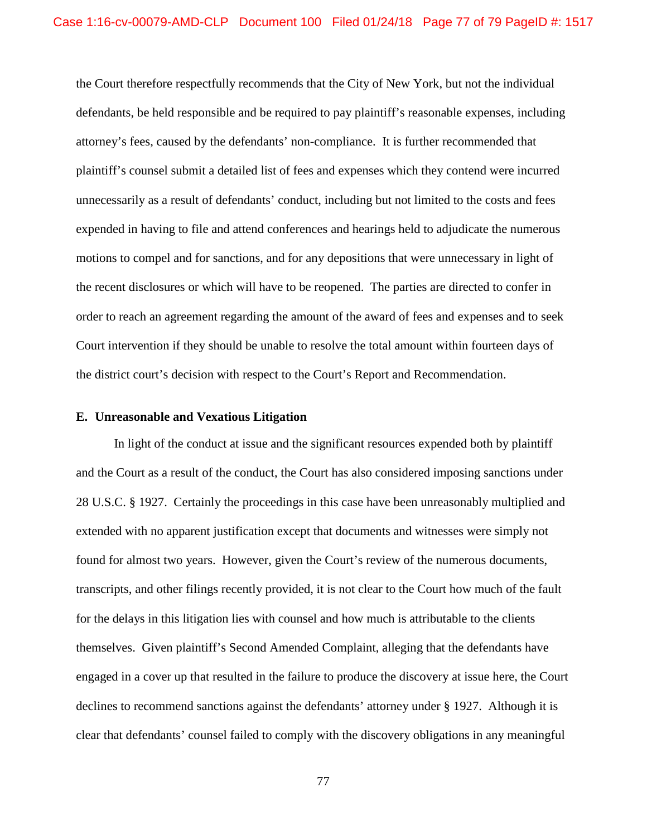the Court therefore respectfully recommends that the City of New York, but not the individual defendants, be held responsible and be required to pay plaintiff's reasonable expenses, including attorney's fees, caused by the defendants' non-compliance. It is further recommended that plaintiff's counsel submit a detailed list of fees and expenses which they contend were incurred unnecessarily as a result of defendants' conduct, including but not limited to the costs and fees expended in having to file and attend conferences and hearings held to adjudicate the numerous motions to compel and for sanctions, and for any depositions that were unnecessary in light of the recent disclosures or which will have to be reopened. The parties are directed to confer in order to reach an agreement regarding the amount of the award of fees and expenses and to seek Court intervention if they should be unable to resolve the total amount within fourteen days of the district court's decision with respect to the Court's Report and Recommendation.

## **E. Unreasonable and Vexatious Litigation**

In light of the conduct at issue and the significant resources expended both by plaintiff and the Court as a result of the conduct, the Court has also considered imposing sanctions under 28 U.S.C. § 1927. Certainly the proceedings in this case have been unreasonably multiplied and extended with no apparent justification except that documents and witnesses were simply not found for almost two years. However, given the Court's review of the numerous documents, transcripts, and other filings recently provided, it is not clear to the Court how much of the fault for the delays in this litigation lies with counsel and how much is attributable to the clients themselves. Given plaintiff's Second Amended Complaint, alleging that the defendants have engaged in a cover up that resulted in the failure to produce the discovery at issue here, the Court declines to recommend sanctions against the defendants' attorney under § 1927. Although it is clear that defendants' counsel failed to comply with the discovery obligations in any meaningful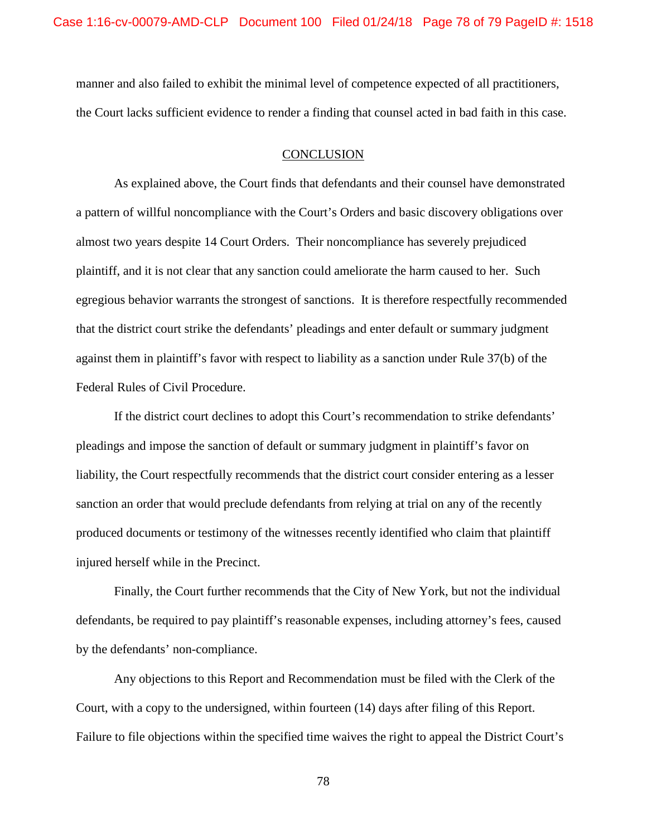manner and also failed to exhibit the minimal level of competence expected of all practitioners, the Court lacks sufficient evidence to render a finding that counsel acted in bad faith in this case.

## **CONCLUSION**

As explained above, the Court finds that defendants and their counsel have demonstrated a pattern of willful noncompliance with the Court's Orders and basic discovery obligations over almost two years despite 14 Court Orders. Their noncompliance has severely prejudiced plaintiff, and it is not clear that any sanction could ameliorate the harm caused to her. Such egregious behavior warrants the strongest of sanctions. It is therefore respectfully recommended that the district court strike the defendants' pleadings and enter default or summary judgment against them in plaintiff's favor with respect to liability as a sanction under Rule 37(b) of the Federal Rules of Civil Procedure.

If the district court declines to adopt this Court's recommendation to strike defendants' pleadings and impose the sanction of default or summary judgment in plaintiff's favor on liability, the Court respectfully recommends that the district court consider entering as a lesser sanction an order that would preclude defendants from relying at trial on any of the recently produced documents or testimony of the witnesses recently identified who claim that plaintiff injured herself while in the Precinct.

Finally, the Court further recommends that the City of New York, but not the individual defendants, be required to pay plaintiff's reasonable expenses, including attorney's fees, caused by the defendants' non-compliance.

Any objections to this Report and Recommendation must be filed with the Clerk of the Court, with a copy to the undersigned, within fourteen (14) days after filing of this Report. Failure to file objections within the specified time waives the right to appeal the District Court's

78